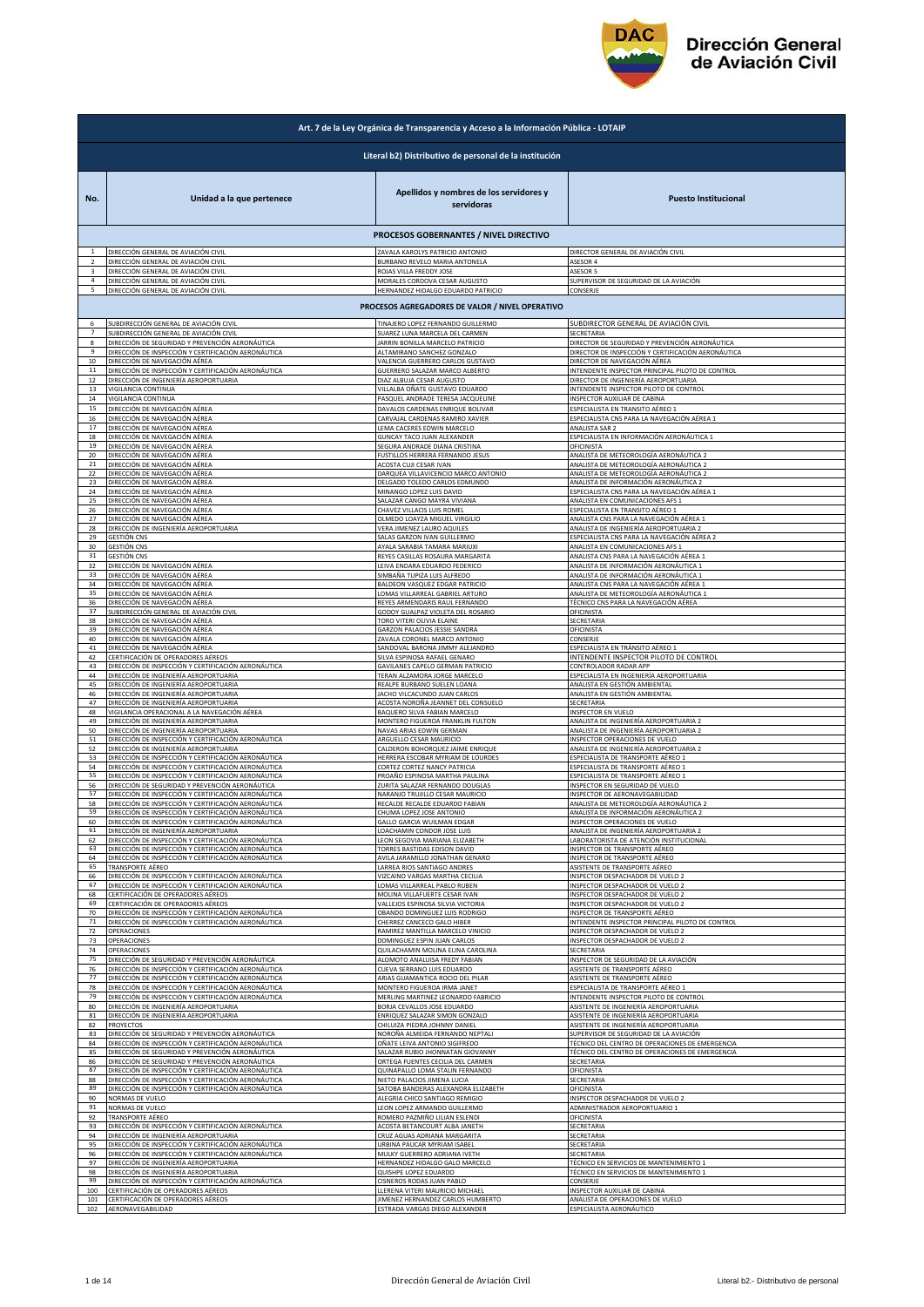

|                         | Art. 7 de la Ley Orgánica de Transparencia y Acceso a la Información Pública - LOTAIP |                                                                                       |                                                        |  |
|-------------------------|---------------------------------------------------------------------------------------|---------------------------------------------------------------------------------------|--------------------------------------------------------|--|
|                         | Literal b2) Distributivo de personal de la institución                                |                                                                                       |                                                        |  |
| No.                     | Unidad a la que pertenece                                                             | Apellidos y nombres de los servidores y<br>servidoras                                 | <b>Puesto Institucional</b>                            |  |
|                         |                                                                                       | PROCESOS GOBERNANTES / NIVEL DIRECTIVO                                                |                                                        |  |
| $\,$ 1                  | DIRECCIÓN GENERAL DE AVIACIÓN CIVIL                                                   | ZAVALA KAROLYS PATRICIO ANTONIO                                                       | DIRECTOR GENERAL DE AVIACIÓN CIVIL                     |  |
| $\overline{2}$          | DIRECCIÓN GENERAL DE AVIACIÓN CIVIL                                                   | BURBANO REVELO MARIA ANTONELA                                                         | ASESOR 4                                               |  |
| $\overline{\mathbf{3}}$ | DIRECCIÓN GENERAL DE AVIACIÓN CIVIL                                                   | ROJAS VILLA FREDDY JOSE                                                               | ASESOR 5                                               |  |
| $\overline{4}$          | DIRECCIÓN GENERAL DE AVIACIÓN CIVIL                                                   | MORALES CORDOVA CESAR AUGUSTO                                                         | SUPERVISOR DE SEGURIDAD DE LA AVIACIÓN                 |  |
| 5                       | DIRECCIÓN GENERAL DE AVIACIÓN CIVIL                                                   | HERNANDEZ HIDALGO EDUARDO PATRICIO<br>PROCESOS AGREGADORES DE VALOR / NIVEL OPERATIVO | CONSERJE                                               |  |
| 6                       | SUBDIRECCIÓN GENERAL DE AVIACIÓN CIVIL                                                | <b>TINAJERO LOPEZ FERNANDO GUILLERMO</b>                                              | SUBDIRECTOR GENERAL DE AVIACIÓN CIVIL                  |  |
| $\overline{7}$          | SUBDIRECCIÓN GENERAL DE AVIACIÓN CIVIL                                                | SUAREZ LUNA MARCELA DEL CARMEN                                                        | SECRETARIA                                             |  |
| $\mathbf{g}$            | DIRECCIÓN DE SEGURIDAD Y PREVENCIÓN AERONÁUTICA                                       | JARRIN BONILLA MARCELO PATRICIO                                                       | DIRECTOR DE SEGURIDAD Y PREVENCIÓN AERONÁUTICA         |  |
| $\mathbf{q}$            | DIRECCIÓN DE INSPECCIÓN Y CERTIFICACIÓN AERONÁUTICA                                   | ALTAMIRANO SANCHEZ GONZALO                                                            | DIRECTOR DE INSPECCIÓN Y CERTIFICACIÓN AERONÁUTICA     |  |
| 10                      | DIRECCIÓN DE NAVEGACIÓN AÉREA                                                         | VALENCIA GUERRERO CARLOS GUSTAVO                                                      | DIRECTOR DE NAVEGACIÓN AÉREA                           |  |
| 11                      | DIRECCIÓN DE INSPECCIÓN Y CERTIFICACIÓN AERONÁUTICA                                   | GUERRERO SALAZAR MARCO ALBERTO                                                        | INTENDENTE INSPECTOR PRINCIPAL PILOTO DE CONTROL       |  |
| 12                      | DIRECCIÓN DE INGENIERÍA AEROPORTUARIA                                                 | DIAZ ALBUJA CESAR AUGUSTO                                                             | DIRECTOR DE INGENIERÍA AEROPORTUARIA                   |  |
| 13                      | VIGILANCIA CONTINUA                                                                   | VILLALBA OÑATE GUSTAVO EDUARDO                                                        | <b>INTENDENTE INSPECTOR PILOTO DE CONTROL</b>          |  |
| 14                      | VIGILANCIA CONTINUA                                                                   | PASQUEL ANDRADE TERESA JACQUELINE                                                     | INSPECTOR AUXILIAR DE CABINA                           |  |
| 15                      | DIRECCIÓN DE NAVEGACIÓN AÉREA                                                         | DAVALOS CARDENAS ENRIQUE BOLIVAR                                                      | ESPECIALISTA EN TRANSITO AÉREO 1                       |  |
| 16                      | DIRECCIÓN DE NAVEGACIÓN AÉREA                                                         | CARVAJAL CARDENAS RAMIRO XAVIER                                                       | ESPECIALISTA CNS PARA LA NAVEGACIÓN AÉREA 1            |  |
| 17                      | DIRECCIÓN DE NAVEGACIÓN AÉREA                                                         | <b>LEMA CACERES EDWIN MARCELO</b>                                                     | <b>NALISTA SAR 2</b>                                   |  |
| 18                      | DIRECCIÓN DE NAVEGACIÓN AÉREA                                                         | GUNCAY TACO JUAN ALEXANDER                                                            | ESPECIALISTA EN INFORMACIÓN AERONÁUTICA 1              |  |
| 19                      | DIRECCIÓN DE NAVEGACIÓN AÉREA                                                         | SEGURA ANDRADE DIANA CRISTINA                                                         | OFICINISTA                                             |  |
| 20                      | <u>DIRECCIÓN DE NAVEGACIÓN AÉREA</u>                                                  | <b>FUSTILLOS HERRERA FERNANDO JESUS</b>                                               | <u>ANALISTA DE METEOROLOGÍA AERONÁUTICA 2</u>          |  |
| 21                      | DIRECCIÓN DE NAVEGACIÓN AÉREA                                                         | ACOSTA CUJI CESAR IVAN                                                                | ANALISTA DE METEOROLOGÍA AERONÁUTICA 2                 |  |
| 22                      | DIRECCIÓN DE NAVEGACIÓN AÉREA                                                         | DARQUEA VILLAVICENCIO MARCO ANTONIO                                                   | ANALISTA DE METEOROLOGÍA AERONÁUTICA 2                 |  |
| 23                      | DIRECCIÓN DE NAVEGACIÓN AÉREA                                                         | DELGADO TOLEDO CARLOS EDMUNDO                                                         | <u>ANALISTA DE INFORMACIÓN AERONÁUTICA 2</u>           |  |
| 24                      | DIRECCIÓN DE NAVEGACIÓN AÉREA                                                         | MINANGO LOPEZ LUIS DAVID                                                              | ESPECIALISTA CNS PARA LA NAVEGACIÓN AÉREA 1            |  |
| 25                      | DIRECCIÓN DE NAVEGACIÓN AÉREA                                                         | SALAZAR CANGO MAYRA VIVIANA                                                           | ANALISTA EN COMUNICACIONES AFS 1                       |  |
| 26                      | DIRECCIÓN DE NAVEGACIÓN AÉREA                                                         | CHAVEZ VILLACIS LUIS ROMEL                                                            | ESPECIALISTA EN TRANSITO AÉREO 1                       |  |
| 27                      | DIRECCIÓN DE NAVEGACIÓN AÉREA                                                         | OLMEDO LOAYZA MIGUEL VIRGILIO                                                         | ANALISTA CNS PARA LA NAVEGACIÓN AÉREA 1                |  |
| 28                      | DIRECCIÓN DE INGENIERÍA AEROPORTUARIA                                                 | VERA JIMENEZ LAURO AQUILES                                                            | ANALISTA DE INGENIERÍA AEROPORTUARIA 2                 |  |
| 29                      | <b>GESTIÓN CNS</b>                                                                    | SALAS GARZON IVAN GUILLERMO                                                           | ESPECIALISTA CNS PARA LA NAVEGACIÓN AÉREA 2            |  |
| 30                      | <b>GESTIÓN CNS</b>                                                                    | AYALA SARABIA TAMARA MARIUXI                                                          | ANALISTA EN COMUNICACIONES AFS 1                       |  |
| 31                      | <b>GESTIÓN CNS</b>                                                                    | REYES CASILLAS ROSAURA MARGARITA                                                      | ANALISTA CNS PARA LA NAVEGACIÓN AÉREA 1                |  |
| 32                      | DIRECCIÓN DE NAVEGACIÓN AÉREA                                                         | LEIVA ENDARA EDUARDO FEDERICO                                                         | ANALISTA DE INFORMACIÓN AERONÁUTICA 1                  |  |
| 33                      | DIRECCIÓN DE NAVEGACIÓN AÉREA                                                         | SIMBAÑA TUPIZA LUIS ALFREDO                                                           | ANALISTA DE INFORMACIÓN AERONÁUTICA 1                  |  |
| 34                      | DIRECCIÓN DE NAVEGACIÓN AÉREA                                                         | BALDEON VASQUEZ EDGAR PATRICIO                                                        | ANALISTA CNS PARA LA NAVEGACIÓN AÉREA 1                |  |
| 35                      | DIRECCIÓN DE NAVEGACIÓN AÉREA                                                         | LOMAS VILLARREAL GABRIEL ARTURO                                                       | ANALISTA DE METEOROLOGÍA AERONÁUTICA 1                 |  |
| 36                      | DIRECCIÓN DE NAVEGACIÓN AÉREA                                                         | REYES ARMENDARIS RAUL FERNANDO                                                        | TÉCNICO CNS PARA LA NAVEGACIÓN AÉREA                   |  |
| 37                      | SUBDIRECCIÓN GENERAL DE AVIACIÓN CIVIL                                                | GODOY GUALPAZ VIOLETA DEL ROSARIO                                                     | OFICINISTA                                             |  |
| 38                      | DIRECCIÓN DE NAVEGACIÓN AÉREA                                                         | TORO VITERI OLIVIA ELAINE                                                             | SECRETARIA                                             |  |
| 39                      | DIRECCIÓN DE NAVEGACIÓN AÉREA                                                         | GARZON PALACIOS JESSIE SANDRA                                                         | OFICINISTA                                             |  |
| 40                      | DIRECCIÓN DE NAVEGACIÓN AÉREA                                                         | ZAVALA CORONEL MARCO ANTONIO                                                          | CONSERJE                                               |  |
| 41                      | DIRECCIÓN DE NAVEGACIÓN AÉREA                                                         | SANDOVAL BARONA JIMMY ALEJANDRO                                                       | ESPECIALISTA EN TRÁNSITO AÉREO 1                       |  |
| 42                      | CERTIFICACIÓN DE OPERADORES AÉREOS                                                    | SILVA ESPINOSA RAFAEL GENARO                                                          | <b>INTENDENTE INSPECTOR PILOTO DE CONTROL</b>          |  |
| 43                      | DIRECCIÓN DE INSPECCIÓN Y CERTIFICACIÓN AERONÁUTICA                                   | GAVILANES CAPELO GERMAN PATRICIO                                                      | CONTROLADOR RADAR APP                                  |  |
| 44                      | DIRECCIÓN DE INGENIERÍA AEROPORTUARIA                                                 | TERAN ALZAMORA JORGE MARCELO                                                          | ESPECIALISTA EN INGENIERÍA AEROPORTUARIA               |  |
| 45                      | DIRECCIÓN DE INGENIERÍA AEROPORTUARIA                                                 | REALPE BURBANO SUELEN LOANA                                                           | ANALISTA EN GESTIÓN AMBIENTAL                          |  |
| 46                      | DIRECCIÓN DE INGENIERÍA AEROPORTUARIA                                                 | JACHO VILCACUNDO JUAN CARLOS                                                          | ANALISTA EN GESTIÓN AMBIENTAL                          |  |
| 47                      | DIRECCIÓN DE INGENIERÍA AEROPORTUARIA                                                 | ACOSTA NOROÑA JEANNET DEL CONSUELO                                                    | SECRETARIA                                             |  |
| 48                      | VIGILANCIA OPERACIONAL A LA NAVEGACIÓN AÉREA                                          | BAQUERO SILVA FABIAN MARCELO                                                          | NSPECTOR EN VUELO                                      |  |
| 49                      | DIRECCIÓN DE INGENIERÍA AEROPORTUARIA                                                 | MONTERO FIGUEROA FRANKLIN FULTON                                                      | ANALISTA DE INGENIERÍA AEROPORTUARIA 2                 |  |
| 50                      | DIRECCIÓN DE INGENIERÍA AEROPORTUARIA                                                 | NAVAS ARIAS EDWIN GERMAN                                                              | ANALISTA DE INGENIERÍA AEROPORTUARIA 2                 |  |
| 51                      | DIRECCIÓN DE INSPECCIÓN Y CERTIFICACIÓN AERONÁUTICA                                   | ARGUELLO CESAR MAURICIO                                                               | <b>NSPECTOR OPERACIONES DE VUELO</b>                   |  |
| 52                      | DIRECCIÓN DE INGENIERÍA AEROPORTUARIA                                                 | CALDERON BOHORQUEZ JAIME ENRIQUE                                                      | ANALISTA DE INGENIERÍA AEROPORTUARIA 2                 |  |
| 53                      | DIRECCIÓN DE INSPECCIÓN Y CERTIFICACIÓN AERONÁUTICA                                   | HERRERA ESCOBAR MYRIAM DE LOURDES                                                     | ESPECIALISTA DE TRANSPORTE AÉREO 1                     |  |
| 54                      | DIRECCIÓN DE INSPECCIÓN Y CERTIFICACIÓN AERONÁUTICA                                   | CORTEZ CORTEZ NANCY PATRICIA                                                          | ESPECIALISTA DE TRANSPORTE AÉREO 1                     |  |
| 55                      | DIRECCIÓN DE INSPECCIÓN Y CERTIFICACIÓN AERONÁUTICA                                   | PROAÑO ESPINOSA MARTHA PAULINA                                                        | ESPECIALISTA DE TRANSPORTE AÉREO 1                     |  |
| 56                      | DIRECCIÓN DE SEGURIDAD Y PREVENCIÓN AERONÁUTICA                                       | ZURITA SALAZAR FERNANDO DOUGLAS                                                       | NSPECTOR EN SEGURIDAD DE VUELO                         |  |
| 57                      | DIRECCIÓN DE INSPECCIÓN Y CERTIFICACIÓN AERONÁUTICA                                   | NARANJO TRUJILLO CESAR MAURICIO                                                       | INSPECTOR DE AERONAVEGABILIDAD                         |  |
| 58                      | DIRECCIÓN DE INSPECCIÓN Y CERTIFICACIÓN AERONÁUTICA                                   | RECALDE RECALDE EDUARDO FABIAN                                                        | ANALISTA DE METEOROLOGÍA AERONÁUTICA 2                 |  |
| 60                      | DIRECCIÓN DE INSPECCIÓN Y CERTIFICACIÓN AERONÁUTICA                                   | CHUMA LOPEZ JOSE ANTONIO                                                              | ANALISTA DE INFORMACIÓN AERONÁUTICA 2                  |  |
|                         | DIRECCIÓN DE INSPECCIÓN Y CERTIFICACIÓN AERONÁUTICA                                   | GALLO GARCIA WUILMAN EDGAR                                                            | NSPECTOR OPERACIONES DE VUELO                          |  |
| 61                      | DIRECCIÓN DE INGENIERÍA AEROPORTUARIA                                                 | LOACHAMIN CONDOR JOSE LUIS                                                            | ANALISTA DE INGENIERÍA AEROPORTUARIA 2                 |  |
| 62                      | DIRECCIÓN DE INSPECCIÓN Y CERTIFICACIÓN AERONÁUTICA                                   | LEON SEGOVIA MARIANA ELIZABETH                                                        | LABORATORISTA DE ATENCIÓN INSTITUCIONAL                |  |
| 63                      | DIRECCIÓN DE INSPECCIÓN Y CERTIFICACIÓN AERONÁUTICA                                   | TORRES BASTIDAS EDISON DAVID                                                          | <b>NSPECTOR DE TRANSPORTE AÉREO</b>                    |  |
| 64                      | DIRECCIÓN DE INSPECCIÓN Y CERTIFICACIÓN AERONÁUTICA                                   | AVILA JARAMILLO JONATHAN GENARO                                                       | INSPECTOR DE TRANSPORTE AÉREO                          |  |
| 65                      | TRANSPORTE AÉREO                                                                      | LARREA RIOS SANTIAGO ANDRES                                                           | ASISTENTE DE TRANSPORTE AÉREO                          |  |
| 66                      | DIRECCIÓN DE INSPECCIÓN Y CERTIFICACIÓN AERONÁUTICA                                   | VIZCAINO VARGAS MARTHA CECILIA                                                        | INSPECTOR DESPACHADOR DE VUELO 2                       |  |
| 67                      | DIRECCIÓN DE INSPECCIÓN Y CERTIFICACIÓN AERONÁUTICA                                   | LOMAS VILLARREAL PABLO RUBEN                                                          | <b>NSPECTOR DESPACHADOR DE VUELO 2</b>                 |  |
| 68                      | CERTIFICACIÓN DE OPERADORES AÉREOS                                                    | MOLINA VILLAFUERTE CESAR IVAN                                                         | NSPECTOR DESPACHADOR DE VUELO 2                        |  |
| 69                      | CERTIFICACIÓN DE OPERADORES AÉREOS                                                    | VALLEJOS ESPINOSA SILVIA VICTORIA                                                     | NSPECTOR DESPACHADOR DE VUELO 2                        |  |
| 70                      | DIRECCIÓN DE INSPECCIÓN Y CERTIFICACIÓN AERONÁUTICA                                   | OBANDO DOMINGUEZ LUIS RODRIGO                                                         | NSPECTOR DE TRANSPORTE AÉREO                           |  |
| 71                      | DIRECCIÓN DE INSPECCIÓN Y CERTIFICACIÓN AERONÁUTICA                                   | <b>CHERREZ CANCECO GALO HIBER</b>                                                     | NTENDENTE INSPECTOR PRINCIPAL PILOTO DE CONTROL        |  |
| 72                      | OPERACIONES                                                                           | RAMIREZ MANTILLA MARCELO VINICIO                                                      | NSPECTOR DESPACHADOR DE VUELO 2                        |  |
| 73                      | OPERACIONES                                                                           | DOMINGUEZ ESPIN JUAN CARLOS                                                           | NSPECTOR DESPACHADOR DE VUELO 2                        |  |
| 74                      | OPERACIONES                                                                           | QUILACHAMIN MOLINA ELINA CAROLINA                                                     | SECRETARIA                                             |  |
| 75                      | DIRECCIÓN DE SEGURIDAD Y PREVENCIÓN AERONÁUTICA                                       | ALOMOTO ANALUISA FREDY FABIAN                                                         | NSPECTOR DE SEGURIDAD DE LA AVIACIÓN                   |  |
| 76                      | DIRECCIÓN DE INSPECCIÓN Y CERTIFICACIÓN AERONÁUTICA                                   | CUEVA SERRANO LUIS EDUARDO                                                            | ASISTENTE DE TRANSPORTE AÉREO                          |  |
| 77                      | DIRECCIÓN DE INSPECCIÓN Y CERTIFICACIÓN AERONÁUTICA                                   | ARIAS GUAMANTICA ROCIO DEL PILAR                                                      | ASISTENTE DE TRANSPORTE AÉREO                          |  |
| 78                      | DIRECCIÓN DE INSPECCIÓN Y CERTIFICACIÓN AERONÁUTICA                                   | MONTERO FIGUEROA IRMA JANET                                                           | ESPECIALISTA DE TRANSPORTE AÉREO 1                     |  |
| 79                      | DIRECCIÓN DE INSPECCIÓN Y CERTIFICACIÓN AERONÁUTICA                                   | MERLING MARTINEZ LEONARDO FABRICIO                                                    | <b>INTENDENTE INSPECTOR PILOTO DE CONTROL</b>          |  |
| 80                      | DIRECCIÓN DE INGENIERÍA AEROPORTUARIA                                                 | BORJA CEVALLOS JOSE EDUARDO                                                           | ASISTENTE DE INGENIERÍA AEROPORTUARIA                  |  |
| 81                      | DIRECCIÓN DE INGENIERÍA AEROPORTUARIA                                                 | INRIQUEZ SALAZAR SIMON GONZALO                                                        | ASISTENTE DE INGENIERÍA AEROPORTUARIA                  |  |
| 82                      | <b>PROYECTOS</b>                                                                      | CHILUIZA PIEDRA JOHNNY DANIEL                                                         | ASISTENTE DE INGENIERÍA AEROPORTUARIA                  |  |
| 83                      | DIRECCIÓN DE SEGURIDAD Y PREVENCIÓN AERONÁUTICA                                       | NOROÑA ALMEIDA FERNANDO NEPTALI                                                       | SUPERVISOR DE SEGURIDAD DE LA AVIACIÓN                 |  |
| 84                      | DIRECCIÓN DE INSPECCIÓN Y CERTIFICACIÓN AERONÁUTICA                                   | OÑATE LEIVA ANTONIO SIGIFREDO                                                         | <b>IÉCNICO DEL CENTRO DE OPERACIONES DE EMERGENCIA</b> |  |
| 85                      | DIRECCIÓN DE SEGURIDAD Y PREVENCIÓN AERONÁUTICA                                       | ALAZAR RUBIO JHONNATAN GIOVANNY                                                       | TÉCNICO DEL CENTRO DE OPERACIONES DE EMERGENCIA        |  |
| 86                      | DIRECCIÓN DE SEGURIDAD Y PREVENCIÓN AERONÁUTICA                                       | ORTEGA FUENTES CECILIA DEL CARMEN                                                     | SECRETARIA                                             |  |
| 87                      | DIRECCIÓN DE INSPECCIÓN Y CERTIFICACIÓN AERONÁUTICA                                   | QUINAPALLO LOMA STALIN FERNANDO                                                       | <b><i><u>DFICINISTA</u></i></b>                        |  |
| 88                      | DIRECCIÓN DE INSPECCIÓN Y CERTIFICACIÓN AERONÁUTICA                                   | NIETO PALACIOS JIMENA LUCIA                                                           | SECRETARIA                                             |  |
| 89                      | DIRECCIÓN DE INSPECCIÓN Y CERTIFICACIÓN AERONÁUTICA                                   | SATOBA BANDERAS ALEXANDRA ELIZABETH                                                   | <b><i><u>DEICINISTA</u></i></b>                        |  |
| 90                      | NORMAS DE VUELO                                                                       | ALEGRIA CHICO SANTIAGO REMIGIO                                                        | <b>NSPECTOR DESPACHADOR DE VUELO 2</b>                 |  |
| 91                      | NORMAS DE VUELO                                                                       | LEON LOPEZ ARMANDO GUILLERMO                                                          | ADMINISTRADOR AEROPORTUARIO 1                          |  |
| 92                      | TRANSPORTE AÉREO                                                                      | ROMERO PAZMIÑO LILIAN ESLENDI                                                         | <b>DFICINISTA</b>                                      |  |
| 93                      | DIRECCIÓN DE INSPECCIÓN Y CERTIFICACIÓN AERONÁUTICA                                   | ACOSTA BETANCOURT ALBA JANETH                                                         | SECRETARIA                                             |  |
| 94                      | DIRECCIÓN DE INGENIERÍA AEROPORTUARIA                                                 | CRUZ AGUAS ADRIANA MARGARITA                                                          | SECRETARIA                                             |  |
| 95                      | DIRECCIÓN DE INSPECCIÓN Y CERTIFICACIÓN AERONÁUTICA                                   | URBINA PAUCAR MYRIAM ISABEL                                                           | SECRETARIA                                             |  |
| 96                      | DIRECCIÓN DE INSPECCIÓN Y CERTIFICACIÓN AERONÁUTICA                                   | MULKY GUERRERO ADRIANA IVETH                                                          | SECRETARIA                                             |  |
| 97                      | DIRECCIÓN DE INGENIERÍA AEROPORTUARIA                                                 | HERNANDEZ HIDALGO GALO MARCELO                                                        | TÉCNICO EN SERVICIOS DE MANTENIMIENTO 1                |  |
| 98                      | DIRECCIÓN DE INGENIERÍA AEROPORTUARIA                                                 | QUISHPE LOPEZ EDUARDO                                                                 | TÉCNICO EN SERVICIOS DE MANTENIMIENTO 1                |  |
| 99                      | DIRECCIÓN DE INSPECCIÓN Y CERTIFICACIÓN AERONÁUTICA                                   | <b>CISNEROS RODAS JUAN PABLO</b>                                                      | CONSERJE                                               |  |
| 100                     | CERTIFICACIÓN DE OPERADORES AÉREOS                                                    | LLERENA VITERI MAURICIO MICHAEI                                                       | <b>NSPECTOR AUXILIAR DE CABINA</b>                     |  |
| 101                     | CERTIFICACIÓN DE OPERADORES AÉREOS                                                    | JIMENEZ HERNANDEZ CARLOS HUMBERTO                                                     | ANALISTA DE OPERACIONES DE VUELO                       |  |
| 102                     | AERONAVEGABILIDAD                                                                     | ESTRADA VARGAS DIEGO ALEXANDER                                                        | ESPECIALISTA AERONÁUTICO                               |  |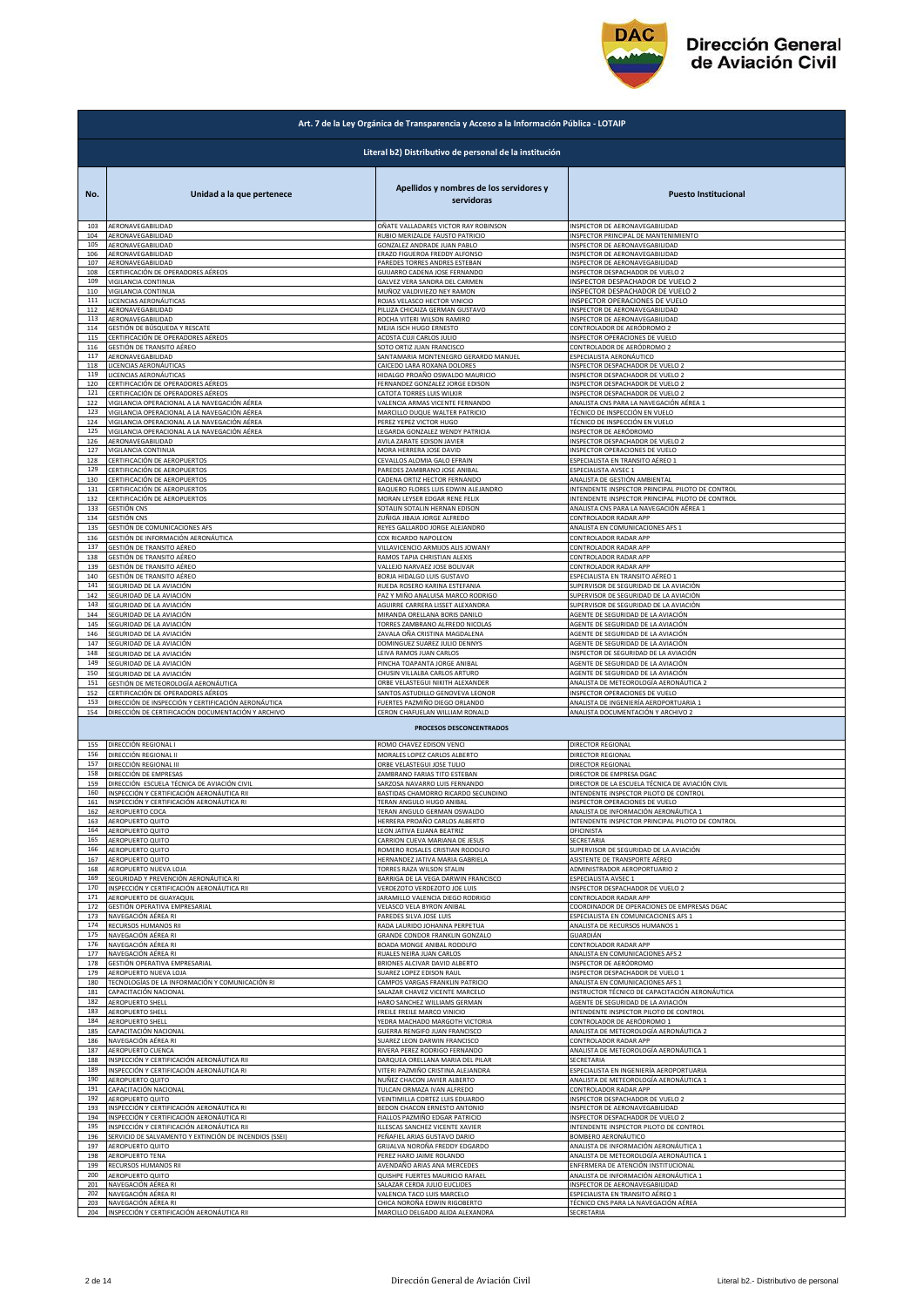

|                   | Art. 7 de la Ley Orgánica de Transparencia y Acceso a la Información Pública - LOTAIP |                                                                                                      |                                                                                       |  |
|-------------------|---------------------------------------------------------------------------------------|------------------------------------------------------------------------------------------------------|---------------------------------------------------------------------------------------|--|
|                   | Literal b2) Distributivo de personal de la institución                                |                                                                                                      |                                                                                       |  |
| No.               | Unidad a la que pertenece                                                             | Apellidos y nombres de los servidores y<br>servidoras                                                | <b>Puesto Institucional</b>                                                           |  |
| 103               | AERONAVEGABILIDAD                                                                     | OÑATE VALLADARES VICTOR RAY ROBINSON                                                                 | INSPECTOR DE AERONAVEGABILIDAD                                                        |  |
| 104               | AERONAVEGABILIDAD                                                                     | RUBIO MERIZALDE FAUSTO PATRICIO                                                                      | INSPECTOR PRINCIPAL DE MANTENIMIENTO                                                  |  |
| 105               | AERONAVEGABILIDAD                                                                     | GONZALEZ ANDRADE JUAN PABLO                                                                          | INSPECTOR DE AERONAVEGABILIDAD                                                        |  |
| 106               | AERONAVEGABILIDAD                                                                     | ERAZO FIGUEROA FREDDY ALFONSO                                                                        | INSPECTOR DE AERONAVEGABILIDAD                                                        |  |
| 107               | AERONAVEGABILIDAD                                                                     | PAREDES TORRES ANDRES ESTEBAN                                                                        | INSPECTOR DE AERONAVEGABILIDAD                                                        |  |
| 108               | CERTIFICACIÓN DE OPERADORES AÉREOS                                                    | GUIJARRO CADENA JOSE FERNANDO                                                                        | INSPECTOR DESPACHADOR DE VUELO 2                                                      |  |
| 109               | VIGILANCIA CONTINUA                                                                   | GALVEZ VERA SANDRA DEL CARMEN                                                                        | INSPECTOR DESPACHADOR DE VUELO 2                                                      |  |
| 110               | VIGILANCIA CONTINUA                                                                   | MUÑOZ VALDIVIEZO NEY RAMON                                                                           | INSPECTOR DESPACHADOR DE VUELO 2                                                      |  |
| 111               | LICENCIAS AERONÁUTICAS                                                                | ROJAS VELASCO HECTOR VINICIO                                                                         | INSPECTOR OPERACIONES DE VUELO                                                        |  |
| 112               | AERONAVEGABILIDAD                                                                     | PILLIZA CHICAIZA GERMAN GUSTAVO                                                                      | INSPECTOR DE AERONAVEGABILIDAD                                                        |  |
| 113               | AERONAVEGABILIDAD                                                                     | ROCHA VITERI WILSON RAMIRO                                                                           | INSPECTOR DE AERONAVEGABILIDAD                                                        |  |
| 114               | GESTIÓN DE BÚSQUEDA Y RESCATE                                                         | MEJIA ISCH HUGO ERNESTO                                                                              | CONTROLADOR DE AERÓDROMO 2                                                            |  |
| 115               | CERTIFICACIÓN DE OPERADORES AÉREOS                                                    | ACOSTA CUJI CARLOS JULIO                                                                             | INSPECTOR OPERACIONES DE VUELO                                                        |  |
| 116               | GESTIÓN DE TRANSITO AÉREO                                                             | SOTO ORTIZ JUAN FRANCISCO                                                                            | CONTROLADOR DE AERÓDROMO 2                                                            |  |
| 117               | AERONAVEGABILIDAD                                                                     | SANTAMARIA MONTENEGRO GERARDO MANUEL                                                                 | ESPECIALISTA AERONÁUTICO                                                              |  |
| 118               | LICENCIAS AERONÁUTICAS                                                                | CAICEDO LARA ROXANA DOLORES                                                                          | INSPECTOR DESPACHADOR DE VUELO 2                                                      |  |
| 119               | LICENCIAS AERONÁUTICAS                                                                | HIDALGO PROAÑO OSWALDO MAURICIO                                                                      | INSPECTOR DESPACHADOR DE VUELO 2                                                      |  |
| 120               | CERTIFICACIÓN DE OPERADORES AÉREOS                                                    | FERNANDEZ GONZALEZ JORGE EDISON                                                                      | INSPECTOR DESPACHADOR DE VUELO 2                                                      |  |
| 121               | CERTIFICACIÓN DE OPERADORES AÉREOS                                                    | CATOTA TORRES LUIS WILKIR                                                                            | INSPECTOR DESPACHADOR DE VUELO 2                                                      |  |
| 122               | VIGILANCIA OPERACIONAL A LA NAVEGACIÓN AÉREA                                          | VALENCIA ARMAS VICENTE FERNANDO                                                                      | ANALISTA CNS PARA LA NAVEGACIÓN AÉREA 1                                               |  |
| 123               | VIGILANCIA OPERACIONAL A LA NAVEGACIÓN AÉREA                                          | MARCILLO DUQUE WALTER PATRICIO                                                                       | TÉCNICO DE INSPECCIÓN EN VUELO                                                        |  |
| 124               | VIGILANCIA OPERACIONAL A LA NAVEGACIÓN AÉREA                                          | PEREZ YEPEZ VICTOR HUGO                                                                              | TÉCNICO DE INSPECCIÓN EN VUELO                                                        |  |
| 125               | VIGILANCIA OPERACIONAL A LA NAVEGACIÓN AÉREA                                          | LEGARDA GONZALEZ WENDY PATRICIA                                                                      | INSPECTOR DE AERÓDROMO                                                                |  |
| 126               | AERONAVEGABILIDAD                                                                     | AVILA ZARATE EDISON JAVIER                                                                           | INSPECTOR DESPACHADOR DE VUELO 2                                                      |  |
| 127               | VIGILANCIA CONTINUA                                                                   | MORA HERRERA JOSE DAVID                                                                              | INSPECTOR OPERACIONES DE VUELO                                                        |  |
| 128               | CERTIFICACIÓN DE AEROPUERTOS                                                          | CEVALLOS ALOMIA GALO EFRAIN                                                                          | ESPECIALISTA EN TRANSITO AÉREO 1                                                      |  |
| 129               | CERTIFICACIÓN DE AEROPUERTOS                                                          | PAREDES ZAMBRANO JOSE ANIBAL                                                                         | ESPECIALISTA AVSEC 1                                                                  |  |
| 130               | CERTIFICACIÓN DE AEROPUERTOS                                                          | CADENA ORTIZ HECTOR FERNANDO                                                                         | ANALISTA DE GESTIÓN AMBIENTAL                                                         |  |
| 131               | ERTIFICACIÓN DE AEROPUERTOS                                                           | BAQUERO FLORES LUIS EDWIN ALEJANDRO                                                                  | INTENDENTE INSPECTOR PRINCIPAL PILOTO DE CONTROL                                      |  |
| 132               | CERTIFICACIÓN DE AEROPUERTOS                                                          | MORAN LEYSER EDGAR RENE FELIX                                                                        | INTENDENTE INSPECTOR PRINCIPAL PILOTO DE CONTROL                                      |  |
| 133               | GESTIÓN CNS                                                                           | SOTALIN SOTALIN HERNAN EDISON                                                                        | ANALISTA CNS PARA LA NAVEGACIÓN AÉREA 1                                               |  |
| 134               | GESTIÓN CNS                                                                           | ZUÑIGA JIBAJA JORGE ALFREDO                                                                          | CONTROLADOR RADAR APP                                                                 |  |
| 135               | GESTIÓN DE COMUNICACIONES AFS                                                         | REYES GALLARDO JORGE ALEJANDRO                                                                       | ANALISTA EN COMUNICACIONES AFS 1                                                      |  |
| 136               | GESTIÓN DE INFORMACIÓN AERONÁUTICA                                                    | COX RICARDO NAPOLEON                                                                                 | CONTROLADOR RADAR APP                                                                 |  |
| 137               | GESTIÓN DE TRANSITO AÉREO                                                             | VILLAVICENCIO ARMIJOS ALIS JOWANY                                                                    | CONTROLADOR RADAR APP                                                                 |  |
| 138               | GESTIÓN DE TRANSITO AÉREO                                                             | RAMOS TAPIA CHRISTIAN ALEXIS                                                                         | CONTROLADOR RADAR APP                                                                 |  |
| 139               | GESTIÓN DE TRANSITO AÉREO                                                             | VALLEJO NARVAEZ JOSE BOLIVAR                                                                         | CONTROLADOR RADAR APP                                                                 |  |
| 140               | GESTIÓN DE TRANSITO AÉREO                                                             | BORJA HIDALGO LUIS GUSTAVO                                                                           | ESPECIALISTA EN TRANSITO AÉREO 1                                                      |  |
| 141               | SEGURIDAD DE LA AVIACIÓN                                                              | RUEDA ROSERO KARINA ESTEFANIA                                                                        | SUPERVISOR DE SEGURIDAD DE LA AVIACIÓN                                                |  |
| 142               | SEGURIDAD DE LA AVIACIÓN                                                              | PAZ Y MIÑO ANALUISA MARCO RODRIGO                                                                    | SUPERVISOR DE SEGURIDAD DE LA AVIACIÓN                                                |  |
| 143               | SEGURIDAD DE LA AVIACIÓN                                                              | AGUIRRE CARRERA LISSET ALEXANDRA                                                                     | SUPERVISOR DE SEGURIDAD DE LA AVIACIÓN                                                |  |
| 144               | SEGURIDAD DE LA AVIACIÓN                                                              | MIRANDA ORELLANA BORIS DANILO                                                                        | AGENTE DE SEGURIDAD DE LA AVIACIÓN                                                    |  |
| 145               | EGURIDAD DE LA AVIACIÓN                                                               | TORRES ZAMBRANO ALFREDO NICOLAS                                                                      | AGENTE DE SEGURIDAD DE LA AVIACIÓN                                                    |  |
| 146               | SEGURIDAD DE LA AVIACIÓN                                                              | ZAVALA OÑA CRISTINA MAGDALENA                                                                        | AGENTE DE SEGURIDAD DE LA AVIACIÓN                                                    |  |
| 147               | SEGURIDAD DE LA AVIACIÓN                                                              | DOMINGUEZ SUAREZ JULIO DENNYS                                                                        | AGENTE DE SEGURIDAD DE LA AVIACIÓN                                                    |  |
| 148               | SEGURIDAD DE LA AVIACIÓN                                                              | LEIVA RAMOS JUAN CARLOS                                                                              | INSPECTOR DE SEGURIDAD DE LA AVIACIÓN                                                 |  |
| 149               | SEGURIDAD DE LA AVIACIÓN                                                              | PINCHA TOAPANTA JORGE ANIBAL                                                                         | AGENTE DE SEGURIDAD DE LA AVIACIÓN                                                    |  |
| 150               | SEGURIDAD DE LA AVIACIÓN                                                              | CHUSIN VILLALBA CARLOS ARTURO                                                                        | AGENTE DE SEGURIDAD DE LA AVIACIÓN                                                    |  |
| 151               | GESTIÓN DE METEOROLOGÍA AERONÁUTICA                                                   | ORBE VELASTEGUI NIKITH ALEXANDER                                                                     | ANALISTA DE METEOROLOGÍA AERONÁUTICA 2                                                |  |
| 152               | CERTIFICACIÓN DE OPERADORES AÉREOS                                                    | SANTOS ASTUDILLO GENOVEVA LEONOR                                                                     | INSPECTOR OPERACIONES DE VUELO                                                        |  |
| 153               | DIRECCIÓN DE INSPECCIÓN Y CERTIFICACIÓN AERONÁUTICA                                   | FUERTES PAZMIÑO DIEGO ORLANDO                                                                        | ANALISTA DE INGENIERÍA AEROPORTUARIA 1                                                |  |
| 154               | DIRECCIÓN DE CERTIFICACIÓN DOCUMENTACIÓN Y ARCHIVO                                    | CERON CHAFUELAN WILLIAM RONALD                                                                       | ANALISTA DOCUMENTACIÓN Y ARCHIVO 2                                                    |  |
| 155               | DIRECCIÓN REGIONAL I                                                                  | PROCESOS DESCONCENTRADOS<br>ROMO CHAVEZ EDISON VENCI                                                 | DIRECTOR REGIONAL                                                                     |  |
| 156               | DIRECCIÓN REGIONAL II                                                                 | MORALES LOPEZ CARLOS ALBERTO                                                                         | DIRECTOR REGIONAL                                                                     |  |
| 157               | DIRECCIÓN REGIONAL III                                                                | ORBE VELASTEGUI JOSE TULIO                                                                           | DIRECTOR REGIONAL                                                                     |  |
| 158               | DIRECCIÓN DE EMPRESAS                                                                 | ZAMBRANO FARIAS TITO ESTEBAN                                                                         | DIRECTOR DE EMPRESA DGAC                                                              |  |
| 159               | DIRECCIÓN ESCUELA TÉCNICA DE AVIACIÓN CIVIL                                           | SARZOSA NAVARRO LUIS FERNANDO                                                                        | DIRECTOR DE LA ESCUELA TÉCNICA DE AVIACIÓN CIVIL                                      |  |
| 160               | INSPECCIÓN Y CERTIFICACIÓN AERONÁUTICA RII                                            | BASTIDAS CHAMORRO RICARDO SECUNDINO                                                                  | INTENDENTE INSPECTOR PILOTO DE CONTROL                                                |  |
| 161               | INSPECCIÓN Y CERTIFICACIÓN AERONÁUTICA RI                                             | TERAN ANGULO HUGO ANIBAL                                                                             | INSPECTOR OPERACIONES DE VUELO                                                        |  |
| 162               | AEROPUERTO COCA                                                                       | TERAN ANGULO GERMAN OSWALDO                                                                          | ANALISTA DE INFORMACIÓN AERONÁUTICA 1                                                 |  |
| 163               | AEROPUERTO QUITO                                                                      | HERRERA PROAÑO CARLOS ALBERTO                                                                        | INTENDENTE INSPECTOR PRINCIPAL PILOTO DE CONTROL                                      |  |
| 164               | AEROPUERTO QUITO                                                                      | LEON JATIVA ELIANA BEATRIZ                                                                           | OFICINISTA                                                                            |  |
| 165<br>166<br>167 | AEROPUERTO QUITO<br>AEROPUERTO QUITO                                                  | CARRION CUEVA MARIANA DE JESUS<br>ROMERO ROSALES CRISTIAN RODOLFO<br>HERNANDEZ JATIVA MARIA GABRIELA | SECRETARIA<br>SUPERVISOR DE SEGURIDAD DE LA AVIACIÓN<br>ASISTENTE DE TRANSPORTE AÉREO |  |
| 168               | AEROPUERTO QUITO<br>AEROPUERTO NUEVA LOJA                                             | TORRES RAZA WILSON STALIN                                                                            | ADMINISTRADOR AEROPORTUARIO 2                                                         |  |
| 169               | SEGURIDAD Y PREVENCIÓN AERONÁUTICA RI                                                 | BARRIGA DE LA VEGA DARWIN FRANCISCO                                                                  | <b>ESPECIALISTA AVSEC 1</b>                                                           |  |
| 170               | INSPECCIÓN Y CERTIFICACIÓN AERONÁUTICA RII                                            | VERDEZOTO VERDEZOTO JOE LUIS                                                                         | INSPECTOR DESPACHADOR DE VUELO 2                                                      |  |
| 171               | AEROPUERTO DE GUAYAQUIL                                                               | JARAMILLO VALENCIA DIEGO RODRIGO                                                                     | CONTROLADOR RADAR APP                                                                 |  |
| 172               | GESTIÓN OPERATIVA EMPRESARIAL                                                         | VELASCO VELA BYRON ANIBAL                                                                            | COORDINADOR DE OPERACIONES DE EMPRESAS DGAC                                           |  |
| 173               | NAVEGACIÓN AÉREA RI                                                                   | PAREDES SILVA JOSE LUIS                                                                              | <b>ESPECIALISTA EN COMUNICACIONES AFS :</b>                                           |  |
| 174               | RECURSOS HUMANOS RII                                                                  | RADA LAURIDO JOHANNA PERPETUA                                                                        | ANALISTA DE RECURSOS HUMANOS 1                                                        |  |
| 175               | NAVEGACIÓN AÉREA RI                                                                   | GRANDE CONDOR FRANKLIN GONZALO                                                                       | GUARDIÁN                                                                              |  |
| 176               | NAVEGACIÓN AÉREA RI                                                                   | BOADA MONGE ANIBAL RODOLFO                                                                           | CONTROLADOR RADAR APP                                                                 |  |
| 177               | NAVEGACIÓN AÉREA RI                                                                   | RUALES NEIRA JUAN CARLOS                                                                             | ANALISTA EN COMUNICACIONES AFS 2                                                      |  |
| 178               | GESTIÓN OPERATIVA EMPRESARIAL                                                         | BRIONES ALCIVAR DAVID ALBERTO                                                                        | INSPECTOR DE AERÓDROMO                                                                |  |
| 179               | AEROPUERTO NUEVA LOJA                                                                 | SUAREZ LOPEZ EDISON RAUL                                                                             | INSPECTOR DESPACHADOR DE VUELO 1                                                      |  |
| 180               | TECNOLOGÍAS DE LA INFORMACIÓN Y COMUNICACIÓN RI                                       | CAMPOS VARGAS FRANKLIN PATRICIO                                                                      | ANALISTA EN COMUNICACIONES AFS 1                                                      |  |
| 181               | CAPACITACIÓN NACIONAL                                                                 | SALAZAR CHAVEZ VICENTE MARCELO                                                                       | INSTRUCTOR TÉCNICO DE CAPACITACIÓN AERONÁUTICA                                        |  |
| 182               | AEROPUERTO SHELL                                                                      | HARO SANCHEZ WILLIAMS GERMAN                                                                         | AGENTE DE SEGURIDAD DE LA AVIACIÓN                                                    |  |
| 183               | AEROPUERTO SHELL                                                                      | FREILE FREILE MARCO VINICIO                                                                          | INTENDENTE INSPECTOR PILOTO DE CONTROL                                                |  |
| 184               | AEROPUERTO SHELL                                                                      | YEDRA MACHADO MARGOTH VICTORIA                                                                       | CONTROLADOR DE AERÓDROMO 1                                                            |  |
| 185               | CAPACITACIÓN NACIONAL                                                                 | GUERRA RENGIFO JUAN FRANCISCO                                                                        | ANALISTA DE METEOROLOGÍA AERONÁUTICA 2                                                |  |
| 186               | NAVEGACIÓN AÉREA RI                                                                   | SUAREZ LEON DARWIN FRANCISCO                                                                         | CONTROLADOR RADAR APP                                                                 |  |
| 187               | AEROPUERTO CUENCA                                                                     | RIVERA PEREZ RODRIGO FERNANDO                                                                        | ANALISTA DE METEOROLOGÍA AERONÁUTICA 1                                                |  |
| 188               | INSPECCIÓN Y CERTIFICACIÓN AERONÁUTICA RII                                            | DARQUEA ORELLANA MARIA DEL PILAR                                                                     | SECRETARIA                                                                            |  |
| 189               | INSPECCIÓN Y CERTIFICACIÓN AERONÁUTICA RI                                             | VITERI PAZMIÑO CRISTINA ALEJANDRA                                                                    | ESPECIALISTA EN INGENIERÍA AEROPORTUARIA                                              |  |
| 190               | AEROPUERTO QUITO                                                                      | NUÑEZ CHACON JAVIER ALBERTO                                                                          | ANALISTA DE METEOROLOGÍA AERONÁUTICA 1                                                |  |
| 191               | CAPACITACIÓN NACIONAL                                                                 | TULCAN ORMAZA IVAN ALFREDO                                                                           | CONTROLADOR RADAR APP                                                                 |  |
| 192               | AEROPUERTO QUITO                                                                      | VEINTIMILLA CORTEZ LUIS EDUARDO                                                                      | INSPECTOR DESPACHADOR DE VUELO 2                                                      |  |
| 193               | INSPECCIÓN Y CERTIFICACIÓN AERONÁUTICA RI                                             | BEDON CHACON ERNESTO ANTONIO                                                                         | INSPECTOR DE AERONAVEGABILIDAD                                                        |  |
| 194               | INSPECCIÓN Y CERTIFICACIÓN AERONÁUTICA RI                                             | FIALLOS PAZMIÑO EDGAR PATRICIO                                                                       | INSPECTOR DESPACHADOR DE VUELO 2                                                      |  |
| 195               | INSPECCIÓN Y CERTIFICACIÓN AERONÁUTICA RII                                            | ILLESCAS SANCHEZ VICENTE XAVIER                                                                      | INTENDENTE INSPECTOR PILOTO DE CONTROL                                                |  |
| 196               | ERVICIO DE SALVAMENTO Y EXTINCIÓN DE INCENDIOS (SSEI)                                 | PEÑAFIEL ARIAS GUSTAVO DARIO                                                                         | <b>BOMBERO AERONÁUTICO</b>                                                            |  |
| 197               | <b>AEROPUERTO QUITO</b>                                                               | GRIJALVA NOROÑA FREDDY EDGARDO                                                                       | ANALISTA DE INFORMACIÓN AERONÁUTICA 1                                                 |  |
| 198               | <b>AEROPUERTO TENA</b>                                                                | PEREZ HARO JAIME ROLANDO                                                                             | ANALISTA DE METEOROLOGÍA AERONÁUTICA 1                                                |  |
| 199               | RECURSOS HUMANOS RII                                                                  | AVENDAÑO ARIAS ANA MERCEDES                                                                          | ENFERMERA DE ATENCIÓN INSTITUCIONAL                                                   |  |
| 200               | AEROPUERTO QUITO                                                                      | QUISHPE FUERTES MAURICIO RAFAEL                                                                      | ANALISTA DE INFORMACIÓN AERONÁUTICA 1                                                 |  |
| 201               | NAVEGACIÓN AÉREA RI                                                                   | SALAZAR CERDA JULIO EUCLIDES                                                                         | INSPECTOR DE AERONAVEGABILIDAD                                                        |  |
| 202               | NAVEGACIÓN AÉREA RI                                                                   | VALENCIA TACO LUIS MARCELO                                                                           | ESPECIALISTA EN TRANSITO AÉREO 1                                                      |  |
| 203               | NAVEGACIÓN AÉREA RI                                                                   | CHICA NOROÑA EDWIN RIGOBERTO                                                                         | TÉCNICO CNS PARA LA NAVEGACIÓN AÉREA                                                  |  |
| 204               | INSPECCIÓN Y CERTIFICACIÓN AERONÁUTICA RII                                            | MARCILLO DELGADO ALIDA ALEXANDRA                                                                     | SECRETARIA                                                                            |  |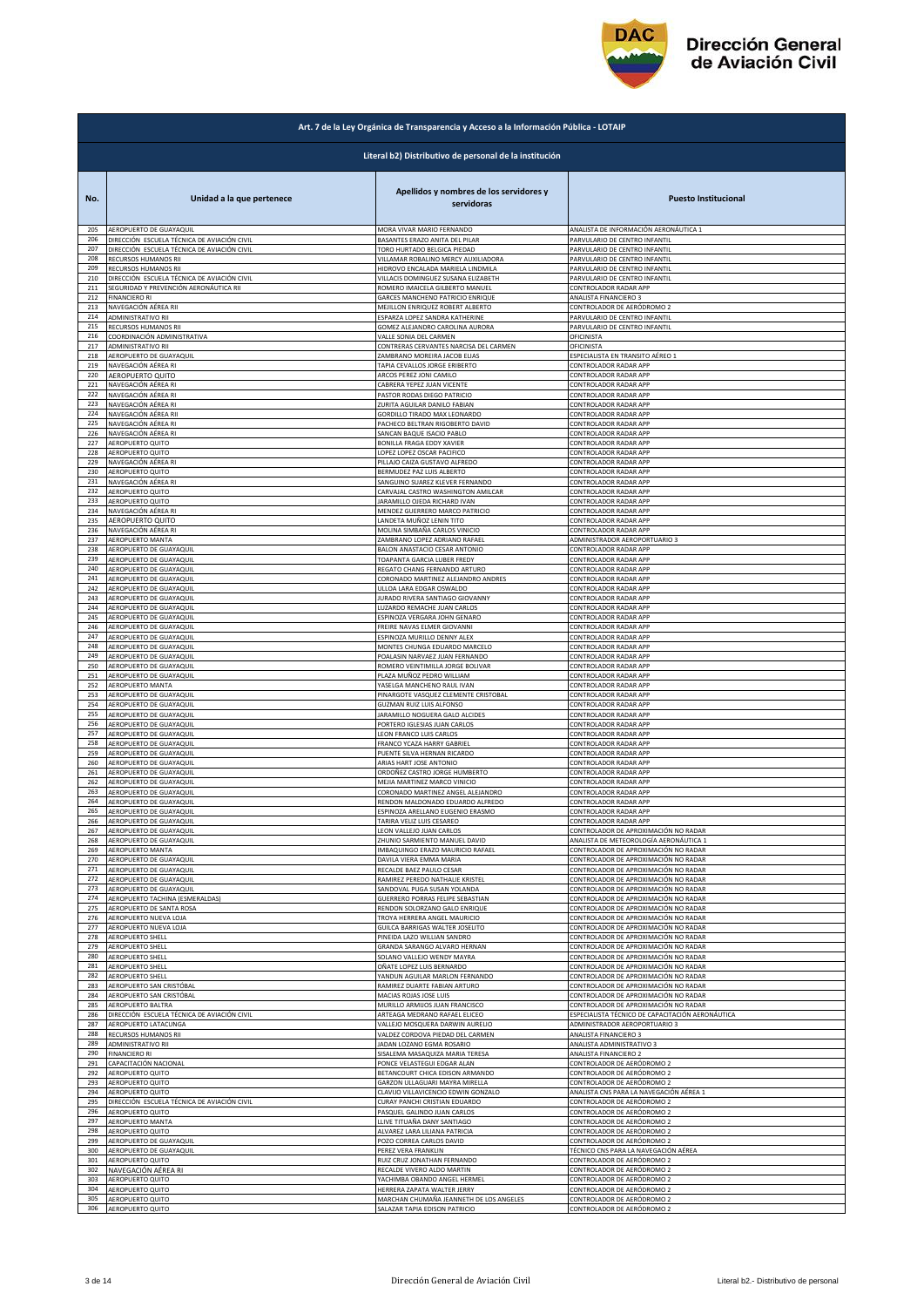

|            | Art. 7 de la Ley Orgánica de Transparencia y Acceso a la Información Pública - LOTAIP |                                                                |                                                                              |  |
|------------|---------------------------------------------------------------------------------------|----------------------------------------------------------------|------------------------------------------------------------------------------|--|
|            | Literal b2) Distributivo de personal de la institución                                |                                                                |                                                                              |  |
| No.        | Unidad a la que pertenece                                                             | Apellidos y nombres de los servidores y<br>servidoras          | <b>Puesto Institucional</b>                                                  |  |
| 205        | AEROPUERTO DE GUAYAQUIL                                                               | MORA VIVAR MARIO FERNANDO                                      | ANALISTA DE INFORMACIÓN AERONÁUTICA 1                                        |  |
| 206        | DIRECCIÓN ESCUELA TÉCNICA DE AVIACIÓN CIVIL                                           | BASANTES ERAZO ANITA DEL PILAR                                 | PARVULARIO DE CENTRO INFANTIL                                                |  |
| 207        | DIRECCIÓN ESCUELA TÉCNICA DE AVIACIÓN CIVIL                                           | TORO HURTADO BELGICA PIEDAD                                    | PARVULARIO DE CENTRO INFANTIL                                                |  |
| 208        | RECURSOS HUMANOS RII                                                                  | VILLAMAR ROBALINO MERCY AUXILIADORA                            | PARVULARIO DE CENTRO INFANTIL                                                |  |
| 209        | RECURSOS HUMANOS RII                                                                  | HIDROVO ENCALADA MARIELA LINDMILA                              | PARVULARIO DE CENTRO INFANTIL                                                |  |
| 210        | DIRECCIÓN ESCUELA TÉCNICA DE AVIACIÓN CIVIL                                           | VILLACIS DOMINGUEZ SUSANA ELIZABETH                            | PARVULARIO DE CENTRO INFANTIL                                                |  |
| 211        | SEGURIDAD Y PREVENCIÓN AERONÁUTICA RII                                                | ROMERO IMAICELA GILBERTO MANUEL                                | CONTROLADOR RADAR APP                                                        |  |
| 212        | <b>FINANCIERO RI</b>                                                                  | GARCES MANCHENO PATRICIO ENRIQUE                               | ANALISTA FINANCIERO 3                                                        |  |
| 213        | NAVEGACIÓN AÉREA RIL                                                                  | MEJILLON ENRIQUEZ ROBERT ALBERTO                               | CONTROLADOR DE AERÓDROMO 2                                                   |  |
| 214<br>215 | <b>ADMINISTRATIVO RII</b><br>RECURSOS HUMANOS RII                                     | ESPARZA LOPEZ SANDRA KATHERINE                                 | PARVULARIO DE CENTRO INFANTIL                                                |  |
| 216        | COORDINACIÓN ADMINISTRATIVA                                                           | GOMEZ ALEJANDRO CAROLINA AURORA<br>VALLE SONIA DEL CARMEN      | PARVULARIO DE CENTRO INFANTIL<br>OFICINISTA                                  |  |
| 217        | ADMINISTRATIVO RII                                                                    | CONTRERAS CERVANTES NARCISA DEL CARMEN                         | OFICINISTA                                                                   |  |
| 218        | AEROPUERTO DE GUAYAQUIL                                                               | ZAMBRANO MOREIRA JACOB ELIAS                                   | ESPECIALISTA EN TRANSITO AÉREO 1                                             |  |
| 219        | NAVEGACIÓN AÉREA RI                                                                   | TAPIA CEVALLOS JORGE ERIBERTO                                  | CONTROLADOR RADAR APP                                                        |  |
| 220        | AEROPUERTO QUITO                                                                      | ARCOS PEREZ JONI CAMILO                                        | CONTROLADOR RADAR APP                                                        |  |
| 221        | NAVEGACIÓN AÉREA RI                                                                   | CABRERA YEPEZ JUAN VICENTE                                     | CONTROLADOR RADAR APP                                                        |  |
| 222        | NAVEGACIÓN AÉREA RI                                                                   | PASTOR RODAS DIEGO PATRICIO                                    | CONTROLADOR RADAR APP                                                        |  |
| 223        | NAVEGACIÓN AÉREA RI                                                                   | ZURITA AGUILAR DANILO FABIAN                                   | CONTROLADOR RADAR APP                                                        |  |
| 224        | NAVEGACIÓN AÉREA RII                                                                  | GORDILLO TIRADO MAX LEONARDO                                   | CONTROLADOR RADAR APP                                                        |  |
| 225        | NAVEGACIÓN AÉREA RI                                                                   | PACHECO BELTRAN RIGOBERTO DAVID                                | CONTROLADOR RADAR APP                                                        |  |
| 226<br>227 | NAVEGACIÓN AÉREA RI                                                                   | SANCAN BAQUE ISACIO PABLO                                      | CONTROLADOR RADAR APP<br>CONTROLADOR RADAR APP                               |  |
| 228        | AEROPUERTO QUITO<br><b>AEROPUERTO QUITO</b>                                           | BONILLA FRAGA EDDY XAVIER<br>LOPEZ LOPEZ OSCAR PACIFICO        | CONTROLADOR RADAR APP                                                        |  |
| 229        | NAVEGACIÓN AÉREA RI                                                                   | PILLAJO CAIZA GUSTAVO ALFREDO                                  | CONTROLADOR RADAR APP                                                        |  |
| 230        | AEROPUERTO QUITO                                                                      | BERMUDEZ PAZ LUIS ALBERTO                                      | CONTROLADOR RADAR APP                                                        |  |
| 231        | NAVEGACIÓN AÉREA RI                                                                   | SANGUINO SUAREZ KLEVER FERNANDO                                | CONTROLADOR RADAR APP                                                        |  |
| 232        | AEROPUERTO QUITO                                                                      | CARVAJAL CASTRO WASHINGTON AMILCAR                             | CONTROLADOR RADAR APP                                                        |  |
| 233        | AEROPUERTO QUITO                                                                      | ARAMILLO OJEDA RICHARD IVAN                                    | CONTROLADOR RADAR APP                                                        |  |
| 234        | NAVEGACIÓN AÉREA RI                                                                   | MENDEZ GUERRERO MARCO PATRICIO                                 | CONTROLADOR RADAR APP                                                        |  |
| 235        | AEROPUERTO QUITO                                                                      | LANDETA MUÑOZ LENIN TITO                                       | CONTROLADOR RADAR APP                                                        |  |
| 236        | NAVEGACIÓN AÉREA RI                                                                   | MOLINA SIMBAÑA CARLOS VINICIO                                  | CONTROLADOR RADAR APP                                                        |  |
| 237        | AEROPUERTO MANTA                                                                      | ZAMBRANO LOPEZ ADRIANO RAFAEL                                  | ADMINISTRADOR AEROPORTUARIO 3                                                |  |
| 238        | AEROPUERTO DE GUAYAQUIL                                                               | BALON ANASTACIO CESAR ANTONIO                                  | CONTROLADOR RADAR APP                                                        |  |
| 239        | AEROPUERTO DE GUAYAQUIL                                                               | TOAPANTA GARCIA LUBER FREDY                                    | CONTROLADOR RADAR APP                                                        |  |
| 240        | AEROPUERTO DE GUAYAQUIL                                                               | REGATO CHANG FERNANDO ARTURO                                   | CONTROLADOR RADAR APP                                                        |  |
| 241        | AEROPUERTO DE GUAYAQUIL                                                               | CORONADO MARTINEZ ALEJANDRO ANDRES                             | CONTROLADOR RADAR APP                                                        |  |
| 242        | AEROPUERTO DE GUAYAQUIL                                                               | ULLOA LARA EDGAR OSWALDO                                       | CONTROLADOR RADAR APP                                                        |  |
| 243        | AEROPUERTO DE GUAYAQUIL                                                               | JURADO RIVERA SANTIAGO GIOVANNY                                | CONTROLADOR RADAR APP                                                        |  |
| 244        | AEROPUERTO DE GUAYAQUIL                                                               | LUZARDO REMACHE JUAN CARLOS                                    | CONTROLADOR RADAR APP                                                        |  |
| 245        | AEROPUERTO DE GUAYAQUIL                                                               | ESPINOZA VERGARA JOHN GENARO                                   | CONTROLADOR RADAR APP                                                        |  |
| 246        | AEROPUERTO DE GUAYAQUIL                                                               | FREIRE NAVAS ELMER GIOVANNI                                    | CONTROLADOR RADAR APP                                                        |  |
| 247        | AEROPUERTO DE GUAYAQUIL                                                               | ESPINOZA MURILLO DENNY ALEX                                    | CONTROLADOR RADAR APP                                                        |  |
| 248        | AEROPUERTO DE GUAYAQUIL                                                               | MONTES CHUNGA EDUARDO MARCELO                                  | CONTROLADOR RADAR APP                                                        |  |
| 249        | AEROPUERTO DE GUAYAQUIL                                                               | POALASIN NARVAEZ JUAN FERNANDO                                 | CONTROLADOR RADAR APP                                                        |  |
| 250        | AEROPUERTO DE GUAYAQUIL                                                               | ROMERO VEINTIMILLA JORGE BOLIVAR                               | CONTROLADOR RADAR APP                                                        |  |
| 251        | AEROPUERTO DE GUAYAQUIL                                                               | PLAZA MUÑOZ PEDRO WILLIAM                                      | CONTROLADOR RADAR APP                                                        |  |
| 252        | AEROPUERTO MANTA                                                                      | YASELGA MANCHENO RAUL IVAN                                     | CONTROLADOR RADAR APP                                                        |  |
| 253        | AEROPUERTO DE GUAYAQUIL                                                               | PINARGOTE VASQUEZ CLEMENTE CRISTOBAL                           | CONTROLADOR RADAR APP                                                        |  |
| 254        | AEROPUERTO DE GUAYAQUIL                                                               | GUZMAN RUIZ LUIS ALFONSO                                       | CONTROLADOR RADAR APP                                                        |  |
| 255        | AEROPUERTO DE GUAYAQUIL                                                               | JARAMILLO NOGUERA GALO ALCIDES                                 | CONTROLADOR RADAR APP                                                        |  |
| 256        | AEROPUERTO DE GUAYAQUIL                                                               | PORTERO IGLESIAS JUAN CARLOS                                   | CONTROLADOR RADAR APP                                                        |  |
| 257        | AEROPUERTO DE GUAYAQUIL                                                               | LEON FRANCO LUIS CARLOS                                        | CONTROLADOR RADAR APP                                                        |  |
| 258        | AEROPUERTO DE GUAYAQUIL                                                               | FRANCO YCAZA HARRY GABRIEL                                     | CONTROLADOR RADAR APP                                                        |  |
| 259        | AEROPUERTO DE GUAYAQUIL                                                               | PUENTE SILVA HERNAN RICARDO                                    | CONTROLADOR RADAR APP                                                        |  |
| 260        | AEROPUERTO DE GUAYAQUIL                                                               | ARIAS HART JOSE ANTONIO                                        | CONTROLADOR RADAR APP                                                        |  |
| 261        | AEROPUERTO DE GUAYAQUIL                                                               | ORDOÑEZ CASTRO JORGE HUMBERTO                                  | CONTROLADOR RADAR APP                                                        |  |
| 262        | AEROPUERTO DE GUAYAQUIL                                                               | MEJIA MARTINEZ MARCO VINICIO                                   | CONTROLADOR RADAR APP                                                        |  |
| 263        | AEROPUERTO DE GUAYAQUIL                                                               | CORONADO MARTINEZ ANGEL ALEJANDRO                              | CONTROLADOR RADAR APP                                                        |  |
| 264        | AEROPUERTO DE GUAYAQUIL                                                               | RENDON MALDONADO EDUARDO ALFREDO                               | CONTROLADOR RADAR APP                                                        |  |
| 265        | AEROPUERTO DE GUAYAQUIL                                                               | ESPINOZA ARELLANO EUGENIO ERASMO                               | CONTROLADOR RADAR APP                                                        |  |
| 266        | AEROPUERTO DE GUAYAQUIL                                                               | TARIRA VELIZ LUIS CESAREO                                      | CONTROLADOR RADAR APP                                                        |  |
| 267        | AEROPUERTO DE GUAYAQUIL                                                               | LEON VALLEJO JUAN CARLOS                                       | CONTROLADOR DE APROXIMACIÓN NO RADAR                                         |  |
| 268        | AEROPUERTO DE GUAYAQUIL                                                               | ZHUNIO SARMIENTO MANUEL DAVID                                  | ANALISTA DE METEOROLOGÍA AERONÁUTICA 1                                       |  |
| 269        | AEROPUERTO MANTA                                                                      | <b>IMBAQUINGO ERAZO MAURICIO RAFAEL</b>                        | CONTROLADOR DE APROXIMACIÓN NO RADAR                                         |  |
| 270        | AEROPUERTO DE GUAYAQUIL                                                               | DAVILA VIERA EMMA MARIA                                        | CONTROLADOR DE APROXIMACIÓN NO RADAR                                         |  |
| 271<br>272 | AEROPUERTO DE GUAYAQUIL                                                               | RECALDE BAEZ PAULO CESAR                                       | CONTROLADOR DE APROXIMACIÓN NO RADAR<br>CONTROLADOR DE APROXIMACIÓN NO RADAR |  |
| 273        | AEROPUERTO DE GUAYAQUIL<br>AEROPUERTO DE GUAYAQUIL                                    | RAMIREZ PEREDO NATHALIE KRISTEL<br>SANDOVAL PUGA SUSAN YOLANDA | CONTROLADOR DE APROXIMACIÓN NO RADAR                                         |  |
| 274        | AEROPUERTO TACHINA (ESMERALDAS)                                                       | GUERRERO PORRAS FELIPE SEBASTIAN                               | CONTROLADOR DE APROXIMACIÓN NO RADAR                                         |  |
| 275        | AEROPUERTO DE SANTA ROSA                                                              | RENDON SOLORZANO GALO ENRIQUE                                  | CONTROLADOR DE APROXIMACIÓN NO RADAR                                         |  |
| 276        | AEROPUERTO NUEVA LOJA                                                                 | TROYA HERRERA ANGEL MAURICIO                                   | CONTROLADOR DE APROXIMACIÓN NO RADAR                                         |  |
| 277        | AEROPUERTO NUEVA LOJA                                                                 | GUILCA BARRIGAS WALTER JOSELITO                                | CONTROLADOR DE APROXIMACIÓN NO RADAR                                         |  |
| 278        | AEROPUERTO SHELL                                                                      | PINEIDA LAZO WILLIAN SANDRO                                    | CONTROLADOR DE APROXIMACIÓN NO RADAR                                         |  |
| 279        | AEROPUERTO SHELL                                                                      | GRANDA SARANGO ALVARO HERNAN                                   | CONTROLADOR DE APROXIMACIÓN NO RADAR                                         |  |
| 280        | AEROPUERTO SHELL                                                                      | SOLANO VALLEJO WENDY MAYRA                                     | CONTROLADOR DE APROXIMACIÓN NO RADAR                                         |  |
| 281        | AEROPUERTO SHELL                                                                      | OÑATE LOPEZ LUIS BERNARDO                                      | CONTROLADOR DE APROXIMACIÓN NO RADAR                                         |  |
| 282        | AEROPUERTO SHELL                                                                      | YANDUN AGUILAR MARLON FERNANDO                                 | CONTROLADOR DE APROXIMACIÓN NO RADAR                                         |  |
| 283        | AEROPUERTO SAN CRISTÓBAL                                                              | RAMIREZ DUARTE FABIAN ARTURO                                   | CONTROLADOR DE APROXIMACIÓN NO RADAR                                         |  |
| 284        | AEROPUERTO SAN CRISTÓBAL                                                              | MACIAS ROJAS JOSE LUIS                                         | CONTROLADOR DE APROXIMACIÓN NO RADAR                                         |  |
| 285        | <b>AEROPUERTO BALTRA</b>                                                              | MURILLO ARMIJOS JUAN FRANCISCO                                 | CONTROLADOR DE APROXIMACIÓN NO RADAR                                         |  |
| 286        | DIRECCIÓN ESCUELA TÉCNICA DE AVIACIÓN CIVIL                                           | ARTEAGA MEDRANO RAFAEL ELICEO                                  | ESPECIALISTA TÉCNICO DE CAPACITACIÓN AERONÁUTICA                             |  |
| 287        | AEROPUERTO LATACUNGA                                                                  | VALLEJO MOSQUERA DARWIN AURELIO                                | ADMINISTRADOR AEROPORTUARIO 3                                                |  |
| 288        | RECURSOS HUMANOS RII                                                                  | VALDEZ CORDOVA PIEDAD DEL CARMEN                               | ANALISTA FINANCIERO 3                                                        |  |
| 289        | ADMINISTRATIVO RII                                                                    | JADAN LOZANO EGMA ROSARIO                                      | ANALISTA ADMINISTRATIVO 3                                                    |  |
| 290        | <b>FINANCIERO RI</b>                                                                  | SISALEMA MASAQUIZA MARIA TERESA                                | ANALISTA FINANCIERO 2                                                        |  |
| 291        | CAPACITACIÓN NACIONAL                                                                 | PONCE VELASTEGUI EDGAR ALAN                                    | CONTROLADOR DE AERÓDROMO 2                                                   |  |
| 292        | AEROPUERTO QUITO                                                                      | BETANCOURT CHICA EDISON ARMANDO                                | CONTROLADOR DE AERÓDROMO 2                                                   |  |
| 293        | AEROPUERTO QUITO                                                                      | GARZON ULLAGUARI MAYRA MIRELLA                                 | CONTROLADOR DE AERÓDROMO 2                                                   |  |
| 294        | AEROPUERTO QUITO                                                                      | CLAVIJO VILLAVICENCIO EDWIN GONZALO                            | ANALISTA CNS PARA LA NAVEGACIÓN AÉREA 1                                      |  |
| 295        | DIRECCIÓN ESCUELA TÉCNICA DE AVIACIÓN CIVIL                                           | CURAY PANCHI CRISTIAN EDUARDO                                  | CONTROLADOR DE AERÓDROMO 2                                                   |  |
| 296        | AEROPUERTO QUITO                                                                      | PASQUEL GALINDO JUAN CARLOS                                    | CONTROLADOR DE AERÓDROMO 2                                                   |  |
| 297        | AEROPUERTO MANTA                                                                      | LLIVE TITUAÑA DANY SANTIAGO                                    | CONTROLADOR DE AERÓDROMO 2                                                   |  |
| 298        | AEROPUERTO QUITO                                                                      | ALVAREZ LARA LILIANA PATRICIA                                  | CONTROLADOR DE AERÓDROMO 2                                                   |  |
| 299        | AEROPUERTO DE GUAYAQUIL                                                               | POZO CORREA CARLOS DAVID                                       | CONTROLADOR DE AERÓDROMO 2                                                   |  |
| 300        | AEROPUERTO DE GUAYAQUIL                                                               | PEREZ VERA FRANKLIN                                            | TÉCNICO CNS PARA LA NAVEGACIÓN AÉREA                                         |  |
| 301        | AEROPUERTO QUITO                                                                      | RUIZ CRUZ JONATHAN FERNANDO                                    | CONTROLADOR DE AERÓDROMO 2                                                   |  |
| 302        | NAVEGACIÓN AÉREA RI                                                                   | RECALDE VIVERO ALDO MARTIN                                     | CONTROLADOR DE AERÓDROMO 2                                                   |  |
| 303        | AEROPUERTO QUITO                                                                      | YACHIMBA OBANDO ANGEL HERMEL                                   | CONTROLADOR DE AERÓDROMO 2                                                   |  |
| 304        | AEROPUERTO QUITO                                                                      | HERRERA ZAPATA WALTER JERRY                                    | CONTROLADOR DE AERÓDROMO 2                                                   |  |
| 305        | AEROPUERTO QUITO                                                                      | MARCHAN CHUMAÑA JEANNETH DE LOS ANGELES                        | CONTROLADOR DE AERÓDROMO 2                                                   |  |
| 306        | AEROPUERTO QUITO                                                                      | SALAZAR TAPIA EDISON PATRICIO                                  | CONTROLADOR DE AERÓDROMO 2                                                   |  |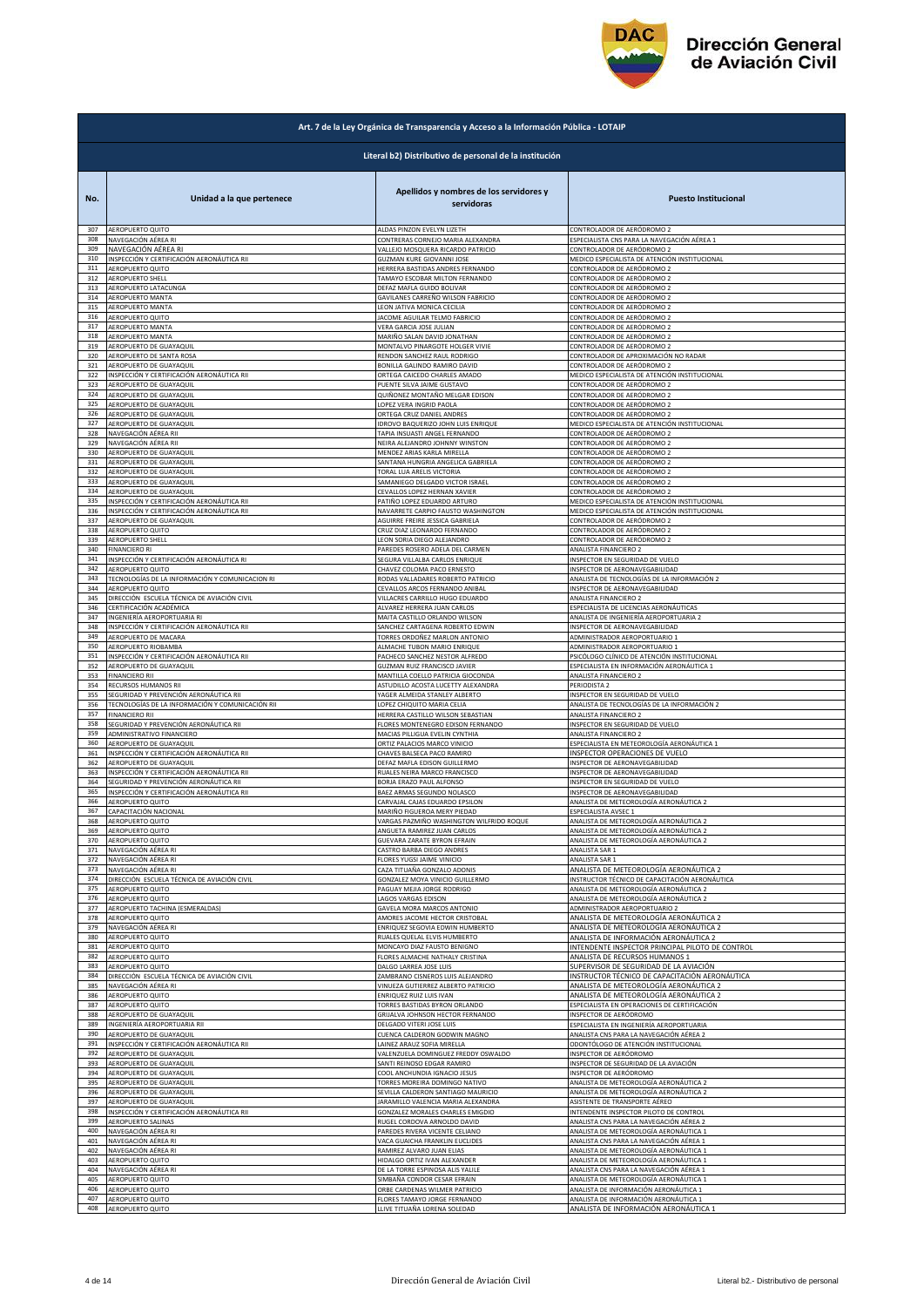

|            | Art. 7 de la Ley Orgánica de Transparencia y Acceso a la Información Pública - LOTAIP |                                                              |                                                          |  |
|------------|---------------------------------------------------------------------------------------|--------------------------------------------------------------|----------------------------------------------------------|--|
|            | Literal b2) Distributivo de personal de la institución                                |                                                              |                                                          |  |
| No.        | Unidad a la que pertenece                                                             | Apellidos y nombres de los servidores y<br>servidoras        | <b>Puesto Institucional</b>                              |  |
| 307        | AEROPUERTO QUITO                                                                      | ALDAS PINZON EVELYN LIZETH                                   | CONTROLADOR DE AERÓDROMO 2                               |  |
| 308        | NAVEGACIÓN AÉREA RI                                                                   | CONTRERAS CORNEJO MARIA ALEXANDRA                            | ESPECIALISTA CNS PARA LA NAVEGACIÓN AÉREA 1              |  |
| 309        | NAVEGACIÓN AÉREA RI                                                                   | VALLEJO MOSQUERA RICARDO PATRICIO                            | CONTROLADOR DE AERÓDROMO 2                               |  |
| 310        | INSPECCIÓN Y CERTIFICACIÓN AERONÁUTICA RII                                            | <b>GUZMAN KURE GIOVANNI JOSE</b>                             | MEDICO ESPECIALISTA DE ATENCIÓN INSTITUCIONAL            |  |
| 311<br>312 | AEROPUERTO QUITO                                                                      | HERRERA BASTIDAS ANDRES FERNANDO                             | CONTROLADOR DE AERÓDROMO 2                               |  |
| 313        | <b>AEROPUERTO SHELL</b>                                                               | TAMAYO ESCOBAR MILTON FERNANDO                               | CONTROLADOR DE AERÓDROMO 2                               |  |
|            | AEROPUERTO LATACUNGA                                                                  | DEFAZ MAFLA GUIDO BOLIVAR                                    | CONTROLADOR DE AERÓDROMO 2                               |  |
| 314        | AEROPUERTO MANTA                                                                      | GAVILANES CARREÑO WILSON FABRICIO                            | CONTROLADOR DE AERÓDROMO 2                               |  |
| 315        | AEROPUERTO MANTA                                                                      | LEON JATIVA MONICA CECILIA                                   | CONTROLADOR DE AERÓDROMO 2                               |  |
| 316        | <b>AEROPUERTO QUITO</b>                                                               | JACOME AGUILAR TELMO FABRICIO                                | CONTROLADOR DE AERÓDROMO 2                               |  |
| 317        | AEROPUERTO MANTA                                                                      | VERA GARCIA JOSE JULIAN                                      | CONTROLADOR DE AERÓDROMO 2                               |  |
| 318        | AEROPUERTO MANTA                                                                      | MARIÑO SALAN DAVID JONATHAN                                  | CONTROLADOR DE AERÓDROMO 2                               |  |
| 319        | AEROPUERTO DE GUAYAQUIL                                                               | MONTALVO PINARGOTE HOLGER VIVIE                              | CONTROLADOR DE AERÓDROMO 2                               |  |
| 320        | AEROPUERTO DE SANTA ROSA                                                              | RENDON SANCHEZ RAUL RODRIGO                                  | CONTROLADOR DE APROXIMACIÓN NO RADAR                     |  |
| 321        | AEROPUERTO DE GUAYAQUIL                                                               | BONILLA GALINDO RAMIRO DAVID                                 | CONTROLADOR DE AERÓDROMO 2                               |  |
| 322        | INSPECCIÓN Y CERTIFICACIÓN AERONÁUTICA RII                                            | ORTEGA CAICEDO CHARLES AMADO                                 | MEDICO ESPECIALISTA DE ATENCIÓN INSTITUCIONAL            |  |
| 323        | AEROPUERTO DE GUAYAQUIL                                                               | PUENTE SILVA JAIME GUSTAVO                                   | CONTROLADOR DE AERÓDROMO 2                               |  |
| 324        | AEROPUERTO DE GUAYAQUIL                                                               | QUIÑONEZ MONTAÑO MELGAR EDISON                               | CONTROLADOR DE AERÓDROMO 2                               |  |
| 325        | AEROPUERTO DE GUAYAQUIL                                                               | LOPEZ VERA INGRID PAOLA                                      | CONTROLADOR DE AERÓDROMO 2                               |  |
| 326        | AEROPUERTO DE GUAYAQUIL                                                               | ORTEGA CRUZ DANIEL ANDRES                                    | CONTROLADOR DE AERÓDROMO 2                               |  |
| 327        | AEROPUERTO DE GUAYAQUIL                                                               | <b>IDROVO BAQUERIZO JOHN LUIS ENRIQUE</b>                    | MEDICO ESPECIALISTA DE ATENCIÓN INSTITUCIONAL            |  |
| 328        | NAVEGACIÓN AÉREA RII                                                                  | TAPIA INSUASTI ANGEL FERNANDO                                | CONTROLADOR DE AERÓDROMO 2                               |  |
| 329        | NAVEGACIÓN AÉREA RII                                                                  | NEIRA ALEJANDRO JOHNNY WINSTON                               | CONTROLADOR DE AERÓDROMO 2                               |  |
| 330        | AEROPUERTO DE GUAYAQUIL                                                               | MENDEZ ARIAS KARLA MIRELLA                                   | CONTROLADOR DE AERÓDROMO 2                               |  |
| 331        | AEROPUERTO DE GUAYAQUIL                                                               | SANTANA HUNGRIA ANGELICA GABRIELA                            | CONTROLADOR DE AERÓDROMO 2                               |  |
| 332        | AEROPUERTO DE GUAYAQUIL<br>AEROPUERTO DE GUAYAQUIL                                    | TORAL LUA ARELIS VICTORIA<br>SAMANIEGO DELGADO VICTOR ISRAEL | CONTROLADOR DE AERÓDROMO 2                               |  |
| 333<br>334 | AEROPUERTO DE GUAYAQUIL                                                               | CEVALLOS LOPEZ HERNAN XAVIER                                 | CONTROLADOR DE AERÓDROMO 2<br>CONTROLADOR DE AERÓDROMO 2 |  |
| 335        | INSPECCIÓN Y CERTIFICACIÓN AERONÁUTICA RII                                            | PATIÑO LOPEZ EDUARDO ARTURO                                  | MEDICO ESPECIALISTA DE ATENCIÓN INSTITUCIONAL            |  |
| 336        | INSPECCIÓN Y CERTIFICACIÓN AERONÁUTICA RII                                            | NAVARRETE CARPIO FAUSTO WASHINGTON                           | MEDICO ESPECIALISTA DE ATENCIÓN INSTITUCIONAL            |  |
| 337        | AEROPUERTO DE GUAYAQUIL                                                               | AGUIRRE FREIRE JESSICA GABRIELA                              | CONTROLADOR DE AERÓDROMO 2                               |  |
| 338        | AEROPUERTO QUITO                                                                      | CRUZ DIAZ LEONARDO FERNANDO                                  | CONTROLADOR DE AERÓDROMO 2                               |  |
| 339        | AEROPUERTO SHELL                                                                      | LEON SORIA DIEGO ALEJANDRO                                   | CONTROLADOR DE AERÓDROMO 2                               |  |
| 340        | <b>FINANCIERO RI</b>                                                                  | PAREDES ROSERO ADELA DEL CARMEN                              | ANALISTA FINANCIERO 2                                    |  |
| 341        | INSPECCIÓN Y CERTIFICACIÓN AERONÁUTICA RI                                             | SEGURA VILLALBA CARLOS ENRIQUE                               | INSPECTOR EN SEGURIDAD DE VUELO                          |  |
| 342        | <b>AEROPUERTO QUITO</b>                                                               | CHAVEZ COLOMA PACO ERNESTO                                   | INSPECTOR DE AERONAVEGABILIDAD                           |  |
| 343        | TECNOLOGÍAS DE LA INFORMACIÓN Y COMUNICACION RI                                       | RODAS VALLADARES ROBERTO PATRICIO                            | ANALISTA DE TECNOLOGÍAS DE LA INFORMACIÓN 2              |  |
| 344        | AEROPUERTO QUITO                                                                      | CEVALLOS ARCOS FERNANDO ANIBAL                               | INSPECTOR DE AERONAVEGABILIDAD                           |  |
| 345        | DIRECCIÓN ESCUELA TÉCNICA DE AVIACIÓN CIVIL                                           | VILLACRES CARRILLO HUGO EDUARDO                              | ANALISTA FINANCIERO 2                                    |  |
| 346        | CERTIFICACIÓN ACADÉMICA                                                               | ALVAREZ HERRERA JUAN CARLOS                                  | ESPECIALISTA DE LICENCIAS AERONÁUTICAS                   |  |
| 347        | INGENIERÍA AEROPORTUARIA RI                                                           | MAITA CASTILLO ORLANDO WILSON                                | ANALISTA DE INGENIERÍA AEROPORTUARIA 2                   |  |
| 348        | INSPECCIÓN Y CERTIFICACIÓN AERONÁUTICA RII                                            | SANCHEZ CARTAGENA ROBERTO EDWIN                              | INSPECTOR DE AERONAVEGABILIDAD                           |  |
| 349        | AEROPUERTO DE MACARA                                                                  | <b>TORRES ORDOÑEZ MARLON ANTONIO</b>                         | ADMINISTRADOR AEROPORTUARIO 1                            |  |
| 350        | AEROPUERTO RIOBAMBA                                                                   | ALMACHE TUBON MARIO ENRIQUE                                  | ADMINISTRADOR AEROPORTUARIO 1                            |  |
| 351        | INSPECCIÓN Y CERTIFICACIÓN AERONÁUTICA RII                                            | PACHECO SANCHEZ NESTOR ALFREDO                               | PSICÓLOGO CLÍNICO DE ATENCIÓN INSTITUCIONAL              |  |
| 352        | AEROPUERTO DE GUAYAQUIL                                                               | GUZMAN RUIZ FRANCISCO JAVIER                                 | ESPECIALISTA EN INFORMACIÓN AERONÁUTICA 1                |  |
| 353<br>354 | <b>FINANCIERO RII</b>                                                                 | MANTILLA COELLO PATRICIA GIOCONDA                            | ANALISTA FINANCIERO 2                                    |  |
| 355        | RECURSOS HUMANOS RII                                                                  | ASTUDILLO ACOSTA LUCETTY ALEXANDRA                           | PERIODISTA 2                                             |  |
|            | SEGURIDAD Y PREVENCIÓN AERONÁUTICA RII                                                | YAGER ALMEIDA STANLEY ALBERTO                                | INSPECTOR EN SEGURIDAD DE VUELO                          |  |
| 356        | TECNOLOGÍAS DE LA INFORMACIÓN Y COMUNICACIÓN RII                                      | LOPEZ CHIQUITO MARIA CELIA                                   | ANALISTA DE TECNOLOGÍAS DE LA INFORMACIÓN 2              |  |
| 357        | <b>FINANCIERO RII</b>                                                                 | HERRERA CASTILLO WILSON SEBASTIAN                            | <b>ANALISTA FINANCIERO 2</b>                             |  |
| 358        | SEGURIDAD Y PREVENCIÓN AERONÁUTICA RII                                                | FLORES MONTENEGRO EDISON FERNANDO                            | INSPECTOR EN SEGURIDAD DE VUELO                          |  |
| 359        | ADMINISTRATIVO FINANCIERO                                                             | MACIAS PILLIGUA EVELIN CYNTHIA                               | ANALISTA FINANCIERO 2                                    |  |
| 360        | AEROPUERTO DE GUAYAQUIL                                                               | ORTIZ PALACIOS MARCO VINICIO                                 | ESPECIALISTA EN METEOROLOGÍA AERONÁUTICA 1               |  |
| 361        | INSPECCIÓN Y CERTIFICACIÓN AERONÁUTICA RII                                            | CHAVES BALSECA PACO RAMIRO                                   | INSPECTOR OPERACIONES DE VUELO                           |  |
| 362        | AEROPUERTO DE GUAYAQUIL                                                               | DEFAZ MAFLA EDISON GUILLERMO                                 | INSPECTOR DE AERONAVEGABILIDAD                           |  |
| 363        | INSPECCIÓN Y CERTIFICACIÓN AERONÁUTICA RII                                            | RUALES NEIRA MARCO FRANCISCO                                 | INSPECTOR DE AERONAVEGABILIDAD                           |  |
| 364        | SEGURIDAD Y PREVENCIÓN AERONÁUTICA RII                                                | BORJA ERAZO PAUL ALFONSO                                     | INSPECTOR EN SEGURIDAD DE VUELO                          |  |
| 365        | INSPECCIÓN Y CERTIFICACIÓN AERONÁUTICA RII                                            | BAEZ ARMAS SEGUNDO NOLASCO                                   | INSPECTOR DE AERONAVEGABILIDAD                           |  |
| 366        | AEROPUERTO QUITO                                                                      | CARVAJAL CAJAS EDUARDO EPSILON                               | ANALISTA DE METEOROLOGÍA AERONÁUTICA 2                   |  |
| 367        | CAPACITACION NACIONA                                                                  | WAKINU FIGUEKUA MEKY PIEDAL                                  | ESPECIALISTA AVSEC :                                     |  |
| 368        | AEROPUERTO QUITO                                                                      | VARGAS PAZMIÑO WASHINGTON WILFRIDO ROQUE                     | ANALISTA DE METEOROLOGÍA AERONÁUTICA 2                   |  |
| 369        | AEROPUERTO QUITO                                                                      | ANGUETA RAMIREZ JUAN CARLOS                                  | ANALISTA DE METEOROLOGÍA AERONÁUTICA 2                   |  |
| 370        | AEROPUERTO QUITO                                                                      | <b>GUEVARA ZARATE BYRON EFRAIN</b>                           | ANALISTA DE METEOROLOGÍA AERONÁUTICA 2                   |  |
| 371        | NAVEGACIÓN AÉREA RI                                                                   | CASTRO BARBA DIEGO ANDRES                                    | ANALISTA SAR 1                                           |  |
| 372        | NAVEGACIÓN AÉREA RI                                                                   | FLORES YUGSI JAIME VINICIO                                   | ANALISTA SAR 1                                           |  |
| 373        | NAVEGACIÓN AÉREA RI                                                                   | CAZA TITUAÑA GONZALO ADONIS                                  | ANALISTA DE METEOROLOGÍA AERONÁUTICA 2                   |  |
| 374        | DIRECCIÓN ESCUELA TÉCNICA DE AVIACIÓN CIVIL                                           | GONZALEZ MOYA VINICIO GUILLERMO                              | INSTRUCTOR TÉCNICO DE CAPACITACIÓN AERONÁUTICA           |  |
| 375        | AEROPUERTO QUITO                                                                      | PAGUAY MEJIA JORGE RODRIGO                                   | ANALISTA DE METEOROLOGÍA AERONÁUTICA 2                   |  |
| 376        | AEROPUERTO QUITO                                                                      | AGOS VARGAS EDISON                                           | ANALISTA DE METEOROLOGÍA AERONÁUTICA 2                   |  |
| 377        | AEROPUERTO TACHINA (ESMERALDAS)                                                       | GAVELA MORA MARCOS ANTONIO                                   | ADMINISTRADOR AEROPORTUARIO 2                            |  |
| 378        | AEROPUERTO QUITO                                                                      | AMORES JACOME HECTOR CRISTOBAL                               | ANALISTA DE METEOROLOGÍA AERONÁUTICA 2                   |  |
| 379        | NAVEGACIÓN AÉREA RI                                                                   | ENRIQUEZ SEGOVIA EDWIN HUMBERTO                              | ANALISTA DE METEOROLOGÍA AERONÁUTICA 2                   |  |
| 380        | AEROPUERTO QUITO                                                                      | RUALES QUELAL ELVIS HUMBERTO                                 | ANALISTA DE INFORMACIÓN AERONÁUTICA 2                    |  |
| 381        | AEROPUERTO QUITO                                                                      | MONCAYO DIAZ FAUSTO BENIGNO                                  | INTENDENTE INSPECTOR PRINCIPAL PILOTO DE CONTROL         |  |
| 382        | AEROPUERTO QUITO                                                                      | FLORES ALMACHE NATHALY CRISTINA                              | ANALISTA DE RECURSOS HUMANOS 1                           |  |
| 383        | AEROPUERTO QUITO                                                                      | DALGO LARREA JOSE LUIS                                       | SUPERVISOR DE SEGURIDAD DE LA AVIACIÓN                   |  |
| 384        | DIRECCIÓN ESCUELA TÉCNICA DE AVIACIÓN CIVIL                                           | ZAMBRANO CISNEROS LUIS ALEJANDRO                             | INSTRUCTOR TÉCNICO DE CAPACITACIÓN AERONÁUTICA           |  |
| 385        | NAVEGACIÓN AÉREA RI                                                                   | VINUEZA GUTIERREZ ALBERTO PATRICIO                           | ANALISTA DE METEOROLOGÍA AERONÁUTICA 2                   |  |
| 386        | AEROPUERTO QUITO                                                                      | ENRIQUEZ RUIZ LUIS IVAN                                      | ANALISTA DE METEOROLOGÍA AERONÁUTICA 2                   |  |
| 387        | AEROPUERTO QUITO                                                                      | TORRES BASTIDAS BYRON ORLANDO                                | ESPECIALISTA EN OPERACIONES DE CERTIFICACIÓN             |  |
| 388        | AEROPUERTO DE GUAYAQUIL                                                               | GRIJALVA JOHNSON HECTOR FERNANDO                             | INSPECTOR DE AERÓDROMO                                   |  |
| 389        | INGENIERÍA AEROPORTUARIA RII                                                          | DELGADO VITERI JOSE LUIS                                     | ESPECIALISTA EN INGENIERÍA AEROPORTUARIA                 |  |
| 390        | AEROPUERTO DE GUAYAQUIL                                                               | CUENCA CALDERON GODWIN MAGNO                                 | ANALISTA CNS PARA LA NAVEGACIÓN AÉREA 2                  |  |
| 391        | INSPECCIÓN Y CERTIFICACIÓN AERONÁUTICA RII                                            | LAINEZ ARAUZ SOFIA MIRELLA                                   | ODONTÓLOGO DE ATENCIÓN INSTITUCIONAL                     |  |
| 392        | AEROPUERTO DE GUAYAQUIL                                                               | VALENZUELA DOMINGUEZ FREDDY OSWALDO                          | INSPECTOR DE AERÓDROMO                                   |  |
| 393        | AEROPUERTO DE GUAYAQUIL                                                               | SANTI REINOSO EDGAR RAMIRO                                   | INSPECTOR DE SEGURIDAD DE LA AVIACIÓN                    |  |
| 394        | AEROPUERTO DE GUAYAQUIL                                                               | COOL ANCHUNDIA IGNACIO JESUS                                 | INSPECTOR DE AERÓDROMO                                   |  |
| 395        | AEROPUERTO DE GUAYAQUIL                                                               | <b>TORRES MOREIRA DOMINGO NATIVO</b>                         | ANALISTA DE METEOROLOGÍA AERONÁUTICA 2                   |  |
| 396        | AEROPUERTO DE GUAYAQUIL                                                               | SEVILLA CALDERON SANTIAGO MAURICIO                           | ANALISTA DE METEOROLOGÍA AERONÁUTICA 2                   |  |
| 397        | AEROPUERTO DE GUAYAQUIL                                                               | JARAMILLO VALENCIA MARIA ALEXANDRA                           | ASISTENTE DE TRANSPORTE AÉREO                            |  |
| 398        | INSPECCIÓN Y CERTIFICACIÓN AERONÁUTICA RII                                            | GONZALEZ MORALES CHARLES EMIGDIO                             | INTENDENTE INSPECTOR PILOTO DE CONTROL                   |  |
| 399        | AEROPUERTO SALINAS                                                                    | RUGEL CORDOVA ARNOLDO DAVID                                  | ANALISTA CNS PARA LA NAVEGACIÓN AÉREA 2                  |  |
| 400        | NAVEGACIÓN AÉREA RI                                                                   | PAREDES RIVERA VICENTE CELIANO                               | ANALISTA DE METEOROLOGÍA AERONÁUTICA 1                   |  |
| 401        | NAVEGACIÓN AÉREA RI                                                                   | VACA GUAICHA FRANKLIN EUCLIDES                               | ANALISTA CNS PARA LA NAVEGACIÓN AÉREA 1                  |  |
| 402        | NAVEGACIÓN AÉREA RI                                                                   | RAMIREZ ALVARO JUAN ELIAS                                    | ANALISTA DE METEOROLOGÍA AERONÁUTICA 1                   |  |
| 403        | AEROPUERTO QUITO                                                                      | HIDALGO ORTIZ IVAN ALEXANDER                                 | ANALISTA DE METEOROLOGÍA AERONÁUTICA 1                   |  |
| 404        | NAVEGACIÓN AÉREA RI                                                                   | DE LA TORRE ESPINOSA ALIS YALILE                             | ANALISTA CNS PARA LA NAVEGACIÓN AÉREA 1                  |  |
| 405        | AEROPUERTO QUITO                                                                      | SIMBAÑA CONDOR CESAR EFRAIN                                  | ANALISTA DE METEOROLOGÍA AERONÁUTICA 1                   |  |
| 406        | AEROPUERTO QUITO                                                                      | ORBE CARDENAS WILMER PATRICIO                                | ANALISTA DE INFORMACIÓN AERONÁUTICA 1                    |  |
| 407        | AEROPUERTO QUITO                                                                      | FLORES TAMAYO JORGE FERNANDO                                 | ANALISTA DE INFORMACIÓN AERONÁUTICA 1                    |  |
| 408        | AEROPUERTO QUITO                                                                      | LLIVE TITUAÑA LORENA SOLEDAD                                 | ANALISTA DE INFORMACIÓN AERONÁUTICA 1                    |  |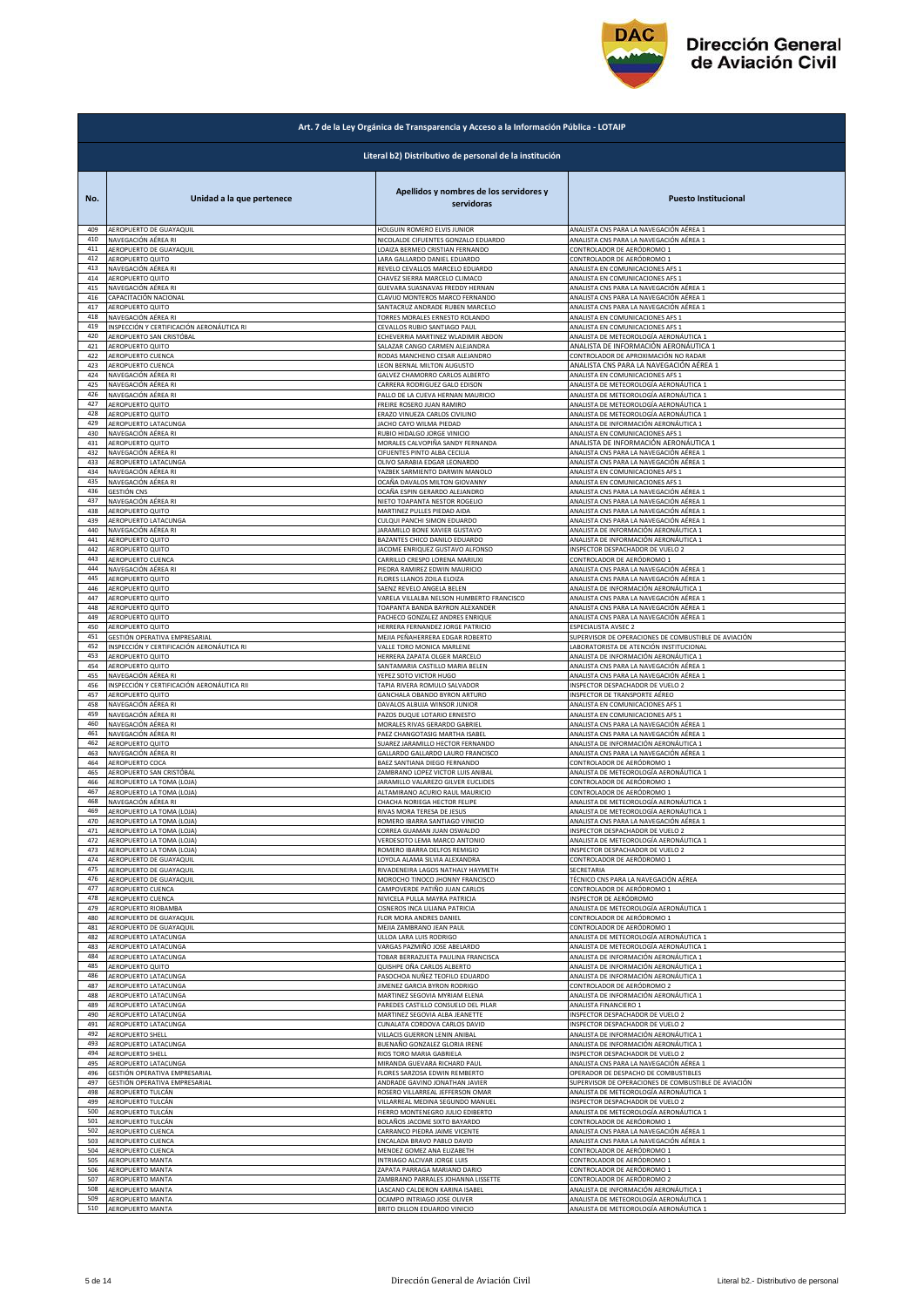

|                   | Art. 7 de la Ley Orgánica de Transparencia y Acceso a la Información Pública - LOTAIP |                                                                    |                                                                                              |  |
|-------------------|---------------------------------------------------------------------------------------|--------------------------------------------------------------------|----------------------------------------------------------------------------------------------|--|
|                   | Literal b2) Distributivo de personal de la institución                                |                                                                    |                                                                                              |  |
| No.               | Unidad a la que pertenece                                                             | Apellidos y nombres de los servidores y<br>servidoras              | <b>Puesto Institucional</b>                                                                  |  |
| 409               | AEROPUERTO DE GUAYAQUIL                                                               | HOLGUIN ROMERO ELVIS JUNIOR                                        | ANALISTA CNS PARA LA NAVEGACIÓN AÉREA 1                                                      |  |
| 410               | NAVEGACIÓN AÉREA RI                                                                   | NICOLALDE CIFUENTES GONZALO EDUARDO                                | ANALISTA CNS PARA LA NAVEGACIÓN AÉREA 1                                                      |  |
| 411               | AEROPUERTO DE GUAYAQUIL                                                               | LOAIZA BERMEO CRISTIAN FERNANDO                                    | CONTROLADOR DE AERÓDROMO 1                                                                   |  |
| 412               | AEROPUERTO QUITO                                                                      | LARA GALLARDO DANIEL EDUARDO                                       | CONTROLADOR DE AERÓDROMO 1                                                                   |  |
| 413               | NAVEGACIÓN AÉREA RI                                                                   | REVELO CEVALLOS MARCELO EDUARDO                                    | ANALISTA EN COMUNICACIONES AFS 1                                                             |  |
| 414               | AEROPUERTO QUITO                                                                      | CHAVEZ SIERRA MARCELO CLIMACO                                      | ANALISTA EN COMUNICACIONES AFS 1                                                             |  |
| 415               | NAVEGACIÓN AÉREA RI                                                                   | GUEVARA SUASNAVAS FREDDY HERNAN                                    | ANALISTA CNS PARA LA NAVEGACIÓN AÉREA 1                                                      |  |
| 416               | CAPACITACIÓN NACIONAL                                                                 | CLAVIJO MONTEROS MARCO FERNANDO                                    | ANALISTA CNS PARA LA NAVEGACIÓN AÉREA 1                                                      |  |
| 417               | AEROPUERTO QUITO                                                                      | SANTACRUZ ANDRADE RUBEN MARCELO                                    | ANALISTA CNS PARA LA NAVEGACIÓN AÉREA 1                                                      |  |
| 418               | NAVEGACIÓN AÉREA RI                                                                   | TORRES MORALES ERNESTO ROLANDO                                     | ANALISTA EN COMUNICACIONES AFS 1                                                             |  |
| 419               | NSPECCIÓN Y CERTIFICACIÓN AERONÁUTICA RI                                              | CEVALLOS RUBIO SANTIAGO PAUL                                       | ANALISTA EN COMUNICACIONES AFS 1                                                             |  |
| 420               | AEROPUERTO SAN CRISTÓBAL                                                              | ECHEVERRIA MARTINEZ WLADIMIR ABDON                                 | ANALISTA DE METEOROLOGÍA AERONÁUTICA 1                                                       |  |
| 421               | AEROPUERTO QUITO                                                                      | SALAZAR CANGO CARMEN ALEJANDRA                                     | ANALISTA DE INFORMACIÓN AERONÁUTICA 1                                                        |  |
| 422               | AEROPUERTO CUENCA                                                                     | RODAS MANCHENO CESAR ALEJANDRO                                     | CONTROLADOR DE APROXIMACIÓN NO RADAR                                                         |  |
| 423               | AEROPUERTO CUENCA                                                                     | LEON BERNAL MILTON AUGUSTO                                         | ANALISTA CNS PARA LA NAVEGACIÓN AÉREA 1                                                      |  |
| 424               | NAVEGACIÓN AÉREA RI                                                                   | GALVEZ CHAMORRO CARLOS ALBERTO                                     | ANALISTA EN COMUNICACIONES AFS 1                                                             |  |
| 425               | NAVEGACIÓN AÉREA RI                                                                   | CARRERA RODRIGUEZ GALO EDISON                                      | ANALISTA DE METEOROLOGÍA AERONÁUTICA 1                                                       |  |
| 426               | NAVEGACIÓN AÉREA RI                                                                   | PALLO DE LA CUEVA HERNAN MAURICIO                                  | ANALISTA DE METEOROLOGÍA AERONÁUTICA 1                                                       |  |
| 427               | <b>AEROPUERTO QUITO</b>                                                               | FREIRE ROSERO JUAN RAMIRO                                          | ANALISTA DE METEOROLOGÍA AERONÁUTICA 1                                                       |  |
| 428               | AEROPUERTO QUITO                                                                      | ERAZO VINUEZA CARLOS CIVILINO                                      | ANALISTA DE METEOROLOGÍA AERONÁUTICA 1                                                       |  |
| 429               | AEROPUERTO LATACUNGA                                                                  | JACHO CAYO WILMA PIEDAD                                            | ANALISTA DE INFORMACIÓN AERONÁUTICA 1                                                        |  |
| 430               | NAVEGACIÓN AÉREA RI                                                                   | RUBIO HIDALGO JORGE VINICIO                                        | ANALISTA EN COMUNICACIONES AFS 1                                                             |  |
| 431               | <b>AEROPUERTO QUITO</b>                                                               | MORALES CALVOPIÑA SANDY FERNANDA                                   | ANALISTA DE INFORMACIÓN AERONÁUTICA 1                                                        |  |
| 432               | NAVEGACIÓN AÉREA RI                                                                   | CIFUENTES PINTO ALBA CECILIA                                       | ANALISTA CNS PARA LA NAVEGACIÓN AÉREA 1                                                      |  |
| 433               | AEROPUERTO LATACUNGA                                                                  | OLIVO SARABIA EDGAR LEONARDO                                       | ANALISTA CNS PARA LA NAVEGACIÓN AÉREA 1                                                      |  |
| 434               | NAVEGACIÓN AÉREA RI                                                                   | YAZBEK SARMIENTO DARWIN MANOLO                                     | ANALISTA EN COMUNICACIONES AFS 1                                                             |  |
| 435               | NAVEGACIÓN AÉREA RI                                                                   | OCAÑA DAVALOS MILTON GIOVANNY                                      | ANALISTA EN COMUNICACIONES AFS 1                                                             |  |
| 436               | <b>GESTIÓN CNS</b>                                                                    | OCAÑA ESPIN GERARDO ALEJANDRO                                      | ANALISTA CNS PARA LA NAVEGACIÓN AÉREA 1                                                      |  |
| 437               | NAVEGACIÓN AÉREA RI                                                                   | NIETO TOAPANTA NESTOR ROGELIO                                      | ANALISTA CNS PARA LA NAVEGACIÓN AÉREA 1                                                      |  |
| 438               | AEROPUERTO QUITO                                                                      | MARTINEZ PULLES PIEDAD AIDA                                        | ANALISTA CNS PARA LA NAVEGACIÓN AÉREA 1                                                      |  |
| 439               | AEROPUERTO LATACUNGA                                                                  | CULQUI PANCHI SIMON EDUARDO                                        | ANALISTA CNS PARA LA NAVEGACIÓN AÉREA 1                                                      |  |
| 440               | NAVEGACIÓN AÉREA RI                                                                   | JARAMILLO BONE XAVIER GUSTAVO                                      | ANALISTA DE INFORMACIÓN AERONÁUTICA 1                                                        |  |
| 441               | AEROPUERTO QUITO                                                                      | BAZANTES CHICO DANILO EDUARDO                                      | ANALISTA DE INFORMACIÓN AERONÁUTICA 1                                                        |  |
| 442               | AEROPUERTO QUITO                                                                      |                                                                    | <b>NSPECTOR DESPACHADOR DE VUELO 2</b>                                                       |  |
| 443               | AEROPUERTO CUENCA                                                                     | JACOME ENRIQUEZ GUSTAVO ALFONSO<br>CARRILLO CRESPO LORENA MARIUXI  | CONTROLADOR DE AERÓDROMO 1                                                                   |  |
| 444               | NAVEGACIÓN AÉREA RI                                                                   | PIEDRA RAMIREZ EDWIN MAURICIO                                      | ANALISTA CNS PARA LA NAVEGACIÓN AÉREA 1                                                      |  |
| 445               | AEROPUERTO QUITO                                                                      | FLORES LLANOS ZOILA ELOIZA                                         | ANALISTA CNS PARA LA NAVEGACIÓN AÉREA 1                                                      |  |
| 446               | AEROPUERTO QUITO                                                                      | SAENZ REVELO ANGELA BELEN                                          | ANALISTA DE INFORMACIÓN AERONÁUTICA 1                                                        |  |
| 447               | AEROPUERTO QUITO                                                                      | VARELA VILLALBA NELSON HUMBERTO FRANCISCO                          | ANALISTA CNS PARA LA NAVEGACIÓN AÉREA 1                                                      |  |
| 448               | AEROPUERTO QUITO                                                                      | TOAPANTA BANDA BAYRON ALEXANDER                                    | ANALISTA CNS PARA LA NAVEGACIÓN AÉREA 1                                                      |  |
| 449               | AEROPUERTO QUITO                                                                      | PACHECO GONZALEZ ANDRES ENRIQUE                                    | ANALISTA CNS PARA LA NAVEGACIÓN AÉREA 1                                                      |  |
| 450               | AEROPUERTO QUITO                                                                      | HERRERA FERNANDEZ JORGE PATRICIO                                   | <b>SPECIALISTA AVSEC 2</b>                                                                   |  |
| 451               | GESTIÓN OPERATIVA EMPRESARIAI                                                         | MEJIA PEÑAHERRERA EDGAR ROBERTO                                    | SUPERVISOR DE OPERACIONES DE COMBUSTIBLE DE AVIACIÓN                                         |  |
| 452               | INSPECCIÓN Y CERTIFICACIÓN AERONÁUTICA RI                                             | VALLE TORO MONICA MARLENE                                          | ABORATORISTA DE ATENCIÓN INSTITUCIONAL                                                       |  |
| 453               | AEROPUERTO QUITO                                                                      | HERRERA ZAPATA OLGER MARCELO                                       | ANALISTA DE INFORMACIÓN AERONÁUTICA 1                                                        |  |
| 454               | AEROPUERTO QUITO                                                                      | SANTAMARIA CASTILLO MARIA BELEN                                    | ANALISTA CNS PARA LA NAVEGACIÓN AÉREA 1                                                      |  |
| 455               | NAVEGACIÓN AÉREA RI                                                                   | YEPEZ SOTO VICTOR HUGO                                             | ANALISTA CNS PARA LA NAVEGACIÓN AÉREA 1                                                      |  |
| 456               | NSPECCIÓN Y CERTIFICACIÓN AERONÁUTICA RII                                             | TAPIA RIVERA ROMULO SALVADOR                                       | NSPECTOR DESPACHADOR DE VUELO 2                                                              |  |
| 457               | <b>AEROPUERTO QUITO</b>                                                               | GANCHALA OBANDO BYRON ARTURO                                       | NSPECTOR DE TRANSPORTE AÉREO                                                                 |  |
| 458               | NAVEGACIÓN AÉREA RI                                                                   | DAVALOS ALBUJA WINSOR JUNIOR                                       | ANALISTA EN COMUNICACIONES AFS 1                                                             |  |
| 459               | NAVEGACIÓN AÉREA RI                                                                   | PAZOS DUQUE LOTARIO ERNESTO                                        | ANALISTA EN COMUNICACIONES AFS 1                                                             |  |
| 460               | NAVEGACIÓN AÉREA RI                                                                   | MORALES RIVAS GERARDO GABRIEL                                      | ANALISTA CNS PARA LA NAVEGACIÓN AÉREA 1                                                      |  |
| 461               | NAVEGACIÓN AÉREA RI                                                                   | PAEZ CHANGOTASIG MARTHA ISABEI                                     | ANALISTA CNS PARA LA NAVEGACIÓN AÉREA 1                                                      |  |
| 462               | AEROPUERTO QUITO                                                                      | SUAREZ JARAMILLO HECTOR FERNANDO                                   | ANALISTA DE INFORMACIÓN AERONÁUTICA 1                                                        |  |
| 463               | NAVEGACIÓN AÉREA RI                                                                   | GALLARDO GALLARDO LAURO FRANCISCO                                  | ANALISTA CNS PARA LA NAVEGACIÓN AÉREA 1                                                      |  |
| 464               | AEROPUERTO COCA                                                                       | BAEZ SANTIANA DIEGO FERNANDO                                       | CONTROLADOR DE AERÓDROMO 1                                                                   |  |
| 465               | AEROPUERTO SAN CRISTÓBAL                                                              | ZAMBRANO LOPEZ VICTOR LUIS ANIBAL                                  | ANALISTA DE METEOROLOGÍA AERONÁUTICA 1                                                       |  |
| 466               | AEROPUERTO LA TOMA (LOJA)                                                             | JARAMILLO VALAREZO GILVER EUCLIDES                                 | CONTROLADOR DE AERÓDROMO 1                                                                   |  |
| 467               | AEROPUERTO LA TOMA (LOJA)                                                             | ALTAMIRANO ACURIO RAUL MAURICIO                                    | CONTROLADOR DE AERÓDROMO 1                                                                   |  |
| 468               | NAVEGACIÓN AÉREA RI                                                                   | CHACHA NORIEGA HECTOR FELIPE                                       | ANALISTA DE METEOROLOGÍA AERONÁUTICA 1                                                       |  |
| 469               | AEROPUERTO LA TOMA (LOJA                                                              | RIVAS MORA TERESA DE JESUS                                         | ANALISTA DE METEOROLOGIA AERONAUTICA 1                                                       |  |
| 470               | AEROPUERTO LA TOMA (LOJA)                                                             | ROMERO IBARRA SANTIAGO VINICIO                                     | ANALISTA CNS PARA LA NAVEGACIÓN AÉREA 1                                                      |  |
| 471               | AEROPUERTO LA TOMA (LOJA)                                                             | CORREA GUAMAN JUAN OSWALDO                                         | NSPECTOR DESPACHADOR DE VUELO 2                                                              |  |
| 472               | AEROPUERTO LA TOMA (LOJA)                                                             | VERDESOTO LEMA MARCO ANTONIO                                       | ANALISTA DE METEOROLOGÍA AERONÁUTICA 1                                                       |  |
| 473               | AEROPUERTO LA TOMA (LOJA)                                                             | ROMERO IBARRA DELFOS REMIGIO                                       | NSPECTOR DESPACHADOR DE VUELO 2                                                              |  |
| 474               | AEROPUERTO DE GUAYAQUIL                                                               | LOYOLA ALAMA SILVIA ALEXANDRA                                      | CONTROLADOR DE AERÓDROMO 1                                                                   |  |
| 475               | AEROPUERTO DE GUAYAQUIL                                                               | RIVADENEIRA LAGOS NATHALY HAYMETH                                  | SECRETARIA                                                                                   |  |
| 476               | AEROPUERTO DE GUAYAQUIL                                                               | MOROCHO TINOCO JHONNY FRANCISCO                                    | TÉCNICO CNS PARA LA NAVEGACIÓN AÉREA                                                         |  |
| 477               | AEROPUERTO CUENCA                                                                     | CAMPOVERDE PATIÑO JUAN CARLOS                                      | CONTROLADOR DE AERÓDROMO 1                                                                   |  |
| 478               | AEROPUERTO CUENCA                                                                     | NIVICELA PULLA MAYRA PATRICIA                                      | INSPECTOR DE AERÓDROMO                                                                       |  |
| 479               | AEROPUERTO RIOBAMBA                                                                   | CISNEROS INCA LILIANA PATRICIA                                     | ANALISTA DE METEOROLOGÍA AERONÁUTICA 1                                                       |  |
| 480               | AEROPUERTO DE GUAYAQUIL                                                               | FLOR MORA ANDRES DANIEL                                            | CONTROLADOR DE AERÓDROMO 1                                                                   |  |
| 481               | AEROPUERTO DE GUAYAQUIL                                                               | MEJIA ZAMBRANO JEAN PAUL                                           | CONTROLADOR DE AERÓDROMO 1                                                                   |  |
| 482               | AEROPUERTO LATACUNGA                                                                  | ULLOA LARA LUIS RODRIGO                                            | ANALISTA DE METEOROLOGÍA AERONÁUTICA 1                                                       |  |
| 483               | AEROPUERTO LATACUNGA                                                                  | VARGAS PAZMIÑO JOSE ABELARDO                                       | ANALISTA DE METEOROLOGÍA AERONÁUTICA 1                                                       |  |
| 484               | AEROPUERTO LATACUNGA                                                                  | TOBAR BERRAZUETA PAULINA FRANCISCA                                 | ANALISTA DE INFORMACIÓN AERONÁUTICA 1                                                        |  |
| 485               | AEROPUERTO QUITO                                                                      | QUISHPE OÑA CARLOS ALBERTO                                         | ANALISTA DE INFORMACIÓN AERONÁUTICA 1                                                        |  |
| 486               | AEROPUERTO LATACUNGA                                                                  | PASOCHOA NUÑEZ TEOFILO EDUARDO                                     | ANALISTA DE INFORMACIÓN AERONÁUTICA 1                                                        |  |
| 487               | AEROPUERTO LATACUNGA                                                                  | JIMENEZ GARCIA BYRON RODRIGO                                       | CONTROLADOR DE AERÓDROMO 2                                                                   |  |
| 488               | AEROPUERTO LATACUNGA                                                                  | MARTINEZ SEGOVIA MYRIAM ELENA                                      | ANALISTA DE INFORMACIÓN AERONÁUTICA 1                                                        |  |
| 489               | AEROPUERTO LATACUNGA                                                                  | PAREDES CASTILLO CONSUELO DEL PILAR                                | ANALISTA FINANCIERO 1                                                                        |  |
| 490               | AEROPUERTO LATACUNGA                                                                  | MARTINEZ SEGOVIA ALBA JEANETTE                                     | NSPECTOR DESPACHADOR DE VUELO 2                                                              |  |
| 491               | AEROPUERTO LATACUNGA                                                                  | CUNALATA CORDOVA CARLOS DAVID                                      | <b>NSPECTOR DESPACHADOR DE VUELO 2</b>                                                       |  |
| 492               | AEROPUERTO SHELL                                                                      | VILLACIS GUERRON LENIN ANIBAL                                      | ANALISTA DE INFORMACIÓN AERONÁUTICA 1                                                        |  |
| 493               | AEROPUERTO LATACUNGA                                                                  | BUENAÑO GONZALEZ GLORIA IRENE                                      | ANALISTA DE INFORMACIÓN AERONÁUTICA 1                                                        |  |
| 494               | AEROPUERTO SHELL                                                                      | RIOS TORO MARIA GABRIELA                                           | NSPECTOR DESPACHADOR DE VUELO 2                                                              |  |
| 495               | AEROPUERTO LATACUNGA                                                                  | MIRANDA GUEVARA RICHARD PAUL                                       | ANALISTA CNS PARA LA NAVEGACIÓN AÉREA 1                                                      |  |
| 496               | GESTIÓN OPERATIVA EMPRESARIAL                                                         | FLORES SARZOSA EDWIN REMBERTO                                      | OPERADOR DE DESPACHO DE COMBUSTIBLES<br>SUPERVISOR DE OPERACIONES DE COMBUSTIBLE DE AVIACIÓN |  |
| 497<br>498<br>499 | GESTIÓN OPERATIVA EMPRESARIAL<br>AEROPUERTO TULCÁN                                    | ANDRADE GAVINO JONATHAN JAVIER<br>ROSERO VILLARREAL JEFFERSON OMAR | ANALISTA DE METEOROLOGÍA AERONÁUTICA 1                                                       |  |
| 500               | AEROPUERTO TULCÁN                                                                     | VILLARREAL MEDINA SEGUNDO MANUEL                                   | NSPECTOR DESPACHADOR DE VUELO 2                                                              |  |
|                   | AEROPUERTO TULCÁN                                                                     | FIERRO MONTENEGRO JULIO EDIBERTO                                   | ANALISTA DE METEOROLOGÍA AERONÁUTICA 1                                                       |  |
| 501               | AEROPUERTO TULCÁN                                                                     | BOLAÑOS JACOME SIXTO BAYARDO                                       | CONTROLADOR DE AERÓDROMO 1                                                                   |  |
| 502               | AEROPUERTO CUENCA                                                                     | CARRANCO PIEDRA JAIME VICENTE                                      | ANALISTA CNS PARA LA NAVEGACIÓN AÉREA 1                                                      |  |
| 503               | AEROPUERTO CUENCA                                                                     | ENCALADA BRAVO PABLO DAVID                                         | ANALISTA CNS PARA LA NAVEGACIÓN AÉREA 1                                                      |  |
| 504               | AEROPUERTO CUENCA                                                                     | MENDEZ GOMEZ ANA ELIZABETH                                         | CONTROLADOR DE AERÓDROMO 1                                                                   |  |
| 505               | AEROPUERTO MANTA                                                                      | INTRIAGO ALCIVAR JORGE LUIS                                        | CONTROLADOR DE AERÓDROMO 1                                                                   |  |
| 506               | AEROPUERTO MANTA                                                                      | ZAPATA PARRAGA MARIANO DARIO                                       | CONTROLADOR DE AERÓDROMO 1                                                                   |  |
| 507               | AEROPUERTO MANTA                                                                      | ZAMBRANO PARRALES JOHANNA LISSETTE                                 | CONTROLADOR DE AERÓDROMO 2                                                                   |  |
| 508               | AEROPUERTO MANTA                                                                      | LASCANO CALDERON KARINA ISABEL                                     | ANALISTA DE INFORMACIÓN AERONÁUTICA 1                                                        |  |
| 509               | AEROPUERTO MANTA                                                                      | OCAMPO INTRIAGO JOSE OLIVER                                        | ANALISTA DE METEOROLOGÍA AERONÁUTICA 1                                                       |  |
| 510               | AEROPUERTO MANTA                                                                      | BRITO DILLON EDUARDO VINICIO                                       | ANALISTA DE METEOROLOGÍA AERONÁUTICA 1                                                       |  |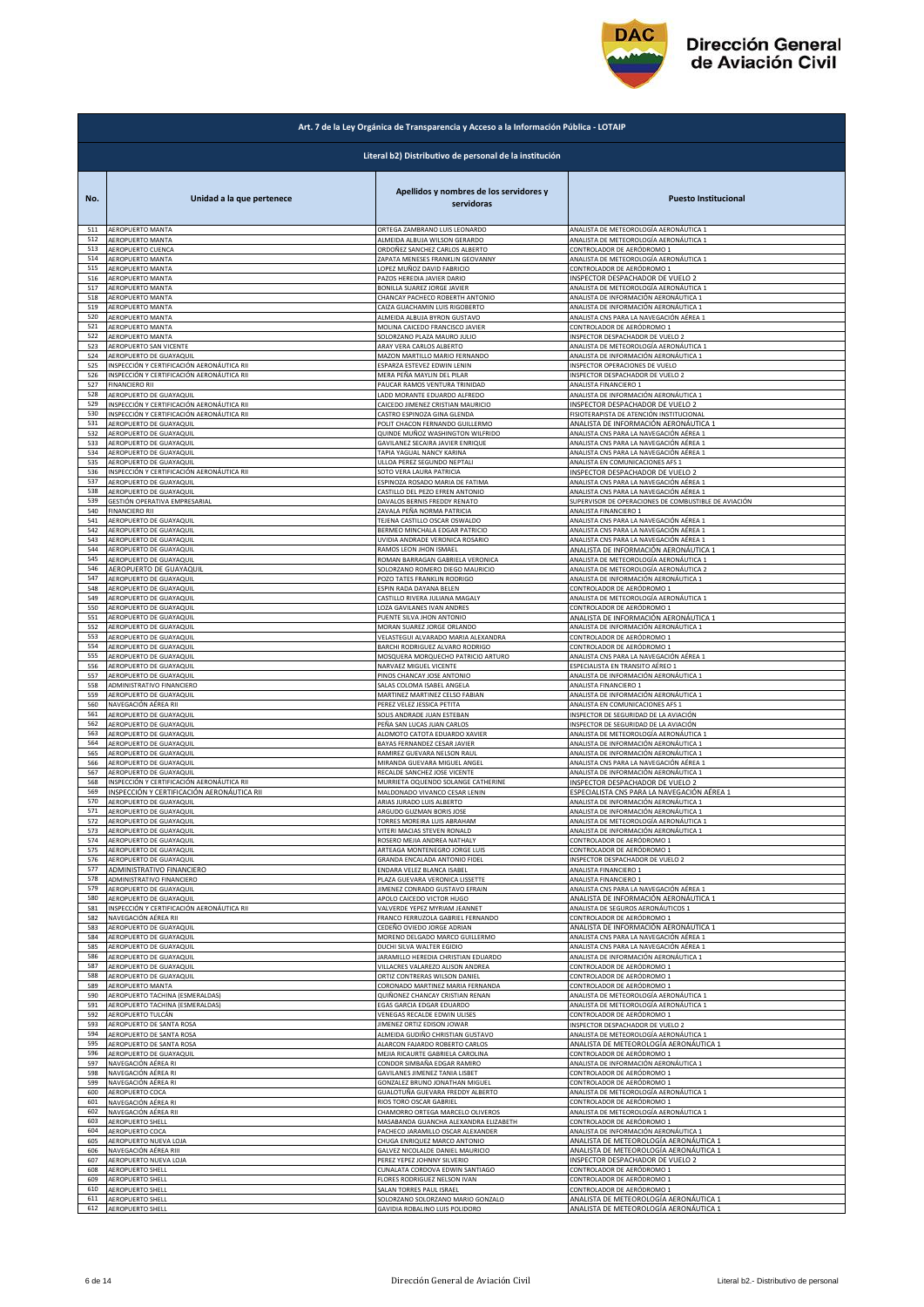

|            | Art. 7 de la Ley Orgánica de Transparencia y Acceso a la Información Pública - LOTAIP    |                                                            |                                                                                      |  |
|------------|------------------------------------------------------------------------------------------|------------------------------------------------------------|--------------------------------------------------------------------------------------|--|
|            | Literal b2) Distributivo de personal de la institución                                   |                                                            |                                                                                      |  |
| No.        | Unidad a la que pertenece                                                                | Apellidos y nombres de los servidores y<br>servidoras      | <b>Puesto Institucional</b>                                                          |  |
| 511        | AEROPUERTO MANTA                                                                         | ORTEGA ZAMBRANO LUIS LEONARDO                              | ANALISTA DE METEOROLOGÍA AERONÁUTICA 1                                               |  |
| 512        | AEROPUERTO MANTA                                                                         | ALMEIDA ALBUJA WILSON GERARDO                              | ANALISTA DE METEOROLOGÍA AERONÁUTICA 1                                               |  |
| 513        | AEROPUERTO CUENCA                                                                        | ORDOÑEZ SANCHEZ CARLOS ALBERTO                             | CONTROLADOR DE AERÓDROMO 1                                                           |  |
| 514        | AEROPUERTO MANTA                                                                         | ZAPATA MENESES FRANKLIN GEOVANNY                           | ANALISTA DE METEOROLOGÍA AERONÁUTICA 1                                               |  |
| 515        | AEROPUERTO MANTA                                                                         | LOPEZ MUÑOZ DAVID FABRICIO                                 | CONTROLADOR DE AERÓDROMO 1                                                           |  |
| 516        | <b>AEROPUERTO MANTA</b>                                                                  | PAZOS HEREDIA JAVIER DARIO                                 | INSPECTOR DESPACHADOR DE VUELO 2                                                     |  |
| 517        | AEROPUERTO MANTA                                                                         | BONILLA SUAREZ JORGE JAVIER                                | ANALISTA DE METEOROLOGÍA AERONÁUTICA 1                                               |  |
| 518        | AEROPUERTO MANTA                                                                         | CHANCAY PACHECO ROBERTH ANTONIO                            | ANALISTA DE INFORMACIÓN AERONÁUTICA 1                                                |  |
| 519        | <b>AEROPUERTO MANTA</b>                                                                  | CAIZA GUACHAMIN LUIS RIGOBERTO                             | ANALISTA DE INFORMACIÓN AERONÁUTICA 1                                                |  |
| 520        | AEROPUERTO MANTA                                                                         | ALMEIDA ALBUJA BYRON GUSTAVO                               | ANALISTA CNS PARA LA NAVEGACIÓN AÉREA 1                                              |  |
| 521        | AEROPUERTO MANTA                                                                         | MOLINA CAICEDO FRANCISCO JAVIER                            | CONTROLADOR DE AERÓDROMO :                                                           |  |
| 522        | AEROPUERTO MANTA                                                                         | SOLORZANO PLAZA MAURO JULIO                                | INSPECTOR DESPACHADOR DE VUELO 2                                                     |  |
| 523        | AEROPUERTO SAN VICENTE                                                                   | ARAY VERA CARLOS ALBERTO                                   | ANALISTA DE METEOROLOGÍA AERONÁUTICA 1                                               |  |
| 524        | AEROPUERTO DE GUAYAQUII                                                                  | MAZON MARTILLO MARIO FERNANDO                              | ANALISTA DE INFORMACIÓN AERONÁUTICA 1                                                |  |
| 525        | INSPECCIÓN Y CERTIFICACIÓN AERONÁUTICA RII                                               | ESPARZA ESTEVEZ EDWIN LENIN                                | INSPECTOR OPERACIONES DE VUELO                                                       |  |
| 526        | INSPECCIÓN Y CERTIFICACIÓN AERONÁUTICA RII                                               | MERA PEÑA MAYLIN DEL PILAR                                 | INSPECTOR DESPACHADOR DE VUELO 2                                                     |  |
| 527        | <b>FINANCIERO RII</b>                                                                    | PAUCAR RAMOS VENTURA TRINIDAD                              | ANALISTA FINANCIERO 1                                                                |  |
| 528        | AEROPUERTO DE GUAYAQUIL                                                                  | LADD MORANTE EDUARDO ALFREDO                               | ANALISTA DE INFORMACIÓN AERONÁUTICA 1                                                |  |
| 529        | INSPECCIÓN Y CERTIFICACIÓN AERONÁUTICA RII                                               | CAICEDO JIMENEZ CRISTIAN MAURICIO                          | INSPECTOR DESPACHADOR DE VUELO 2                                                     |  |
| 530        | INSPECCIÓN Y CERTIFICACIÓN AERONÁUTICA RII                                               | CASTRO ESPINOZA GINA GLENDA                                | FISIOTERAPISTA DE ATENCIÓN INSTITUCIONAL                                             |  |
| 531        | AEROPUERTO DE GUAYAQUIL                                                                  | POLIT CHACON FERNANDO GUILLERMO                            | ANALISTA DE INFORMACIÓN AERONÁUTICA 1                                                |  |
| 532        | AEROPUERTO DE GUAYAQUIL                                                                  | QUINDE MUÑOZ WASHINGTON WILFRIDO                           | ANALISTA CNS PARA LA NAVEGACIÓN AÉREA 1                                              |  |
| 533        | AEROPUERTO DE GUAYAQUIL                                                                  | GAVILANEZ SECAIRA JAVIER ENRIQUE                           | ANALISTA CNS PARA LA NAVEGACIÓN AÉREA 1                                              |  |
| 534        | AEROPUERTO DE GUAYAQUIL                                                                  | TAPIA YAGUAL NANCY KARINA                                  | ANALISTA CNS PARA LA NAVEGACIÓN AÉREA 1                                              |  |
| 535        | AEROPUERTO DE GUAYAQUIL                                                                  | ULLOA PEREZ SEGUNDO NEPTALI                                | ANALISTA EN COMUNICACIONES AFS 1                                                     |  |
| 536        | INSPECCIÓN Y CERTIFICACIÓN AERONÁUTICA RII                                               | SOTO VERA LAURA PATRICIA                                   | INSPECTOR DESPACHADOR DE VUELO 2                                                     |  |
| 537        | AEROPUERTO DE GUAYAQUIL                                                                  | ESPINOZA ROSADO MARIA DE FATIMA                            | ANALISTA CNS PARA LA NAVEGACIÓN AÉREA 1                                              |  |
| 538        | AEROPUERTO DE GUAYAQUIL                                                                  | CASTILLO DEL PEZO EFREN ANTONIO                            | ANALISTA CNS PARA LA NAVEGACIÓN AÉREA 1                                              |  |
| 539        | GESTIÓN OPERATIVA EMPRESARIAL                                                            | DAVALOS BERNIS FREDDY RENATO                               | SUPERVISOR DE OPERACIONES DE COMBUSTIBLE DE AVIACIÓN                                 |  |
| 540        | <b>FINANCIERO RII</b>                                                                    | ZAVALA PEÑA NORMA PATRICIA                                 | ANALISTA FINANCIERO 1                                                                |  |
| 541        | AEROPUERTO DE GUAYAQUIL                                                                  | TEJENA CASTILLO OSCAR OSWALDO                              | ANALISTA CNS PARA LA NAVEGACIÓN AÉREA 1                                              |  |
| 542        | AEROPUERTO DE GUAYAQUIL                                                                  | BERMEO MINCHALA EDGAR PATRICIO                             | ANALISTA CNS PARA LA NAVEGACIÓN AÉREA 1                                              |  |
| 543        | AEROPUERTO DE GUAYAQUIL                                                                  | UVIDIA ANDRADE VERONICA ROSARIO                            | ANALISTA CNS PARA LA NAVEGACIÓN AÉREA 1                                              |  |
| 544        | AEROPUERTO DE GUAYAQUIL                                                                  | RAMOS LEON JHON ISMAEL                                     | ANALISTA DE INFORMACIÓN AERONÁUTICA 1                                                |  |
| 545        | AEROPUERTO DE GUAYAQUIL                                                                  | ROMAN BARRAGAN GABRIELA VERONICA                           | ANALISTA DE METEOROLOGÍA AERONÁUTICA 1                                               |  |
| 546        | AEROPUERTO DE GUAYAQUIL                                                                  | SOLORZANO ROMERO DIEGO MAURICIO                            | ANALISTA DE METEOROLOGÍA AERONÁUTICA 2                                               |  |
| 547        | AEROPUERTO DE GUAYAQUIL                                                                  | POZO TATES FRANKLIN RODRIGO                                | ANALISTA DE INFORMACIÓN AERONÁUTICA 1                                                |  |
| 548        | AEROPUERTO DE GUAYAQUIL                                                                  | ESPIN RADA DAYANA BELEN                                    | CONTROLADOR DE AERÓDROMO 1                                                           |  |
| 549        | AEROPUERTO DE GUAYAQUIL                                                                  | CASTILLO RIVERA JULIANA MAGALY                             | ANALISTA DE METEOROLOGÍA AERONÁUTICA 1                                               |  |
| 550        | AEROPUERTO DE GUAYAQUIL                                                                  | LOZA GAVILANES IVAN ANDRES                                 | CONTROLADOR DE AERÓDROMO 1                                                           |  |
| 551        | AEROPUERTO DE GUAYAQUIL                                                                  | PUENTE SILVA JHON ANTONIO                                  | ANALISTA DE INFORMACIÓN AERONÁUTICA 1                                                |  |
| 552        | AEROPUERTO DE GUAYAQUIL                                                                  | MORAN SUAREZ JORGE ORLANDO                                 | ANALISTA DE INFORMACIÓN AERONÁUTICA 1                                                |  |
| 553        | AEROPUERTO DE GUAYAQUIL                                                                  | VELASTEGUI ALVARADO MARIA ALEXANDRA                        | CONTROLADOR DE AERÓDROMO 1                                                           |  |
| 554        | AEROPUERTO DE GUAYAQUIL                                                                  | BARCHI RODRIGUEZ ALVARO RODRIGO                            | CONTROLADOR DE AERÓDROMO 1                                                           |  |
| 555        | AEROPUERTO DE GUAYAQUIL                                                                  | MOSQUERA MORQUECHO PATRICIO ARTURO                         | ANALISTA CNS PARA LA NAVEGACIÓN AÉREA 1                                              |  |
| 556        | AEROPUERTO DE GUAYAQUIL                                                                  | NARVAEZ MIGUEL VICENTE                                     | ESPECIALISTA EN TRANSITO AÉREO 1                                                     |  |
| 557        | AEROPUERTO DE GUAYAQUIL                                                                  | PINOS CHANCAY JOSE ANTONIO                                 | ANALISTA DE INFORMACIÓN AERONÁUTICA 1                                                |  |
| 558        | ADMINISTRATIVO FINANCIERO                                                                | SALAS COLOMA ISABEL ANGELA                                 | ANALISTA FINANCIERO 1                                                                |  |
| 559        | AEROPUERTO DE GUAYAQUIL                                                                  | MARTINEZ MARTINEZ CELSO FABIAN                             | ANALISTA DE INFORMACIÓN AERONÁUTICA 1                                                |  |
| 560        | NAVEGACIÓN AÉREA RII                                                                     | PEREZ VELEZ JESSICA PETITA                                 | ANALISTA EN COMUNICACIONES AFS 1                                                     |  |
| 561        | AEROPUERTO DE GUAYAQUIL                                                                  | SOLIS ANDRADE JUAN ESTEBAN                                 | INSPECTOR DE SEGURIDAD DE LA AVIACIÓN                                                |  |
| 562        | AEROPUERTO DE GUAYAQUIL                                                                  | PEÑA SAN LUCAS JUAN CARLOS                                 | INSPECTOR DE SEGURIDAD DE LA AVIACIÓN                                                |  |
| 563        | AEROPUERTO DE GUAYAQUIL                                                                  | ALOMOTO CATOTA EDUARDO XAVIER                              | ANALISTA DE METEOROLOGÍA AERONÁUTICA 1                                               |  |
| 564        | AEROPUERTO DE GUAYAQUIL                                                                  | BAYAS FERNANDEZ CESAR JAVIER                               | ANALISTA DE INFORMACIÓN AERONÁUTICA 1                                                |  |
| 565        | AEROPUERTO DE GUAYAQUIL                                                                  | RAMIREZ GUEVARA NELSON RAUL                                | ANALISTA DE INFORMACIÓN AERONÁUTICA 1                                                |  |
| 566        | AEROPUERTO DE GUAYAQUIL                                                                  | MIRANDA GUEVARA MIGUEL ANGEL                               | ANALISTA CNS PARA LA NAVEGACIÓN AÉREA 1                                              |  |
| 567        | AEROPUERTO DE GUAYAQUIL                                                                  | RECALDE SANCHEZ JOSE VICENTE                               | ANALISTA DE INFORMACIÓN AERONÁUTICA 1                                                |  |
| 568<br>569 | INSPECCIÓN Y CERTIFICACIÓN AERONÁUTICA RII<br>INSPECCIÓN Y CERTIFICACIÓN AERONÁUTICA RII | MURRIETA OQUENDO SOLANGE CATHERINE                         | INSPECTOR DESPACHADOR DE VUELO 2                                                     |  |
| 570        | AEROPUERTO DE GUAYAQUIL                                                                  | MALDONADO VIVANCO CESAR LENIN<br>ARIAS JURADO LUIS ALBERTO | ESPECIALISTA CNS PARA LA NAVEGACIÓN AÉREA 1<br>ANALISTA DE INFORMACIÓN AERONÁUTICA 1 |  |
| 572        | AFROPLIFRTO DE GUAYAOUL                                                                  | ARGUDO GUZMAN RORIS IOS                                    | ANALISTA DE INFORMACIÓN AFRONÁLITICA                                                 |  |
|            | AEROPUERTO DE GUAYAQUIL                                                                  | TORRES MOREIRA LUIS ABRAHAM                                | ANALISTA DE METEOROLOGÍA AERONÁUTICA 1                                               |  |
| 573        | AEROPUERTO DE GUAYAQUIL                                                                  | VITERI MACIAS STEVEN RONALD                                | ANALISTA DE INFORMACIÓN AERONÁUTICA 1                                                |  |
| 574        | AEROPUERTO DE GUAYAQUIL                                                                  | ROSERO MEJIA ANDREA NATHALY                                | CONTROLADOR DE AERÓDROMO 1                                                           |  |
| 575<br>576 | AEROPUERTO DE GUAYAQUIL                                                                  | ARTEAGA MONTENEGRO JORGE LUIS                              | CONTROLADOR DE AERÓDROMO 1                                                           |  |
| 577        | AEROPUERTO DE GUAYAQUIL                                                                  | GRANDA ENCALADA ANTONIO FIDEL                              | INSPECTOR DESPACHADOR DE VUELO 2                                                     |  |
|            | ADMINISTRATIVO FINANCIERO                                                                | ENDARA VELEZ BLANCA ISABEL                                 | ANALISTA FINANCIERO 1                                                                |  |
| 578        | ADMINISTRATIVO FINANCIERO                                                                | PLAZA GUEVARA VERONICA LISSETTE                            | ANALISTA FINANCIERO 1                                                                |  |
| 579        | AEROPUERTO DE GUAYAQUIL                                                                  | JIMENEZ CONRADO GUSTAVO EFRAIN                             | ANALISTA CNS PARA LA NAVEGACIÓN AÉREA 1                                              |  |
| 580        | AEROPUERTO DE GUAYAQUIL                                                                  | APOLO CAICEDO VICTOR HUGO                                  | ANALISTA DE INFORMACIÓN AERONÁUTICA 1                                                |  |
| 581        | INSPECCIÓN Y CERTIFICACIÓN AERONÁUTICA RII                                               | VALVERDE YEPEZ MYRIAM JEANNET                              | ANALISTA DE SEGUROS AERONÁUTICOS 1                                                   |  |
| 582        | NAVEGACIÓN AÉREA RII                                                                     | FRANCO FERRUZOLA GABRIEL FERNANDO                          | CONTROLADOR DE AERÓDROMO 1                                                           |  |
| 583        | AEROPUERTO DE GUAYAQUIL                                                                  | CEDEÑO OVIEDO JORGE ADRIAN                                 | ANALISTA DE INFORMACIÓN AERONÁUTICA 1                                                |  |
| 584        | AEROPUERTO DE GUAYAQUIL                                                                  | MORENO DELGADO MARCO GUILLERMO                             | ANALISTA CNS PARA LA NAVEGACIÓN AÉREA 1                                              |  |
| 585        | AEROPUERTO DE GUAYAQUIL                                                                  | DUCHI SILVA WALTER EGIDIO                                  |                                                                                      |  |
| 586        | AEROPUERTO DE GUAYAQUIL                                                                  | JARAMILLO HEREDIA CHRISTIAN EDUARDO                        | ANALISTA CNS PARA LA NAVEGACIÓN AÉREA 1<br>ANALISTA DE INFORMACIÓN AERONÁUTICA 1     |  |
| 587        | AEROPUERTO DE GUAYAQUIL                                                                  | VILLACRES VALAREZO ALISON ANDREA                           | CONTROLADOR DE AERÓDROMO 1                                                           |  |
| 588        | AEROPUERTO DE GUAYAQUIL                                                                  | ORTIZ CONTRERAS WILSON DANIEL                              | CONTROLADOR DE AERÓDROMO 1                                                           |  |
| 589        | AEROPUERTO MANTA                                                                         | CORONADO MARTINEZ MARIA FERNANDA                           | CONTROLADOR DE AERÓDROMO 1                                                           |  |
| 590        | AEROPUERTO TACHINA (ESMERALDAS)                                                          | QUIÑONEZ CHANCAY CRISTIAN RENAN                            | ANALISTA DE METEOROLOGÍA AERONÁUTICA 1                                               |  |
| 591        | AEROPUERTO TACHINA (ESMERALDAS)                                                          | EGAS GARCIA EDGAR EDUARDO                                  | ANALISTA DE METEOROLOGÍA AERONÁUTICA 1                                               |  |
| 592        | AEROPUERTO TULCÁN                                                                        | VENEGAS RECALDE EDWIN ULISES                               | CONTROLADOR DE AERÓDROMO 1                                                           |  |
| 593        | AEROPUERTO DE SANTA ROSA                                                                 | JIMENEZ ORTIZ EDISON JOWAR                                 | INSPECTOR DESPACHADOR DE VUELO 2                                                     |  |
| 594        | AEROPUERTO DE SANTA ROSA                                                                 | ALMEIDA GUDIÑO CHRISTIAN GUSTAVO                           | ANALISTA DE METEOROLOGÍA AERONÁUTICA 1                                               |  |
| 595        | AEROPUERTO DE SANTA ROSA                                                                 | ALARCON FAJARDO ROBERTO CARLOS                             | ANALISTA DE METEOROLOGÍA AERONÁUTICA 1                                               |  |
| 596        | AEROPUERTO DE GUAYAQUIL                                                                  | MEJIA RICAURTE GABRIELA CAROLINA                           | CONTROLADOR DE AERÓDROMO 1                                                           |  |
| 597        | NAVEGACIÓN AÉREA RI                                                                      | CONDOR SIMBAÑA EDGAR RAMIRO                                | ANALISTA DE INFORMACIÓN AERONÁUTICA 1                                                |  |
| 598        | NAVEGACIÓN AÉREA RI                                                                      | GAVILANES JIMENEZ TANIA LISBET                             | CONTROLADOR DE AERÓDROMO 1                                                           |  |
| 599        | NAVEGACIÓN AÉREA RI                                                                      | GONZALEZ BRUNO JONATHAN MIGUEL                             | CONTROLADOR DE AERÓDROMO 1                                                           |  |
| 600        | AEROPUERTO COCA                                                                          | GUALOTUÑA GUEVARA FREDDY ALBERTO                           | ANALISTA DE METEOROLOGÍA AERONÁUTICA 1                                               |  |
| 601        | NAVEGACIÓN AÉREA RI                                                                      | RIOS TORO OSCAR GABRIEL                                    | CONTROLADOR DE AERÓDROMO 1                                                           |  |
| 602        | NAVEGACIÓN AÉREA RII                                                                     | CHAMORRO ORTEGA MARCELO OLIVEROS                           | ANALISTA DE METEOROLOGÍA AERONÁUTICA 1                                               |  |
| 603        | AEROPUERTO SHELL                                                                         | MASABANDA GUANCHA ALEXANDRA ELIZABETH                      | CONTROLADOR DE AERÓDROMO 1                                                           |  |
| 604        | AEROPUERTO COCA                                                                          | PACHECO JARAMILLO OSCAR ALEXANDER                          | ANALISTA DE INFORMACIÓN AERONÁUTICA 1                                                |  |
| 605        | AEROPUERTO NUEVA LOJA                                                                    | CHUGA ENRIQUEZ MARCO ANTONIO                               | ANALISTA DE METEOROLOGÍA AERONÁUTICA 1                                               |  |
| 606        | NAVEGACIÓN AÉREA RIII                                                                    | GALVEZ NICOLALDE DANIEL MAURICIO                           | ANALISTA DE METEOROLOGÍA AERONÁUTICA 1                                               |  |
| 607        | AEROPUERTO NUEVA LOJA                                                                    | PEREZ YEPEZ JOHNNY SILVERIO                                | INSPECTOR DESPACHADOR DE VUELO 2                                                     |  |
| 608        | AEROPUERTO SHELL                                                                         | CUNALATA CORDOVA EDWIN SANTIAGO                            | CONTROLADOR DE AERÓDROMO 1                                                           |  |
| 609        | AEROPUERTO SHELL                                                                         | FLORES RODRIGUEZ NELSON IVAN                               | CONTROLADOR DE AERÓDROMO 1                                                           |  |
| 610        | AEROPUERTO SHELL                                                                         | SALAN TORRES PAUL ISRAEL                                   | CONTROLADOR DE AERÓDROMO 1                                                           |  |
| 611        | AEROPUERTO SHELL                                                                         | SOLORZANO SOLORZANO MARIO GONZALO                          | ANALISTA DE METEOROLOGÍA AERONÁUTICA 1                                               |  |
| 612        | <b>AEROPUERTO SHELL</b>                                                                  | GAVIDIA ROBALINO LUIS POLIDORO                             | ANALISTA DE METEOROLOGÍA AERONÁUTICA 1                                               |  |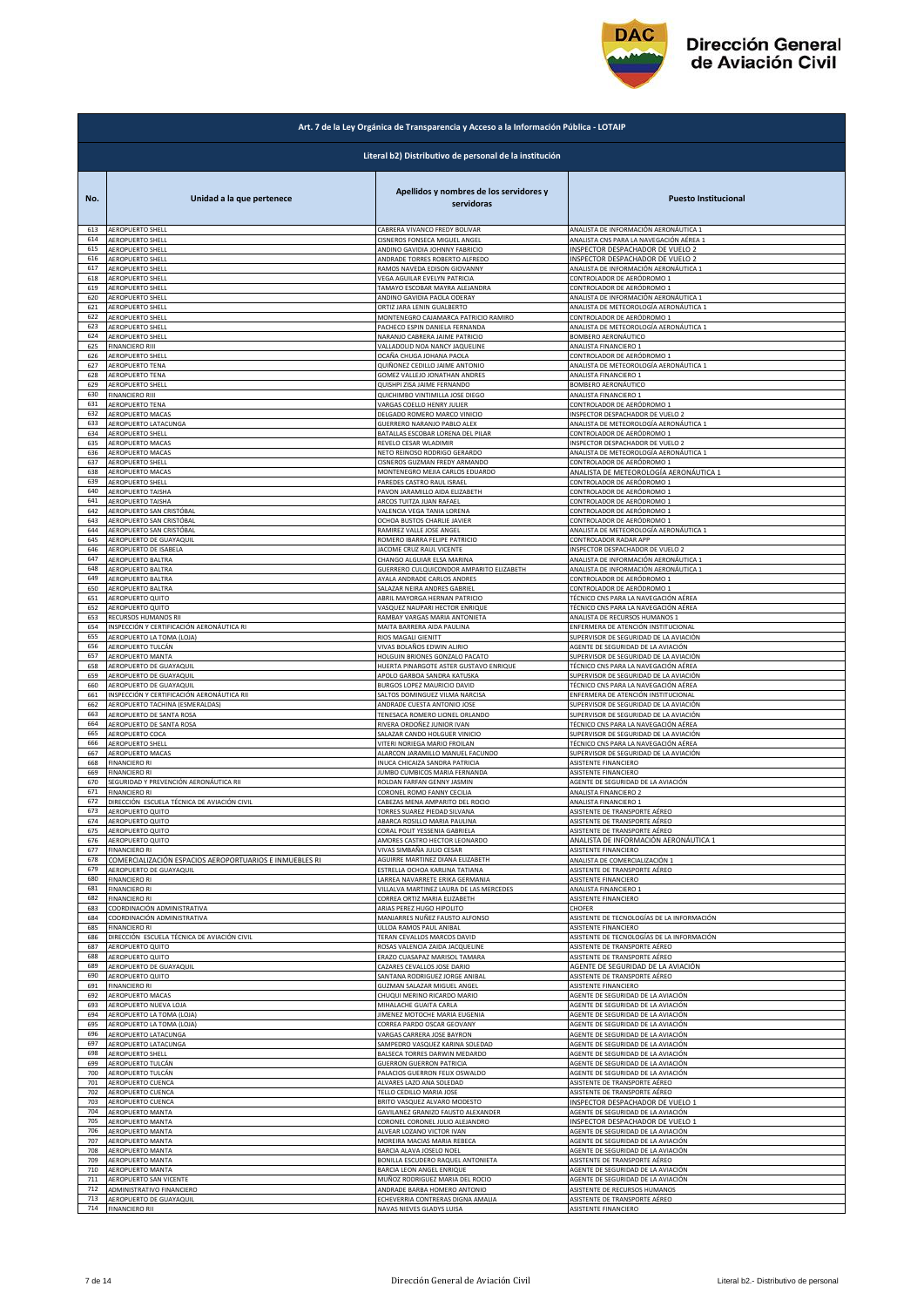

|     | Art. 7 de la Ley Orgánica de Transparencia y Acceso a la Información Pública - LOTAIP |                                                       |                                            |  |
|-----|---------------------------------------------------------------------------------------|-------------------------------------------------------|--------------------------------------------|--|
|     | Literal b2) Distributivo de personal de la institución                                |                                                       |                                            |  |
| No. | Unidad a la que pertenece                                                             | Apellidos y nombres de los servidores y<br>servidoras | <b>Puesto Institucional</b>                |  |
| 613 | AEROPUERTO SHELI                                                                      | CABRERA VIVANCO FREDY BOLIVAR                         | ANALISTA DE INFORMACIÓN AERONÁUTICA 1      |  |
| 614 | AEROPUERTO SHELL                                                                      | CISNEROS FONSECA MIGUEL ANGEL                         | ANALISTA CNS PARA LA NAVEGACIÓN AÉREA 1    |  |
| 615 | AEROPUERTO SHELL                                                                      | ANDINO GAVIDIA JOHNNY FABRICIO                        | INSPECTOR DESPACHADOR DE VUELO 2           |  |
| 616 | AEROPUERTO SHELL                                                                      | ANDRADE TORRES ROBERTO ALFREDO                        | INSPECTOR DESPACHADOR DE VUELO 2           |  |
| 617 | AEROPUERTO SHELL                                                                      | RAMOS NAVEDA EDISON GIOVANNY                          | ANALISTA DE INFORMACIÓN AERONÁUTICA 1      |  |
| 618 | AEROPUERTO SHELL                                                                      | VEGA AGUILAR EVELYN PATRICIA                          | CONTROLADOR DE AERÓDROMO 1                 |  |
| 619 | AEROPUERTO SHELL                                                                      | TAMAYO ESCOBAR MAYRA ALEJANDRA                        | CONTROLADOR DE AERÓDROMO 1                 |  |
| 620 | AEROPUERTO SHELL                                                                      | ANDINO GAVIDIA PAOLA ODERAY                           | ANALISTA DE INFORMACIÓN AERONÁUTICA 1      |  |
| 621 | AEROPUERTO SHELL                                                                      | ORTIZ JARA LENIN GUALBERTO                            | ANALISTA DE METEOROLOGÍA AERONÁUTICA 1     |  |
| 622 | AEROPUERTO SHELL                                                                      | MONTENEGRO CAJAMARCA PATRICIO RAMIRO                  | CONTROLADOR DE AERÓDROMO 1                 |  |
| 623 | <b>AEROPUERTO SHELL</b>                                                               | PACHECO ESPIN DANIELA FERNANDA                        | ANALISTA DE METEOROLOGÍA AERONÁUTICA 1     |  |
| 624 | AEROPUERTO SHELL                                                                      | NARANJO CABRERA JAIME PATRICIO                        | BOMBERO AERONÁUTICO                        |  |
| 625 | <b>FINANCIERO RIII</b>                                                                | VALLADOLID NOA NANCY JAQUELINE                        | ANALISTA FINANCIERO 1                      |  |
| 626 | AEROPUERTO SHELL                                                                      | OCAÑA CHUGA JOHANA PAOLA                              | CONTROLADOR DE AERÓDROMO 1                 |  |
| 627 | AEROPUERTO TENA                                                                       | QUIÑONEZ CEDILLO JAIME ANTONIO                        | ANALISTA DE METEOROLOGÍA AERONÁUTICA 1     |  |
| 628 | AEROPUERTO TENA                                                                       | GOMEZ VALLEJO JONATHAN ANDRES                         | ANALISTA FINANCIERO 1                      |  |
| 629 | <b>AEROPUERTO SHELL</b>                                                               | QUISHPI ZISA JAIME FERNANDO                           | BOMBERO AERONÁUTICO                        |  |
| 630 | <b>FINANCIERO RIII</b>                                                                | QUICHIMBO VINTIMILLA JOSE DIEGO                       | ANALISTA FINANCIERO 1                      |  |
| 631 | AEROPUERTO TENA                                                                       | VARGAS COELLO HENRY JULIER                            | CONTROLADOR DE AERÓDROMO 1                 |  |
| 632 | AEROPUERTO MACAS                                                                      | DELGADO ROMERO MARCO VINICIO                          | INSPECTOR DESPACHADOR DE VUELO 2           |  |
| 633 | AEROPUERTO LATACUNGA                                                                  | GUERRERO NARANJO PABLO ALEX                           | ANALISTA DE METEOROLOGÍA AERONÁUTICA 1     |  |
| 634 | AEROPUERTO SHELL                                                                      | BATALLAS ESCOBAR LORENA DEL PILAR                     | CONTROLADOR DE AERÓDROMO 1                 |  |
| 635 | AEROPUERTO MACAS                                                                      | REVELO CESAR WLADIMIR                                 | INSPECTOR DESPACHADOR DE VUELO 2           |  |
| 636 | AEROPUERTO MACAS                                                                      | NETO REINOSO RODRIGO GERARDO                          | ANALISTA DE METEOROLOGÍA AERONÁUTICA 1     |  |
| 637 | AEROPUERTO SHELL                                                                      | CISNEROS GUZMAN FREDY ARMANDO                         | CONTROLADOR DE AERÓDROMO 1                 |  |
| 638 | AEROPUERTO MACAS                                                                      | MONTENEGRO MEJIA CARLOS EDUARDO                       | ANALISTA DE METEOROLOGÍA AERONÁUTICA 1     |  |
| 639 | AEROPUERTO SHELL                                                                      | PAREDES CASTRO RAUL ISRAEL                            | CONTROLADOR DE AERÓDROMO 1                 |  |
| 640 | AEROPUERTO TAISHA                                                                     | PAVON JARAMILLO AIDA ELIZABETH                        | CONTROLADOR DE AERÓDROMO 1                 |  |
| 641 | AEROPUERTO TAISHA                                                                     | ARCOS TUITZA JUAN RAFAEL                              | CONTROLADOR DE AERÓDROMO 1                 |  |
| 642 | AEROPUERTO SAN CRISTÓBAL                                                              | VALENCIA VEGA TANIA LORENA                            | CONTROLADOR DE AERÓDROMO 1                 |  |
| 643 | AEROPUERTO SAN CRISTÓBAL                                                              | OCHOA BUSTOS CHARLIE JAVIER                           | CONTROLADOR DE AERÓDROMO 1                 |  |
| 644 | AEROPUERTO SAN CRISTÓBAL                                                              | RAMIREZ VALLE JOSE ANGEL                              | ANALISTA DE METEOROLOGÍA AERONÁUTICA 1     |  |
| 645 | AEROPUERTO DE GUAYAQUIL                                                               | ROMERO IBARRA FELIPE PATRICIO                         | CONTROLADOR RADAR APP                      |  |
| 646 | AEROPUERTO DE ISABELA                                                                 | JACOME CRUZ RAUL VICENTE                              | INSPECTOR DESPACHADOR DE VUELO 2           |  |
| 647 | AEROPUERTO BALTRA                                                                     | CHANGO ALGUIAR ELSA MARINA                            | ANALISTA DE INFORMACIÓN AERONÁUTICA 1      |  |
| 648 | AEROPUERTO BALTRA                                                                     | GUERRERO CULQUICONDOR AMPARITO ELIZABETH              | ANALISTA DE INFORMACIÓN AERONÁUTICA 1      |  |
| 649 | AEROPUERTO BALTRA                                                                     | AYALA ANDRADE CARLOS ANDRES                           | CONTROLADOR DE AERÓDROMO 1                 |  |
| 650 | AEROPUERTO BALTRA                                                                     | SALAZAR NEIRA ANDRES GABRIEL                          | CONTROLADOR DE AERÓDROMO 1                 |  |
| 651 | AEROPUERTO QUITO                                                                      | ABRIL MAYORGA HERNAN PATRICIO                         | TÉCNICO CNS PARA LA NAVEGACIÓN AÉREA       |  |
| 652 | <b>AEROPUERTO QUITO</b>                                                               | VASQUEZ NAUPARI HECTOR ENRIQUE                        | TÉCNICO CNS PARA LA NAVEGACIÓN AÉREA       |  |
| 653 | RECURSOS HUMANOS RII                                                                  | RAMBAY VARGAS MARIA ANTONIETA                         | ANALISTA DE RECURSOS HUMANOS 1             |  |
| 654 | INSPECCIÓN Y CERTIFICACIÓN AERONÁUTICA RI                                             | MAITA BARRERA AIDA PAULINA                            | ENFERMERA DE ATENCIÓN INSTITUCIONAL        |  |
| 655 | AEROPUERTO LA TOMA (LOJA)                                                             | RIOS MAGALI GIENITT                                   | SUPERVISOR DE SEGURIDAD DE LA AVIACIÓN     |  |
| 656 | AEROPUERTO TULCÁN                                                                     | VIVAS BOLAÑOS EDWIN ALIRIO                            | AGENTE DE SEGURIDAD DE LA AVIACIÓN         |  |
| 657 | AEROPUERTO MANTA                                                                      | HOLGUIN BRIONES GONZALO PACATO                        | SUPERVISOR DE SEGURIDAD DE LA AVIACIÓN     |  |
| 658 | AEROPUERTO DE GUAYAQUIL                                                               | HUERTA PINARGOTE ASTER GUSTAVO ENRIQUE                | TÉCNICO CNS PARA LA NAVEGACIÓN AÉREA       |  |
| 659 | AEROPUERTO DE GUAYAQUIL                                                               | APOLO GARBOA SANDRA KATUSKA                           | SUPERVISOR DE SEGURIDAD DE LA AVIACIÓN     |  |
| 660 | AEROPUERTO DE GUAYAQUIL                                                               | BURGOS LOPEZ MAURICIO DAVID                           | TÉCNICO CNS PARA LA NAVEGACIÓN AÉREA       |  |
| 661 | INSPECCIÓN Y CERTIFICACIÓN AERONÁUTICA RII                                            | SALTOS DOMINGUEZ VILMA NARCISA                        | ENFERMERA DE ATENCIÓN INSTITUCIONAL        |  |
| 662 | AEROPUERTO TACHINA (ESMERALDAS)                                                       | ANDRADE CUESTA ANTONIO JOSE                           | SUPERVISOR DE SEGURIDAD DE LA AVIACIÓN     |  |
| 663 | AEROPUERTO DE SANTA ROSA                                                              | TENESACA ROMERO LIONEL ORLANDO                        | SUPERVISOR DE SEGURIDAD DE LA AVIACIÓN     |  |
| 664 | AEROPUERTO DE SANTA ROSA                                                              | RIVERA ORDOÑEZ JUNIOR IVAN                            | TÉCNICO CNS PARA LA NAVEGACIÓN AÉREA       |  |
| 665 | AEROPUERTO COCA                                                                       | SALAZAR CANDO HOLGUER VINICIO                         | SUPERVISOR DE SEGURIDAD DE LA AVIACIÓN     |  |
| 666 | AEROPUERTO SHELL                                                                      | VITERI NORIEGA MARIO FROILAN                          | TÉCNICO CNS PARA LA NAVEGACIÓN AÉREA       |  |
| 667 | AEROPUERTO MACAS                                                                      | ALARCON JARAMILLO MANUEL FACUNDO                      | SUPERVISOR DE SEGURIDAD DE LA AVIACIÓN     |  |
| 668 | <b>FINANCIERO RI</b>                                                                  | INUCA CHICAIZA SANDRA PATRICIA                        | ASISTENTE FINANCIERO                       |  |
| 669 | <b>FINANCIERO RI</b>                                                                  | JUMBO CUMBICOS MARIA FERNANDA                         | ASISTENTE FINANCIERO                       |  |
| 670 | SEGURIDAD Y PREVENCIÓN AERONÁUTICA RII                                                | ROLDAN FARFAN GENNY JASMIN                            | AGENTE DE SEGURIDAD DE LA AVIACIÓN         |  |
| 671 | <b>FINANCIERO RI</b>                                                                  | CORONEL ROMO FANNY CECILIA                            | ANALISTA FINANCIERO 2                      |  |
| 672 | DIRECCIÓN ESCUELA TÉCNICA DE AVIACIÓN CIVIL                                           | CABEZAS MENA AMPARITO DEL ROCIO                       | ANALISTA FINANCIERO 1                      |  |
| 673 | AFROPLIERTO OLIITO                                                                    | TORRES SUAREZ PIEDAD SILVANA                          | ASISTENTE DE TRANSPORTE AÉREO              |  |
| 674 | <b>AEROPUERTO QUITO</b>                                                               | ABARCA ROSILLO MARIA PAULINA                          | ASISTENTE DE TRANSPORTE AÉREO              |  |
| 675 | AEROPUERTO QUITO                                                                      | CORAL POLIT YESSENIA GABRIELA                         | ASISTENTE DE TRANSPORTE AÉREO              |  |
| 676 | AEROPUERTO QUITO                                                                      | AMORES CASTRO HECTOR LEONARDO                         | ANALISTA DE INFORMACIÓN AERONÁUTICA 1      |  |
| 677 | <b>FINANCIERO RI</b>                                                                  | VIVAS SIMBAÑA JULIO CESAR                             | <b>ASISTENTE FINANCIERO</b>                |  |
| 678 | COMERCIALIZACIÓN ESPACIOS AEROPORTUARIOS E INMUEBLES RI                               | AGUIRRE MARTINEZ DIANA ELIZABETH                      | ANALISTA DE COMERCIALIZACIÓN 1             |  |
| 679 | AEROPUERTO DE GUAYAQUIL                                                               | ESTRELLA OCHOA KARLINA TATIANA                        | ASISTENTE DE TRANSPORTE AÉREO              |  |
| 680 | <b>FINANCIERO RI</b>                                                                  | ARREA NAVARRETE ERIKA GERMANIA                        | <b>ASISTENTE FINANCIERO</b>                |  |
| 681 | <b>FINANCIERO RI</b>                                                                  | VILLALVA MARTINEZ LAURA DE LAS MERCEDES               | ANALISTA FINANCIERO 1                      |  |
| 682 | <b>FINANCIERO RI</b>                                                                  | CORREA ORTIZ MARIA ELIZABETH                          | ASISTENTE FINANCIERO                       |  |
| 683 | COORDINACIÓN ADMINISTRATIVA                                                           | ARIAS PEREZ HUGO HIPOLITO                             | CHOFER                                     |  |
| 684 | COORDINACIÓN ADMINISTRATIVA                                                           | MANJARRES NUÑEZ FAUSTO ALFONSO                        | ASISTENTE DE TECNOLOGÍAS DE LA INFORMACIÓN |  |
| 685 | <b>FINANCIERO RI</b>                                                                  | ULLOA RAMOS PAUL ANIBAL                               | ASISTENTE FINANCIERO                       |  |
| 686 | DIRECCIÓN ESCUELA TÉCNICA DE AVIACIÓN CIVIL                                           | <b>TERAN CEVALLOS MARCOS DAVID</b>                    | ASISTENTE DE TECNOLOGÍAS DE LA INFORMACIÓN |  |
| 687 | AEROPUERTO QUITO                                                                      | ROSAS VALENCIA ZAIDA JACQUELINE                       | ASISTENTE DE TRANSPORTE AÉREO              |  |
| 688 | AEROPUERTO QUITO                                                                      | ERAZO CUASAPAZ MARISOL TAMARA                         | ASISTENTE DE TRANSPORTE AÉREO              |  |
| 689 | AEROPUERTO DE GUAYAQUIL                                                               | CAZARES CEVALLOS JOSE DARIO                           | AGENTE DE SEGURIDAD DE LA AVIACIÓN         |  |
| 690 | AEROPUERTO QUITO                                                                      | SANTANA RODRIGUEZ JORGE ANIBAL                        | ASISTENTE DE TRANSPORTE AÉREO              |  |
| 691 | FINANCIERO RI                                                                         | GUZMAN SALAZAR MIGUEL ANGEL                           | <b>ASISTENTE FINANCIERO</b>                |  |
| 692 | AEROPUERTO MACAS                                                                      | CHUQUI MERINO RICARDO MARIO                           | AGENTE DE SEGURIDAD DE LA AVIACIÓN         |  |
| 693 | AEROPUERTO NUEVA LOJA                                                                 | MIHALACHE GUAITA CARLA                                | AGENTE DE SEGURIDAD DE LA AVIACIÓN         |  |
| 694 | AEROPUERTO LA TOMA (LOJA)                                                             | JIMENEZ MOTOCHE MARIA EUGENIA                         | AGENTE DE SEGURIDAD DE LA AVIACIÓN         |  |
| 695 | AEROPUERTO LA TOMA (LOJA)                                                             | CORREA PARDO OSCAR GEOVANY                            | AGENTE DE SEGURIDAD DE LA AVIACIÓN         |  |
| 696 | AEROPUERTO LATACUNGA                                                                  | VARGAS CARRERA JOSE BAYRON                            | AGENTE DE SEGURIDAD DE LA AVIACIÓN         |  |
| 697 | AEROPUERTO LATACUNGA                                                                  | SAMPEDRO VASQUEZ KARINA SOLEDAD                       | AGENTE DE SEGURIDAD DE LA AVIACIÓN         |  |
| 698 | AEROPUERTO SHELL                                                                      | BALSECA TORRES DARWIN MEDARDO                         | AGENTE DE SEGURIDAD DE LA AVIACIÓN         |  |
| 699 | AEROPUERTO TULCÁN                                                                     | <b>GUERRON GUERRON PATRICIA</b>                       | AGENTE DE SEGURIDAD DE LA AVIACIÓN         |  |
| 700 | AEROPUERTO TULCÁN                                                                     | PALACIOS GUERRON FELIX OSWALDO                        | AGENTE DE SEGURIDAD DE LA AVIACIÓN         |  |
| 701 | AEROPUERTO CUENCA                                                                     | ALVARES LAZO ANA SOLEDAD                              | ASISTENTE DE TRANSPORTE AÉREO              |  |
| 702 | AEROPUERTO CUENCA                                                                     | TELLO CEDILLO MARIA JOSE                              | ASISTENTE DE TRANSPORTE AÉREO              |  |
| 703 | AEROPUERTO CUENCA                                                                     | BRITO VASQUEZ ALVARO MODESTO                          | INSPECTOR DESPACHADOR DE VUELO 1           |  |
| 704 | AEROPUERTO MANTA                                                                      | GAVILANEZ GRANIZO FAUSTO ALEXANDER                    | AGENTE DE SEGURIDAD DE LA AVIACIÓN         |  |
| 705 | AEROPUERTO MANTA                                                                      | CORONEL CORONEL JULIO ALEJANDRO                       | INSPECTOR DESPACHADOR DE VUELO 1           |  |
| 706 | AEROPUERTO MANTA                                                                      | ALVEAR LOZANO VICTOR IVAN                             | AGENTE DE SEGURIDAD DE LA AVIACIÓN         |  |
| 707 | AEROPUERTO MANTA                                                                      | MOREIRA MACIAS MARIA REBECA                           | AGENTE DE SEGURIDAD DE LA AVIACIÓN         |  |
| 708 | AEROPUERTO MANTA                                                                      | BARCIA ALAVA JOSELO NOEL                              | AGENTE DE SEGURIDAD DE LA AVIACIÓN         |  |
| 709 | AEROPUERTO MANTA                                                                      | BONILLA ESCUDERO RAQUEL ANTONIETA                     | ASISTENTE DE TRANSPORTE AÉREO              |  |
| 710 | AEROPUERTO MANTA                                                                      | BARCIA LEON ANGEL ENRIQUE                             | AGENTE DE SEGURIDAD DE LA AVIACIÓN         |  |
| 711 | AEROPUERTO SAN VICENTE                                                                | MUÑOZ RODRIGUEZ MARIA DEL ROCIO                       | AGENTE DE SEGURIDAD DE LA AVIACIÓN         |  |
| 712 | ADMINISTRATIVO FINANCIERO                                                             | ANDRADE BARBA HOMERO ANTONIO                          | ASISTENTE DE RECURSOS HUMANOS              |  |
| 713 | AEROPUERTO DE GUAYAQUIL                                                               | ECHEVERRIA CONTRERAS DIGNA AMALIA                     | ASISTENTE DE TRANSPORTE AÉREO              |  |
| 714 | <b>FINANCIERO RII</b>                                                                 | NAVAS NIEVES GLADYS LUISA                             | ASISTENTE FINANCIERO                       |  |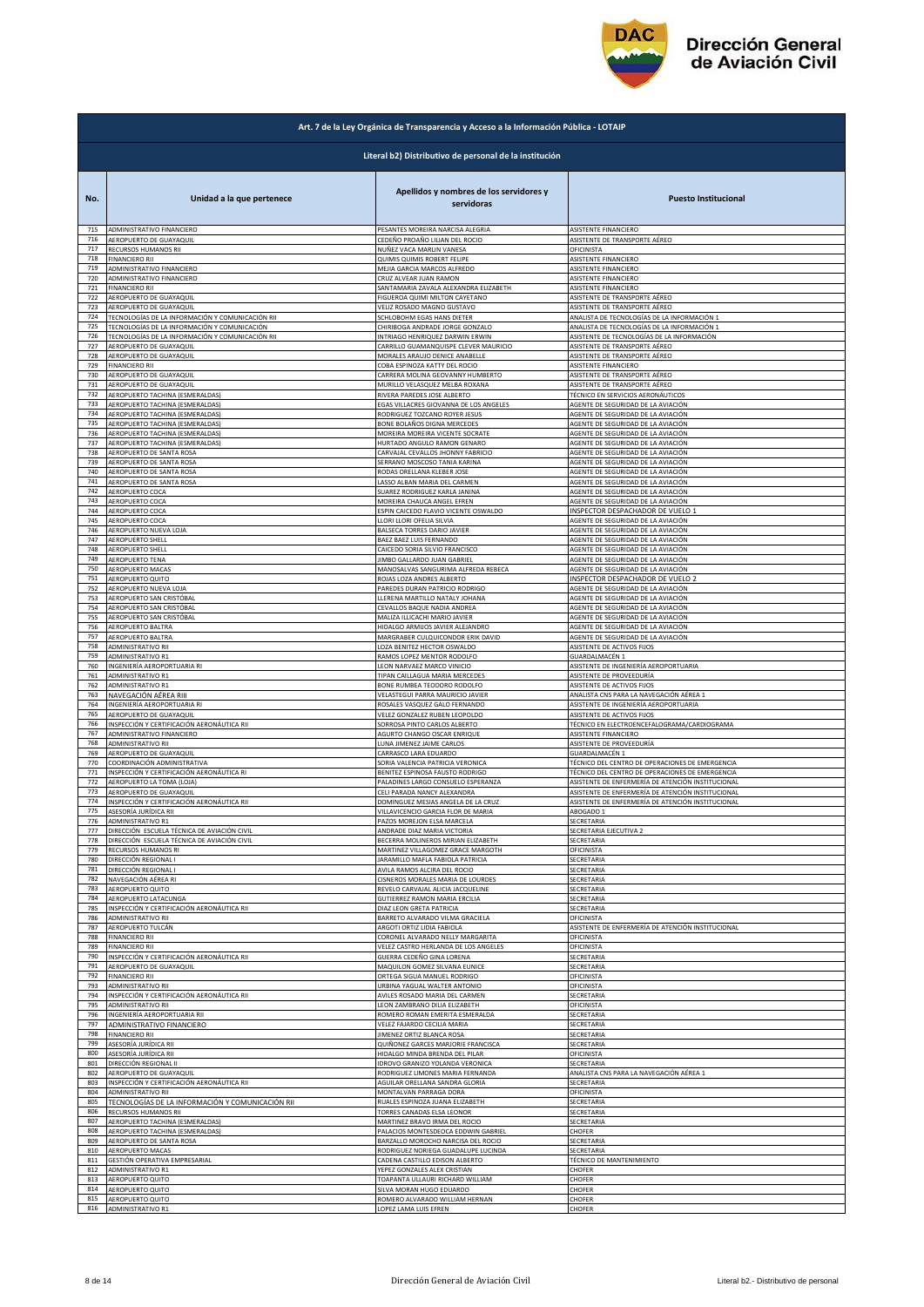

| Art. 7 de la Ley Orgánica de Transparencia y Acceso a la Información Pública - LOTAIP |                                                                    |                                                              |                                                                          |  |
|---------------------------------------------------------------------------------------|--------------------------------------------------------------------|--------------------------------------------------------------|--------------------------------------------------------------------------|--|
|                                                                                       | Literal b2) Distributivo de personal de la institución             |                                                              |                                                                          |  |
| No.                                                                                   | Unidad a la que pertenece                                          | Apellidos y nombres de los servidores y<br>servidoras        | <b>Puesto Institucional</b>                                              |  |
| 715                                                                                   | ADMINISTRATIVO FINANCIERO                                          | PESANTES MOREIRA NARCISA ALEGRIA                             | ASISTENTE FINANCIERO                                                     |  |
| 716                                                                                   | AEROPUERTO DE GUAYAQUIL                                            | CEDEÑO PROAÑO LILIAN DEL ROCIO                               | ASISTENTE DE TRANSPORTE AÉREO                                            |  |
| 717                                                                                   | RECURSOS HUMANOS RII                                               | NUÑEZ VACA MARLIN VANESA                                     | OFICINISTA                                                               |  |
| 718                                                                                   | <b>FINANCIERO RII</b>                                              | QUIMIS QUIMIS ROBERT FELIPE                                  | ASISTENTE FINANCIERO                                                     |  |
| 719                                                                                   | ADMINISTRATIVO FINANCIERO                                          | MEJIA GARCIA MARCOS ALFREDO                                  | ASISTENTE FINANCIERO                                                     |  |
| 720                                                                                   | ADMINISTRATIVO FINANCIERO                                          | CRUZ ALVEAR JUAN RAMON                                       | ASISTENTE FINANCIERO                                                     |  |
| 721                                                                                   | <b>FINANCIERO RII</b>                                              | SANTAMARIA ZAVALA ALEXANDRA ELIZABETH                        | ASISTENTE FINANCIERO                                                     |  |
| 722                                                                                   | AEROPUERTO DE GUAYAQUIL                                            | FIGUEROA QUIMI MILTON CAYETANO                               | ASISTENTE DE TRANSPORTE AÉREO                                            |  |
| 723                                                                                   | AEROPUERTO DE GUAYAQUIL                                            | VELIZ ROSADO MAGNO GUSTAVO                                   | ASISTENTE DE TRANSPORTE AÉREO                                            |  |
| 724                                                                                   | TECNOLOGÍAS DE LA INFORMACIÓN Y COMUNICACIÓN RII                   | SCHLOBOHM EGAS HANS DIETER                                   | ANALISTA DE TECNOLOGÍAS DE LA INFORMACIÓN 1                              |  |
| 725                                                                                   | TECNOLOGÍAS DE LA INFORMACIÓN Y COMUNICACIÓN                       | CHIRIBOGA ANDRADE JORGE GONZALO                              | ANALISTA DE TECNOLOGÍAS DE LA INFORMACIÓN 1                              |  |
| 726                                                                                   | TECNOLOGÍAS DE LA INFORMACIÓN Y COMUNICACIÓN RII                   | INTRIAGO HENRIQUEZ DARWIN ERWIN                              | ASISTENTE DE TECNOLOGÍAS DE LA INFORMACIÓN                               |  |
| 727                                                                                   | AEROPUERTO DE GUAYAQUIL                                            | CARRILLO GUAMANQUISPE CLEVER MAURICIO                        | ASISTENTE DE TRANSPORTE AÉREO                                            |  |
| 728                                                                                   | AEROPUERTO DE GUAYAQUIL                                            | MORALES ARAUJO DENICE ANABELLE                               | ASISTENTE DE TRANSPORTE AÉREO                                            |  |
| 729                                                                                   | <b>FINANCIERO RII</b>                                              | COBA ESPINOZA KATTY DEL ROCIO                                | ASISTENTE FINANCIERO                                                     |  |
| 730                                                                                   | AEROPUERTO DE GUAYAQUIL                                            | CARRERA MOLINA GEOVANNY HUMBERTO                             | ASISTENTE DE TRANSPORTE AÉREO                                            |  |
| 731                                                                                   | AEROPUERTO DE GUAYAQUII                                            | MURILLO VELASQUEZ MELBA ROXANA                               | ASISTENTE DE TRANSPORTE AÉREO                                            |  |
| 732                                                                                   | AEROPUERTO TACHINA (ESMERALDAS)                                    | RIVERA PAREDES JOSE ALBERTO                                  | TÉCNICO EN SERVICIOS AERONÁUTICOS                                        |  |
| 733                                                                                   | AEROPUERTO TACHINA (ESMERALDAS)                                    | EGAS VILLACRES GIOVANNA DE LOS ANGELES                       | AGENTE DE SEGURIDAD DE LA AVIACIÓN                                       |  |
| 734                                                                                   | AEROPUERTO TACHINA (ESMERALDAS)                                    |                                                              | AGENTE DE SEGURIDAD DE LA AVIACIÓN                                       |  |
| 735                                                                                   | AEROPUERTO TACHINA (ESMERALDAS)                                    | RODRIGUEZ TOZCANO ROYER JESUS<br>BONE BOLAÑOS DIGNA MERCEDES | AGENTE DE SEGURIDAD DE LA AVIACIÓN                                       |  |
| 736                                                                                   | AEROPUERTO TACHINA (ESMERALDAS)                                    | MOREIRA MOREIRA VICENTE SOCRATE                              | AGENTE DE SEGURIDAD DE LA AVIACIÓN                                       |  |
| 737                                                                                   | AEROPUERTO TACHINA (ESMERALDAS)                                    | HURTADO ANGULO RAMON GENARO                                  | AGENTE DE SEGURIDAD DE LA AVIACIÓN                                       |  |
| 738                                                                                   | AEROPUERTO DE SANTA ROSA                                           | CARVAJAL CEVALLOS JHONNY FABRICIO                            | AGENTE DE SEGURIDAD DE LA AVIACIÓN                                       |  |
| 739                                                                                   | AEROPUERTO DE SANTA ROSA                                           | SERRANO MOSCOSO TANIA KARINA                                 | AGENTE DE SEGURIDAD DE LA AVIACIÓN                                       |  |
| 740                                                                                   | AEROPUERTO DE SANTA ROSA                                           | RODAS ORELLANA KLEBER JOSE                                   | AGENTE DE SEGURIDAD DE LA AVIACIÓN                                       |  |
| 741                                                                                   | AEROPUERTO DE SANTA ROSA                                           | LASSO ALBAN MARIA DEL CARMEN                                 |                                                                          |  |
| 742                                                                                   | AEROPUERTO COCA                                                    | SUAREZ RODRIGUEZ KARLA JANINA                                | AGENTE DE SEGURIDAD DE LA AVIACIÓN<br>AGENTE DE SEGURIDAD DE LA AVIACIÓN |  |
| 743                                                                                   | AEROPUERTO COCA                                                    | MOREIRA CHAUCA ANGEL EFREN                                   | AGENTE DE SEGURIDAD DE LA AVIACIÓN                                       |  |
| 744                                                                                   | AEROPUERTO COCA                                                    | ESPIN CAICEDO FLAVIO VICENTE OSWALDO                         | INSPECTOR DESPACHADOR DE VUELO 1                                         |  |
| 745                                                                                   | AEROPUERTO COCA                                                    | LLORI LLORI OFELIA SILVIA                                    | AGENTE DE SEGURIDAD DE LA AVIACIÓN                                       |  |
| 746                                                                                   | AEROPUERTO NUEVA LOJA                                              | BALSECA TORRES DARIO JAVIER                                  | AGENTE DE SEGURIDAD DE LA AVIACIÓN                                       |  |
| 747                                                                                   | AEROPUERTO SHELL                                                   | BAEZ BAEZ LUIS FERNANDO                                      | AGENTE DE SEGURIDAD DE LA AVIACIÓN                                       |  |
| 748                                                                                   | AEROPUERTO SHELL                                                   | CAICEDO SORIA SILVIO FRANCISCO                               | AGENTE DE SEGURIDAD DE LA AVIACIÓN                                       |  |
| 749                                                                                   | AEROPUERTO TENA                                                    | <b>IIMBO GALLARDO JUAN GABRIEL</b>                           | AGENTE DE SEGURIDAD DE LA AVIACIÓN                                       |  |
| 750                                                                                   | AEROPUERTO MACAS                                                   | MANOSALVAS SANGURIMA ALFREDA REBECA                          | AGENTE DE SEGURIDAD DE LA AVIACIÓN                                       |  |
| 751                                                                                   | AEROPUERTO QUITO                                                   | ROJAS LOZA ANDRES ALBERTO                                    | INSPECTOR DESPACHADOR DE VUELO 2                                         |  |
| 752                                                                                   | AEROPUERTO NUEVA LOJA                                              | PAREDES DURAN PATRICIO RODRIGO                               | AGENTE DE SEGURIDAD DE LA AVIACIÓN                                       |  |
| 753                                                                                   | AEROPUERTO SAN CRISTÓBAL                                           | LLERENA MARTILLO NATALY JOHANA                               | AGENTE DE SEGURIDAD DE LA AVIACIÓN                                       |  |
| 754                                                                                   | AEROPUERTO SAN CRISTÓBAL                                           | CEVALLOS BAQUE NADIA ANDREA                                  | AGENTE DE SEGURIDAD DE LA AVIACIÓN                                       |  |
| 755                                                                                   | AEROPUERTO SAN CRISTÓBAL                                           | MALIZA ILLICACHI MARIO JAVIER                                | AGENTE DE SEGURIDAD DE LA AVIACIÓN                                       |  |
| 756                                                                                   | AEROPUERTO BALTRA                                                  | HIDALGO ARMIJOS JAVIER ALEJANDRO                             | AGENTE DE SEGURIDAD DE LA AVIACIÓN                                       |  |
| 757                                                                                   | AEROPUERTO BALTRA                                                  | MARGRABER CULQUICONDOR ERIK DAVID                            | AGENTE DE SEGURIDAD DE LA AVIACIÓN                                       |  |
| 758                                                                                   | ADMINISTRATIVO RII                                                 | <b>LOZA BENITEZ HECTOR OSWALDO</b>                           | ASISTENTE DE ACTIVOS FIJOS                                               |  |
| 759                                                                                   | ADMINISTRATIVO R1                                                  | RAMOS LOPEZ MENTOR RODOLFO                                   | GUARDALMACÉN 1                                                           |  |
| 760                                                                                   | INGENIERÍA AEROPORTUARIA RI                                        | LEON NARVAEZ MARCO VINICIO                                   | ASISTENTE DE INGENIERÍA AEROPORTUARIA                                    |  |
| 761                                                                                   | ADMINISTRATIVO R1                                                  | TIPAN CAILLAGUA MARIA MERCEDES                               | ASISTENTE DE PROVEEDURÍA                                                 |  |
| 762                                                                                   | ADMINISTRATIVO R1                                                  | BONE RUMBEA TEODORO RODOLFO                                  | ASISTENTE DE ACTIVOS FIJOS                                               |  |
| 763                                                                                   | NAVEGACIÓN AÉREA RIII                                              | VELASTEGUI PARRA MAURICIO JAVIER                             | ANALISTA CNS PARA LA NAVEGACIÓN AÉREA 1                                  |  |
| 764                                                                                   | INGENIERÍA AEROPORTUARIA RI                                        | ROSALES VASQUEZ GALO FERNANDO                                | ASISTENTE DE INGENIERÍA AEROPORTUARIA                                    |  |
| 765                                                                                   | AEROPUERTO DE GUAYAQUIL                                            | VELEZ GONZALEZ RUBEN LEOPOLDO                                | ASISTENTE DE ACTIVOS FIJOS                                               |  |
| 766                                                                                   | INSPECCIÓN Y CERTIFICACIÓN AERONÁUTICA RII                         | SORROSA PINTO CARLOS ALBERTO                                 | TÉCNICO EN ELECTROENCEFALOGRAMA/CARDIOGRAMA                              |  |
| 767                                                                                   | ADMINISTRATIVO FINANCIERO                                          | AGURTO CHANGO OSCAR ENRIQUE                                  | ASISTENTE FINANCIERO                                                     |  |
| 768                                                                                   | ADMINISTRATIVO RII                                                 | LUNA JIMENEZ JAIME CARLOS<br>CARRASCO LARA EDUARDO           | ASISTENTE DE PROVEEDURÍA<br><b>GUARDALMACÉN 1</b>                        |  |
| 769<br>770                                                                            | AEROPUERTO DE GUAYAQUIL<br>COORDINACIÓN ADMINISTRATIVA             | SORIA VALENCIA PATRICIA VERONICA                             | TÉCNICO DEL CENTRO DE OPERACIONES DE EMERGENCIA                          |  |
| 771                                                                                   | INSPECCIÓN Y CERTIFICACIÓN AERONÁUTICA RI                          | BENITEZ ESPINOSA FAUSTO RODRIGO                              | TÉCNICO DEL CENTRO DE OPERACIONES DE EMERGENCIA                          |  |
| 772                                                                                   | AEROPUERTO LA TOMA (LOJA)                                          | PALADINES LARGO CONSUELO ESPERANZA                           | ASISTENTE DE ENFERMERÍA DE ATENCIÓN INSTITUCIONAL                        |  |
| 773                                                                                   | AEROPUERTO DE GUAYAQUIL                                            | CELI PARADA NANCY ALEXANDRA                                  | ASISTENTE DE ENFERMERÍA DE ATENCIÓN INSTITUCIONAL                        |  |
| 774                                                                                   | INSPECCIÓN Y CERTIFICACIÓN AERONÁUTICA RII                         | DOMINGUEZ MESIAS ANGELA DE LA CRUZ                           | ASISTENTE DE ENFERMERÍA DE ATENCIÓN INSTITUCIONAL                        |  |
| 775                                                                                   | ASESORIA JURIDICA RII                                              | VILLAVICENCIO GARCIA FLOR DE MARIA                           | ABOGADO 1                                                                |  |
| 776                                                                                   | <b>ADMINISTRATIVO R1</b>                                           | PAZOS MOREJON ELSA MARCELA                                   | SECRETARIA                                                               |  |
| 777                                                                                   | DIRECCIÓN ESCUELA TÉCNICA DE AVIACIÓN CIVIL                        | ANDRADE DIAZ MARIA VICTORIA                                  | SECRETARIA EJECUTIVA 2                                                   |  |
| 778                                                                                   | DIRECCIÓN ESCUELA TÉCNICA DE AVIACIÓN CIVIL                        | BECERRA MOLINEROS MIRIAN ELIZABETH                           | SECRETARIA                                                               |  |
| 779                                                                                   | RECURSOS HUMANOS RI                                                | MARTINEZ VILLAGOMEZ GRACE MARGOTH                            | OFICINISTA                                                               |  |
| 780                                                                                   | DIRECCIÓN REGIONAL I                                               | JARAMILLO MAFLA FABIOLA PATRICIA                             | SECRETARIA                                                               |  |
| 781                                                                                   | DIRECCIÓN REGIONAL I                                               | AVILA RAMOS ALCIRA DEL ROCIO                                 | SECRETARIA                                                               |  |
| 782                                                                                   | NAVEGACIÓN AÉREA RI                                                | CISNEROS MORALES MARIA DE LOURDES                            | SECRETARIA                                                               |  |
| 783                                                                                   | AEROPUERTO QUITO                                                   | REVELO CARVAJAL ALICIA JACQUELINE                            | SECRETARIA                                                               |  |
| 784<br>785                                                                            | AEROPUERTO LATACUNGA<br>INSPECCIÓN Y CERTIFICACIÓN AERONÁUTICA RII | GUTIERREZ RAMON MARIA ERCILIA                                | SECRETARIA                                                               |  |
| 786                                                                                   | ADMINISTRATIVO RII                                                 | DIAZ LEON GRETA PATRICIA<br>BARRETO ALVARADO VILMA GRACIELA  | SECRETARIA<br>OFICINISTA                                                 |  |
| 787                                                                                   | AEROPUERTO TULCÁN                                                  | ARGOTI ORTIZ LIDIA FABIOLA                                   | ASISTENTE DE ENFERMERÍA DE ATENCIÓN INSTITUCIONAL                        |  |
| 788                                                                                   | <b>FINANCIERO RII</b>                                              | CORONEL ALVARADO NELLY MARGARITA                             | OFICINISTA                                                               |  |
| 789                                                                                   | <b>FINANCIERO RII</b>                                              | VELEZ CASTRO HERLANDA DE LOS ANGELES                         | OFICINISTA                                                               |  |
| 790                                                                                   | INSPECCIÓN Y CERTIFICACIÓN AERONÁUTICA RII                         | GUERRA CEDEÑO GINA LORENA                                    | SECRETARIA                                                               |  |
| 791                                                                                   | AEROPUERTO DE GUAYAQUIL                                            | MAQUILON GOMEZ SILVANA EUNICE                                | SECRETARIA                                                               |  |
| 792                                                                                   | <b>FINANCIERO RII</b>                                              | ORTEGA SIGUA MANUEL RODRIGO                                  | OFICINISTA                                                               |  |
| 793                                                                                   | ADMINISTRATIVO RII                                                 | URBINA YAGUAL WALTER ANTONIO                                 | OFICINISTA                                                               |  |
| 794                                                                                   | INSPECCIÓN Y CERTIFICACIÓN AERONÁUTICA RII                         | AVILES ROSADO MARIA DEL CARMEN                               | SECRETARIA                                                               |  |
| 795                                                                                   | ADMINISTRATIVO RII                                                 | LEON ZAMBRANO DILIA ELIZABETH                                | OFICINISTA                                                               |  |
| 796                                                                                   | INGENIERÍA AEROPORTUARIA RII                                       | ROMERO ROMAN EMERITA ESMERALDA                               | SECRETARIA                                                               |  |
| 797                                                                                   | ADMINISTRATIVO FINANCIERO                                          | VELEZ FAJARDO CECILIA MARIA                                  | SECRETARIA                                                               |  |
| 798                                                                                   | <b>FINANCIERO RII</b>                                              | JIMENEZ ORTIZ BLANCA ROSA                                    | SECRETARIA                                                               |  |
| 799                                                                                   | ASESORÍA JURÍDICA RII                                              | QUIÑONEZ GARCES MARJORIE FRANCISCA                           | SECRETARIA                                                               |  |
| 800                                                                                   | ASESORÍA JURÍDICA RII                                              | HIDALGO MINDA BRENDA DEL PILAR                               | OFICINISTA                                                               |  |
| 801                                                                                   | DIRECCIÓN REGIONAL II                                              | <b>IDROVO GRANIZO YOLANDA VERONICA</b>                       | SECRETARIA                                                               |  |
| 802                                                                                   | AEROPUERTO DE GUAYAQUIL                                            | RODRIGUEZ LIMONES MARIA FERNANDA                             | ANALISTA CNS PARA LA NAVEGACIÓN AÉREA 1                                  |  |
| 803                                                                                   | INSPECCIÓN Y CERTIFICACIÓN AERONÁUTICA RII                         | AGUILAR ORELLANA SANDRA GLORIA                               | SECRETARIA                                                               |  |
| 804                                                                                   | ADMINISTRATIVO RII                                                 | MONTALVAN PARRAGA DORA                                       | OFICINISTA                                                               |  |
| 805                                                                                   | TECNOLOGÍAS DE LA INFORMACIÓN Y COMUNICACIÓN RII                   | RUALES ESPINOZA JUANA ELIZABETH                              | SECRETARIA                                                               |  |
| 806                                                                                   | RECURSOS HUMANOS RII                                               | TORRES CANADAS ELSA LEONOR                                   | SECRETARIA                                                               |  |
| 807                                                                                   | AEROPUERTO TACHINA (ESMERALDAS)                                    | MARTINEZ BRAVO IRMA DEL ROCIO                                | SECRETARIA                                                               |  |
| 808                                                                                   | AEROPUERTO TACHINA (ESMERALDAS)                                    | PALACIOS MONTESDEOCA EDDWIN GABRIEL                          | CHOFER                                                                   |  |
| 809                                                                                   | AEROPUERTO DE SANTA ROSA                                           | BARZALLO MOROCHO NARCISA DEL ROCIO                           | SECRETARIA                                                               |  |
| 810                                                                                   | AEROPUERTO MACAS                                                   | RODRIGUEZ NORIEGA GUADALUPE LUCINDA                          | SECRETARIA                                                               |  |
| 811                                                                                   | GESTIÓN OPERATIVA EMPRESARIAL                                      | CADENA CASTILLO EDISON ALBERTO                               | TÉCNICO DE MANTENIMIENTO                                                 |  |
| 812                                                                                   | ADMINISTRATIVO R1                                                  | YEPEZ GONZALES ALEX CRISTIAN                                 | CHOFER                                                                   |  |
| 813                                                                                   | AEROPUERTO QUITO                                                   | <b>FOAPANTA ULLAURI RICHARD WILLIAM</b>                      | CHOFER                                                                   |  |
| 814                                                                                   | AEROPUERTO QUITO                                                   | SILVA MORAN HUGO EDUARDO                                     | CHOFER                                                                   |  |
| 815                                                                                   | AEROPUERTO QUITO                                                   | ROMERO ALVARADO WILLIAM HERNAN                               | CHOFER                                                                   |  |
| 816                                                                                   | <b>ADMINISTRATIVO R1</b>                                           | LOPEZ LAMA LUIS EFREN                                        | CHOFER                                                                   |  |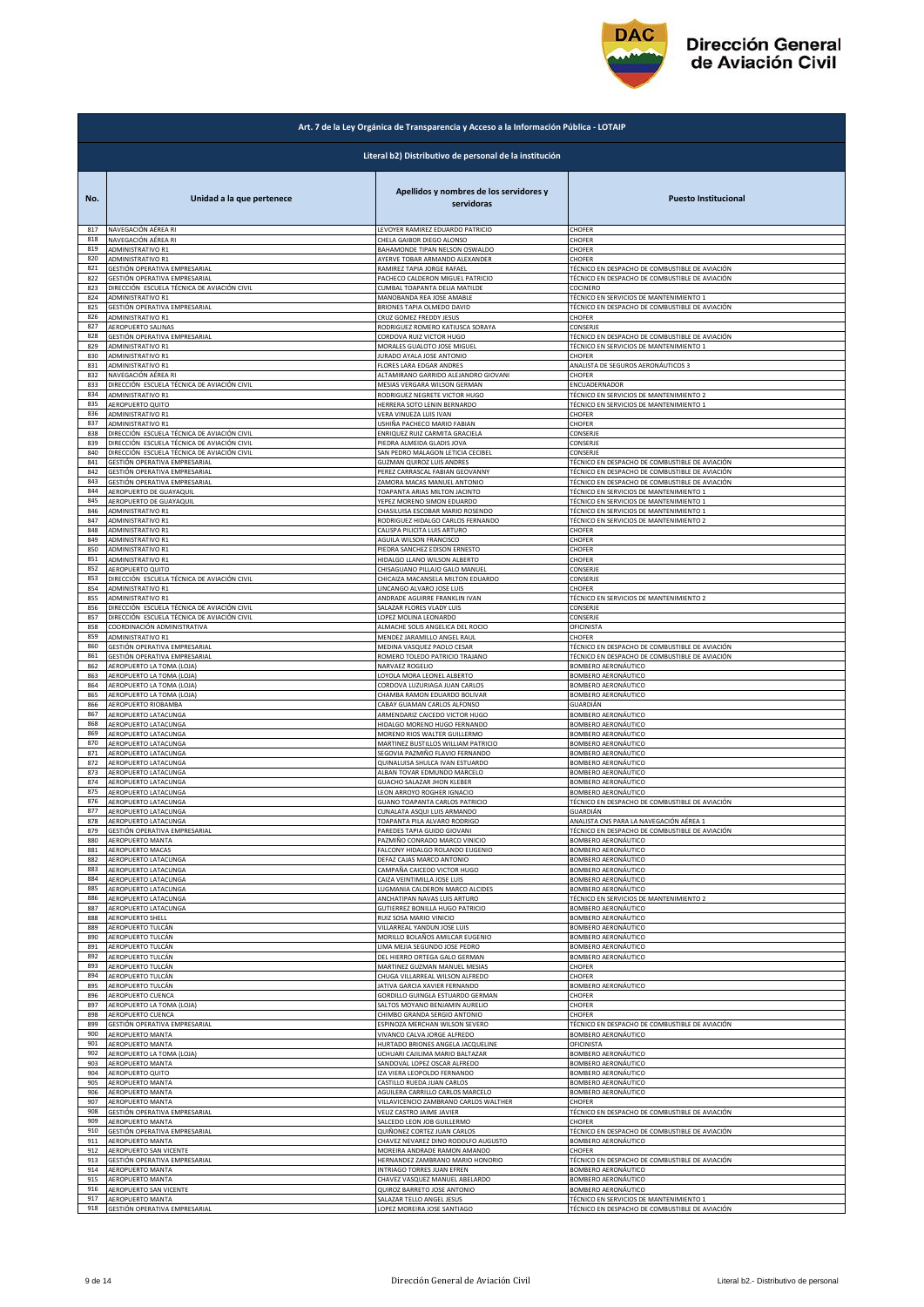

| Art. 7 de la Ley Orgánica de Transparencia y Acceso a la Información Pública - LOTAIP |                                                        |                                                                |                                                |  |
|---------------------------------------------------------------------------------------|--------------------------------------------------------|----------------------------------------------------------------|------------------------------------------------|--|
|                                                                                       | Literal b2) Distributivo de personal de la institución |                                                                |                                                |  |
| No.                                                                                   | Unidad a la que pertenece                              | Apellidos y nombres de los servidores y<br>servidoras          | <b>Puesto Institucional</b>                    |  |
| 817                                                                                   | NAVEGACIÓN AÉREA RI                                    | LEVOYER RAMIREZ EDUARDO PATRICIO                               | CHOFER                                         |  |
| 818                                                                                   | NAVEGACIÓN AÉREA RI                                    | CHELA GAIBOR DIEGO ALONSO                                      | CHOFER                                         |  |
| 819                                                                                   | ADMINISTRATIVO R1                                      | BAHAMONDE TIPAN NELSON OSWALDO                                 | CHOFER                                         |  |
| 820                                                                                   | ADMINISTRATIVO R1                                      | AYERVE TOBAR ARMANDO ALEXANDER                                 | CHOFER                                         |  |
| 821                                                                                   | GESTIÓN OPERATIVA EMPRESARIAL                          | RAMIREZ TAPIA JORGE RAFAEL                                     | TÉCNICO EN DESPACHO DE COMBUSTIBLE DE AVIACIÓN |  |
| 822                                                                                   | GESTIÓN OPERATIVA EMPRESARIAL                          | PACHECO CALDERON MIGUEL PATRICIO                               | TÉCNICO EN DESPACHO DE COMBUSTIBLE DE AVIACIÓN |  |
| 823                                                                                   | DIRECCIÓN ESCUELA TÉCNICA DE AVIACIÓN CIVIL            | CUMBAL TOAPANTA DELIA MATILDE                                  | COCINERO                                       |  |
| 824                                                                                   | <b>ADMINISTRATIVO R1</b>                               | MANOBANDA REA JOSE AMABLE                                      | TÉCNICO EN SERVICIOS DE MANTENIMIENTO 1        |  |
| 825                                                                                   | GESTIÓN OPERATIVA EMPRESARIAL                          | BRIONES TAPIA OLMEDO DAVID                                     | TÉCNICO EN DESPACHO DE COMBUSTIBLE DE AVIACIÓN |  |
| 826                                                                                   | ADMINISTRATIVO R1                                      | CRUZ GOMEZ FREDDY JESUS                                        | CHOFER                                         |  |
| 827                                                                                   | AEROPUERTO SALINAS                                     | RODRIGUEZ ROMERO KATIUSCA SORAYA                               | CONSERJE                                       |  |
| 828                                                                                   | GESTIÓN OPERATIVA EMPRESARIAL                          | CORDOVA RUIZ VICTOR HUGO                                       | TÉCNICO EN DESPACHO DE COMBUSTIBLE DE AVIACIÓN |  |
| 829                                                                                   | ADMINISTRATIVO R1                                      | MORALES GUALOTO JOSE MIGUEL                                    | TÉCNICO EN SERVICIOS DE MANTENIMIENTO 1        |  |
| 830                                                                                   | ADMINISTRATIVO R1                                      | JURADO AYALA JOSE ANTONIO                                      | CHOFER                                         |  |
| 831                                                                                   | <b>ADMINISTRATIVO R1</b>                               | FLORES LARA EDGAR ANDRES                                       | ANALISTA DE SEGUROS AERONÁUTICOS 3             |  |
| 832                                                                                   | NAVEGACIÓN AÉREA RI                                    | ALTAMIRANO GARRIDO ALEJANDRO GIOVANI                           | CHOFER                                         |  |
| 833                                                                                   | DIRECCIÓN ESCUELA TÉCNICA DE AVIACIÓN CIVIL            | MESIAS VERGARA WILSON GERMAN                                   | ENCUADERNADOR                                  |  |
| 834                                                                                   | ADMINISTRATIVO R1                                      | RODRIGUEZ NEGRETE VICTOR HUGO                                  | TÉCNICO EN SERVICIOS DE MANTENIMIENTO 2        |  |
| 835<br>836                                                                            | AEROPUERTO QUITO                                       | HERRERA SOTO LENIN BERNARDO                                    | TÉCNICO EN SERVICIOS DE MANTENIMIENTO 1        |  |
| 837                                                                                   | ADMINISTRATIVO R1                                      | VERA VINUEZA LUIS IVAN                                         | CHOFER                                         |  |
|                                                                                       | ADMINISTRATIVO R1                                      | USHIÑA PACHECO MARIO FABIAN                                    | CHOFER                                         |  |
| 838                                                                                   | DIRECCIÓN ESCUELA TÉCNICA DE AVIACIÓN CIVIL            | ENRIQUEZ RUIZ CARMITA GRACIELA                                 | CONSERJE                                       |  |
| 839                                                                                   | DIRECCIÓN ESCUELA TÉCNICA DE AVIACIÓN CIVIL            | PIEDRA ALMEIDA GLADIS JOVA                                     | CONSERJE                                       |  |
| 840                                                                                   | DIRECCIÓN ESCUELA TÉCNICA DE AVIACIÓN CIVIL            | SAN PEDRO MALAGON LETICIA CECIBEL                              | CONSERJE                                       |  |
| 841                                                                                   | GESTIÓN OPERATIVA EMPRESARIAL                          | GUZMAN QUIROZ LUIS ANDRES                                      | TÉCNICO EN DESPACHO DE COMBUSTIBLE DE AVIACIÓN |  |
| 842                                                                                   | GESTIÓN OPERATIVA EMPRESARIAL                          | PEREZ CARRASCAL FABIAN GEOVANNY                                | TÉCNICO EN DESPACHO DE COMBUSTIBLE DE AVIACIÓN |  |
| 843                                                                                   | GESTIÓN OPERATIVA EMPRESARIAL                          | ZAMORA MACAS MANUEL ANTONIO                                    | TÉCNICO EN DESPACHO DE COMBUSTIBLE DE AVIACIÓN |  |
| 844                                                                                   | AEROPUERTO DE GUAYAQUIL                                | TOAPANTA ARIAS MILTON JACINTO                                  | TÉCNICO EN SERVICIOS DE MANTENIMIENTO 1        |  |
| 845                                                                                   | AEROPUERTO DE GUAYAQUIL                                | YEPEZ MORENO SIMON EDUARDO                                     | TÉCNICO EN SERVICIOS DE MANTENIMIENTO 1        |  |
| 846                                                                                   | <b>ADMINISTRATIVO R1</b>                               | CHASILUISA ESCOBAR MARIO ROSENDO                               | TÉCNICO EN SERVICIOS DE MANTENIMIENTO 1        |  |
| 847                                                                                   | ADMINISTRATIVO R1                                      | RODRIGUEZ HIDALGO CARLOS FERNANDO                              | TÉCNICO EN SERVICIOS DE MANTENIMIENTO 2        |  |
| 848<br>849                                                                            | ADMINISTRATIVO R1<br>ADMINISTRATIVO R1                 | CALISPA PILICITA LUIS ARTURO                                   | CHOFER                                         |  |
| 850                                                                                   | ADMINISTRATIVO R1                                      | AGUILA WILSON FRANCISCO<br>PIEDRA SANCHEZ EDISON ERNESTO       | CHOFER<br>CHOFER                               |  |
| 851                                                                                   | ADMINISTRATIVO R1                                      | HIDALGO LLANO WILSON ALBERTO                                   | CHOFER                                         |  |
| 852                                                                                   | AEROPUERTO QUITO                                       | CHISAGUANO PILLAJO GALO MANUEL                                 | CONSERJE                                       |  |
| 853                                                                                   | DIRECCIÓN ESCUELA TÉCNICA DE AVIACIÓN CIVIL            | CHICAIZA MACANSELA MILTON EDUARDO                              | CONSERJE                                       |  |
| 854                                                                                   | ADMINISTRATIVO R1                                      | LINCANGO ALVARO JOSE LUIS                                      | CHOFER                                         |  |
| 855                                                                                   | ADMINISTRATIVO R1                                      | ANDRADE AGUIRRE FRANKLIN IVAN                                  | TÉCNICO EN SERVICIOS DE MANTENIMIENTO 2        |  |
| 856                                                                                   | DIRECCIÓN ESCUELA TÉCNICA DE AVIACIÓN CIVIL            | SALAZAR FLORES VLADY LUIS                                      | CONSERJE                                       |  |
| 857                                                                                   | DIRECCIÓN ESCUELA TÉCNICA DE AVIACIÓN CIVIL            | LOPEZ MOLINA LEONARDO                                          | CONSERJE                                       |  |
| 858                                                                                   | COORDINACIÓN ADMINISTRATIVA                            | ALMACHE SOLIS ANGELICA DEL ROCIO                               | OFICINISTA                                     |  |
| 859                                                                                   | ADMINISTRATIVO R1                                      | MENDEZ JARAMILLO ANGEL RAUL                                    | CHOFER                                         |  |
| 860                                                                                   | GESTIÓN OPERATIVA EMPRESARIAL                          | MEDINA VASQUEZ PAOLO CESAR                                     | TÉCNICO EN DESPACHO DE COMBUSTIBLE DE AVIACIÓN |  |
| 861                                                                                   | GESTIÓN OPERATIVA EMPRESARIAL                          | ROMERO TOLEDO PATRICIO TRAJANO                                 | TÉCNICO EN DESPACHO DE COMBUSTIBLE DE AVIACIÓN |  |
| 862                                                                                   | AEROPUERTO LA TOMA (LOJA)                              | NARVAEZ ROGELIO                                                | BOMBERO AERONÁUTICO                            |  |
| 863                                                                                   | AEROPUERTO LA TOMA (LOJA)                              | LOYOLA MORA LEONEL ALBERTO                                     | BOMBERO AERONÁUTICO                            |  |
| 864                                                                                   | AEROPUERTO LA TOMA (LOJA)                              | CORDOVA LUZURIAGA JUAN CARLOS                                  | BOMBERO AERONÁUTICO                            |  |
| 865                                                                                   | AEROPUERTO LA TOMA (LOJA)                              | CHAMBA RAMON EDUARDO BOLIVAR                                   | BOMBERO AERONÁUTICO                            |  |
| 866                                                                                   | AEROPUERTO RIOBAMBA                                    | CABAY GUAMAN CARLOS ALFONSO                                    | GUARDIÁN                                       |  |
| 867                                                                                   | AEROPUERTO LATACUNGA                                   | ARMENDARIZ CAICEDO VICTOR HUGO                                 | BOMBERO AERONÁUTICO                            |  |
| 868                                                                                   | AEROPUERTO LATACUNGA                                   | HIDALGO MORENO HUGO FERNANDO                                   | BOMBERO AERONÁUTICO                            |  |
| 869                                                                                   | AEROPUERTO LATACUNGA                                   | MORENO RIOS WALTER GUILLERMO                                   | BOMBERO AERONÁUTICO                            |  |
| 870                                                                                   | AEROPUERTO LATACUNGA                                   | MARTINEZ BUSTILLOS WILLIAM PATRICIO                            | BOMBERO AERONÁUTICO                            |  |
| 871<br>872                                                                            | AEROPUERTO LATACUNGA<br>AEROPUERTO LATACUNGA           | SEGOVIA PAZMIÑO FLAVIO FERNANDO                                | BOMBERO AERONÁUTICO                            |  |
| 873                                                                                   | AEROPUERTO LATACUNGA                                   | QUINALUISA SHULCA IVAN ESTUARDO<br>ALBAN TOVAR EDMUNDO MARCELO | BOMBERO AERONÁUTICO<br>BOMBERO AERONÁUTICO     |  |
| 874                                                                                   | AEROPUERTO LATACUNGA                                   | GUACHO SALAZAR JHON KLEBER                                     | BOMBERO AERONÁUTICO                            |  |
| 875                                                                                   | AEROPUERTO LATACUNGA                                   | LEON ARROYO ROGHER IGNACIO                                     | BOMBERO AERONÁUTICO                            |  |
| 876                                                                                   | AEROPUERTO LATACUNGA                                   | <b>GUANO TOAPANTA CARLOS PATRICIO</b>                          | TÉCNICO EN DESPACHO DE COMBUSTIBLE DE AVIACIÓN |  |
| 877                                                                                   | AEROPUERTO LATACUNGA                                   | CUNALATA ASQUI LUIS ARMANDO                                    | GUARDIAN                                       |  |
| 878                                                                                   | AEROPUERTO LATACUNGA                                   | TOAPANTA PILA ALVARO RODRIGO                                   | ANALISTA CNS PARA LA NAVEGACIÓN AÉREA 1        |  |
| 879                                                                                   | GESTIÓN OPERATIVA EMPRESARIAL                          | PAREDES TAPIA GUIDO GIOVANI                                    | TÉCNICO EN DESPACHO DE COMBUSTIBLE DE AVIACIÓN |  |
| 880                                                                                   | AEROPUERTO MANTA                                       | PAZMIÑO CONRADO MARCO VINICIO                                  | BOMBERO AERONÁUTICO                            |  |
| 881                                                                                   | AEROPUERTO MACAS                                       | FALCONY HIDALGO ROLANDO EUGENIO                                | BOMBERO AERONÁUTICO                            |  |
| 882                                                                                   | AEROPUERTO LATACUNGA                                   | DEFAZ CAJAS MARCO ANTONIO                                      | BOMBERO AERONÁUTICO                            |  |
| 883                                                                                   | AEROPUERTO LATACUNGA                                   | CAMPAÑA CAICEDO VICTOR HUGO                                    | BOMBERO AERONÁUTICO                            |  |
| 884                                                                                   | AEROPUERTO LATACUNGA                                   | CAIZA VEINTIMILLA JOSE LUIS                                    | BOMBERO AERONÁUTICO                            |  |
| 885                                                                                   | AEROPUERTO LATACUNGA                                   | LUGMANIA CALDERON MARCO ALCIDES                                | BOMBERO AERONÁUTICO                            |  |
| 886                                                                                   | AEROPUERTO LATACUNGA                                   | ANCHATIPAN NAVAS LUIS ARTURO                                   | TÉCNICO EN SERVICIOS DE MANTENIMIENTO 2        |  |
| 887                                                                                   | AEROPUERTO LATACUNGA                                   | GUTIERREZ BONILLA HUGO PATRICIO                                | BOMBERO AERONÁUTICO                            |  |
| 888                                                                                   | AEROPUERTO SHELL                                       | RUIZ SOSA MARIO VINICIO                                        | BOMBERO AERONÁUTICO                            |  |
| 889                                                                                   | AEROPUERTO TULCÁN                                      | VILLARREAL YANDUN JOSE LUIS                                    | BOMBERO AERONÁUTICO                            |  |
| 890                                                                                   | AEROPUERTO TULCÁN                                      | MORILLO BOLAÑOS AMILCAR EUGENIO                                | BOMBERO AERONÁUTICO                            |  |
| 891                                                                                   | AEROPUERTO TULCÁN                                      | LIMA MEJIA SEGUNDO JOSE PEDRO                                  | BOMBERO AERONÁUTICO                            |  |
| 892                                                                                   | AEROPUERTO TULCÁN                                      | DEL HIERRO ORTEGA GALO GERMAN                                  | BOMBERO AERONÁUTICO                            |  |
| 893                                                                                   | AEROPUERTO TULCÁN                                      | MARTINEZ GUZMAN MANUEL MESIAS                                  | CHOFER                                         |  |
| 894                                                                                   | AEROPUERTO TULCÁN                                      | CHUGA VILLARREAL WILSON ALFREDO                                | CHOFER                                         |  |
| 895                                                                                   | AEROPUERTO TULCÁN                                      | <b>JATIVA GARCIA XAVIER FERNANDO</b>                           | BOMBERO AERONÁUTICO                            |  |
| 896                                                                                   | AEROPUERTO CUENCA                                      | GORDILLO GUINGLA ESTUARDO GERMAN                               | CHOFER                                         |  |
| 897                                                                                   | AEROPUERTO LA TOMA (LOJA)                              | SALTOS MOYANO BENJAMIN AURELIO                                 | CHOFER                                         |  |
| 898                                                                                   | AEROPUERTO CUENCA                                      | CHIMBO GRANDA SERGIO ANTONIO                                   | CHOFER                                         |  |
| 899                                                                                   | GESTIÓN OPERATIVA EMPRESARIAL                          | ESPINOZA MERCHAN WILSON SEVERO                                 | TÉCNICO EN DESPACHO DE COMBUSTIBLE DE AVIACIÓN |  |
| 900                                                                                   | AEROPUERTO MANTA                                       | VIVANCO CALVA JORGE ALFREDO                                    | BOMBERO AERONÁUTICO                            |  |
| 901                                                                                   | AEROPUERTO MANTA                                       | HURTADO BRIONES ANGELA JACQUELINE                              | OFICINISTA                                     |  |
| 902                                                                                   | AEROPUERTO LA TOMA (LOJA)                              | UCHUARI CAJILIMA MARIO BALTAZAR                                | BOMBERO AERONÁUTICO                            |  |
| 903                                                                                   | AEROPUERTO MANTA                                       | SANDOVAL LOPEZ OSCAR ALFREDO                                   | BOMBERO AERONÁUTICO                            |  |
| 904                                                                                   | AEROPUERTO QUITO                                       | IZA VIERA LEOPOLDO FERNANDO                                    | BOMBERO AERONÁUTICO                            |  |
| 905                                                                                   | AEROPUERTO MANTA                                       | CASTILLO RUEDA JUAN CARLOS                                     | BOMBERO AERONÁUTICO                            |  |
| 906                                                                                   | AEROPUERTO MANTA                                       | AGUILERA CARRILLO CARLOS MARCELO                               | BOMBERO AERONÁUTICO                            |  |
| 907                                                                                   | <b>AEROPUERTO MANTA</b>                                | VILLAVICENCIO ZAMBRANO CARLOS WALTHER                          | CHOFER                                         |  |
| 908                                                                                   | GESTIÓN OPERATIVA EMPRESARIAL                          | VELIZ CASTRO JAIME JAVIER                                      | TÉCNICO EN DESPACHO DE COMBUSTIBLE DE AVIACIÓN |  |
| 909                                                                                   | AEROPUERTO MANTA                                       | SALCEDO LEON JOB GUILLERMO                                     | CHOFER                                         |  |
| 910                                                                                   | GESTIÓN OPERATIVA EMPRESARIAL                          | QUIÑONEZ CORTEZ JUAN CARLOS                                    | TÉCNICO EN DESPACHO DE COMBUSTIBLE DE AVIACIÓN |  |
| 911                                                                                   | AEROPUERTO MANTA                                       | CHAVEZ NEVAREZ DINO RODOLFO AUGUSTO                            | BOMBERO AERONÁUTICO                            |  |
| 912                                                                                   | AEROPUERTO SAN VICENTE                                 | MOREIRA ANDRADE RAMON AMANDO                                   | CHOFER                                         |  |
| 913                                                                                   | GESTIÓN OPERATIVA EMPRESARIAL                          | HERNANDEZ ZAMBRANO MARIO HONORIO                               | TÉCNICO EN DESPACHO DE COMBUSTIBLE DE AVIACIÓN |  |
| 914                                                                                   | AEROPUERTO MANTA                                       | INTRIAGO TORRES JUAN EFREN                                     | BOMBERO AERONÁUTICO                            |  |
| 915                                                                                   | AEROPUERTO MANTA                                       | CHAVEZ VASQUEZ MANUEL ABELARDO                                 | BOMBERO AERONÁUTICO                            |  |
| 916                                                                                   | AEROPUERTO SAN VICENTE                                 | QUIROZ BARRETO JOSE ANTONIO                                    | BOMBERO AERONÁUTICO                            |  |
| 917                                                                                   | AEROPUERTO MANTA                                       | SALAZAR TELLO ANGEL JESUS                                      | TÉCNICO EN SERVICIOS DE MANTENIMIENTO 1        |  |
| 918                                                                                   | GESTIÓN OPERATIVA EMPRESARIAL                          | LOPEZ MOREIRA JOSE SANTIAGO                                    | TÉCNICO EN DESPACHO DE COMBUSTIBLE DE AVIACIÓN |  |
|                                                                                       |                                                        |                                                                |                                                |  |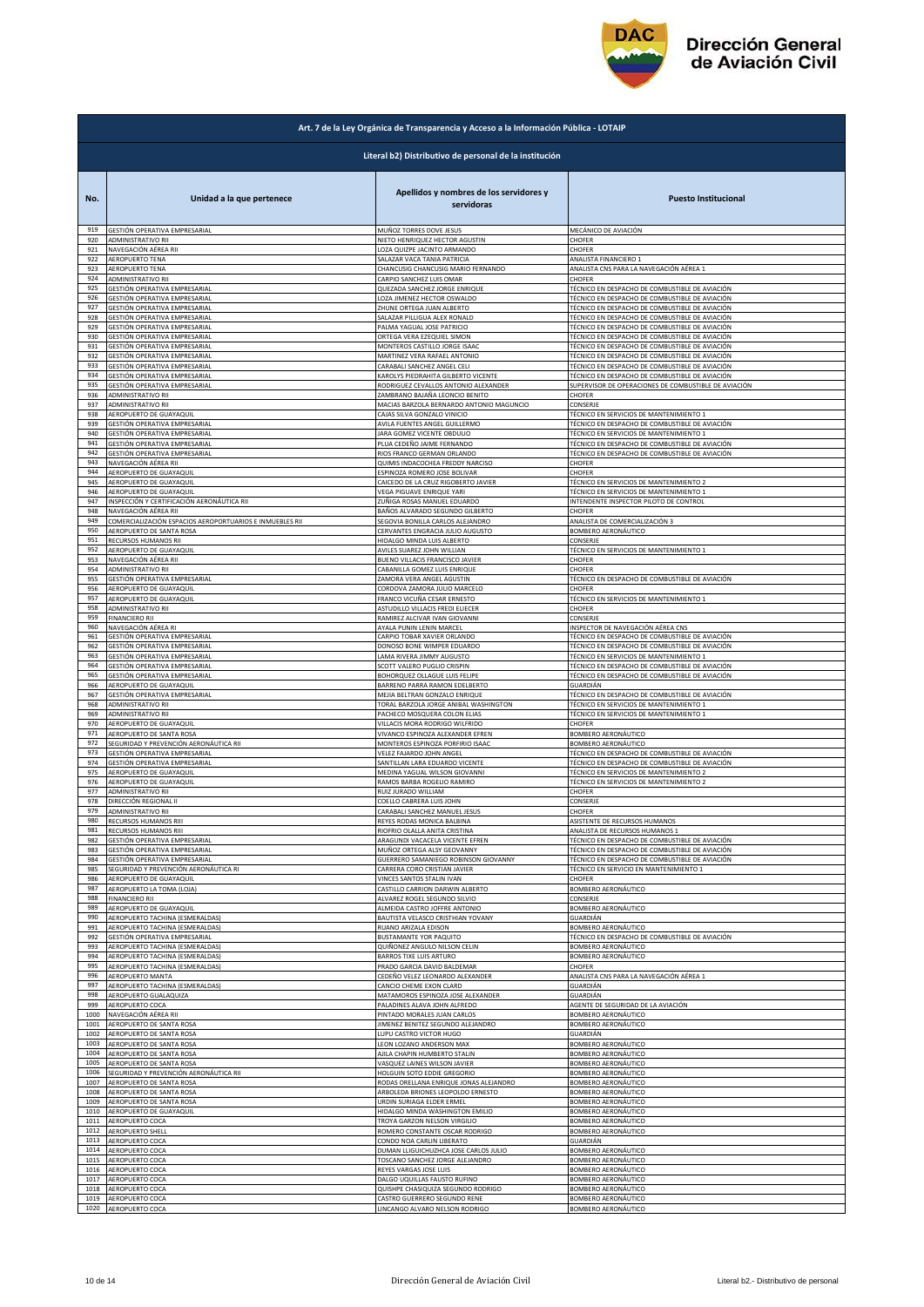

|            | Art. 7 de la Ley Orgánica de Transparencia y Acceso a la Información Pública - LOTAIP |                                                                |                                                                                                  |  |
|------------|---------------------------------------------------------------------------------------|----------------------------------------------------------------|--------------------------------------------------------------------------------------------------|--|
|            | Literal b2) Distributivo de personal de la institución                                |                                                                |                                                                                                  |  |
| No.        | Unidad a la que pertenece                                                             | Apellidos y nombres de los servidores y<br>servidoras          | <b>Puesto Institucional</b>                                                                      |  |
| 919        | GESTIÓN OPERATIVA EMPRESARIAL                                                         | MUÑOZ TORRES DOVE JESUS                                        | MECÁNICO DE AVIACIÓN                                                                             |  |
| 920        | ADMINISTRATIVO RII                                                                    | NIETO HENRIQUEZ HECTOR AGUSTIN                                 | CHOFER                                                                                           |  |
| 921        | NAVEGACIÓN AÉREA RII                                                                  | LOZA QUIZPE JACINTO ARMANDO                                    | CHOFER                                                                                           |  |
| 922        | <b>AEROPUERTO TENA</b>                                                                | SALAZAR VACA TANIA PATRICIA                                    | ANALISTA FINANCIERO 1                                                                            |  |
| 923        | AEROPUERTO TENA                                                                       | CHANCUSIG CHANCUSIG MARIO FERNANDO                             | ANALISTA CNS PARA LA NAVEGACIÓN AÉREA 1                                                          |  |
| 924        | ADMINISTRATIVO RII                                                                    | CARPIO SANCHEZ LUIS OMAR                                       | CHOFFR                                                                                           |  |
| 925        | GESTIÓN OPERATIVA EMPRESARIAL                                                         | QUEZADA SANCHEZ JORGE ENRIQUE                                  | TÉCNICO EN DESPACHO DE COMBUSTIBLE DE AVIACIÓN                                                   |  |
| 926        | GESTIÓN OPERATIVA EMPRESARIAL                                                         | LOZA JIMENEZ HECTOR OSWALDO                                    | TÉCNICO EN DESPACHO DE COMBUSTIBLE DE AVIACIÓN<br>TÉCNICO EN DESPACHO DE COMBUSTIBLE DE AVIACIÓN |  |
| 927        | GESTIÓN OPERATIVA EMPRESARIAL                                                         | ZHUNE ORTEGA JUAN ALBERTO                                      | TÉCNICO EN DESPACHO DE COMBUSTIBLE DE AVIACIÓN                                                   |  |
| 928        | GESTIÓN OPERATIVA EMPRESARIAL                                                         | SALAZAR PILLIGUA ALEX RONALD                                   |                                                                                                  |  |
| 929        | GESTIÓN OPERATIVA EMPRESARIAL                                                         | PALMA YAGUAL JOSE PATRICIO                                     | TÉCNICO EN DESPACHO DE COMBUSTIBLE DE AVIACIÓN                                                   |  |
| 930        | GESTIÓN OPERATIVA EMPRESARIAL                                                         | ORTEGA VERA EZEQUIEL SIMON                                     | TÉCNICO EN DESPACHO DE COMBUSTIBLE DE AVIACIÓN                                                   |  |
| 931        | GESTIÓN OPERATIVA EMPRESARIAL                                                         | MONTEROS CASTILLO JORGE ISAAC                                  | TÉCNICO EN DESPACHO DE COMBUSTIBLE DE AVIACIÓN                                                   |  |
| 932        | GESTIÓN OPERATIVA EMPRESARIAL                                                         | MARTINEZ VERA RAFAEL ANTONIO                                   | TÉCNICO EN DESPACHO DE COMBUSTIBLE DE AVIACIÓN                                                   |  |
| 933        | GESTIÓN OPERATIVA EMPRESARIAL                                                         | CARABALI SANCHEZ ANGEL CELI                                    | TÉCNICO EN DESPACHO DE COMBUSTIBLE DE AVIACIÓN                                                   |  |
| 934        | GESTIÓN OPERATIVA EMPRESARIAL                                                         | KAROLYS PIEDRAHITA GILBERTO VICENTE                            | TÉCNICO EN DESPACHO DE COMBUSTIBLE DE AVIACIÓN                                                   |  |
| 935        | GESTIÓN OPERATIVA EMPRESARIAL                                                         | RODRIGUEZ CEVALLOS ANTONIO ALEXANDER                           | SUPERVISOR DE OPERACIONES DE COMBUSTIBLE DE AVIACIÓN                                             |  |
| 936        | ADMINISTRATIVO RII                                                                    | ZAMBRANO BAJAÑA LEONCIO BENITO                                 | CHOFER                                                                                           |  |
| 937        | ADMINISTRATIVO RII                                                                    | MACIAS BARZOLA BERNARDO ANTONIO MAGUNCIO                       | CONSERJE                                                                                         |  |
| 938        | AEROPUERTO DE GUAYAQUIL                                                               | CAJAS SILVA GONZALO VINICIO                                    | TÉCNICO EN SERVICIOS DE MANTENIMIENTO 1                                                          |  |
| 939        | GESTIÓN OPERATIVA EMPRESARIAL                                                         | AVILA FUENTES ANGEL GUILLERMO                                  | TÉCNICO EN DESPACHO DE COMBUSTIBLE DE AVIACIÓN                                                   |  |
| 940        | GESTIÓN OPERATIVA EMPRESARIAL                                                         | JARA GOMEZ VICENTE OBDULIO                                     | TÉCNICO EN SERVICIOS DE MANTENIMIENTO 1                                                          |  |
| 941        | GESTIÓN OPERATIVA EMPRESARIAL                                                         | PLUA CEDEÑO JAIME FERNANDO                                     | TÉCNICO EN DESPACHO DE COMBUSTIBLE DE AVIACIÓN                                                   |  |
| 942        | GESTIÓN OPERATIVA EMPRESARIAL                                                         | RIOS FRANCO GERMAN ORLANDO                                     | TÉCNICO EN DESPACHO DE COMBUSTIBLE DE AVIACIÓN                                                   |  |
| 943        | NAVEGACIÓN AÉREA RII                                                                  | QUIMIS INDACOCHEA FREDDY NARCISO                               | CHOFER                                                                                           |  |
| 944        | AEROPUERTO DE GUAYAQUIL                                                               | ESPINOZA ROMERO JOSE BOLIVAR                                   | CHOFER                                                                                           |  |
| 945        | AEROPUERTO DE GUAYAQUIL                                                               | CAICEDO DE LA CRUZ RIGOBERTO JAVIER                            | TÉCNICO EN SERVICIOS DE MANTENIMIENTO 2                                                          |  |
| 946        | AEROPUERTO DE GUAYAQUIL                                                               | VEGA PIGUAVE ENRIQUE YARI                                      | TÉCNICO EN SERVICIOS DE MANTENIMIENTO 1                                                          |  |
| 947        | INSPECCIÓN Y CERTIFICACIÓN AERONÁUTICA RII                                            | ZUÑIGA ROSAS MANUEL EDUARDO                                    | INTENDENTE INSPECTOR PILOTO DE CONTROL                                                           |  |
| 948        | NAVEGACIÓN AÉREA RII                                                                  | BAÑOS ALVARADO SEGUNDO GILBERTO                                | CHOFER                                                                                           |  |
| 949        | COMERCIALIZACIÓN ESPACIOS AEROPORTUARIOS E INMUEBLES RII                              | SEGOVIA BONILLA CARLOS ALEJANDRO                               | ANALISTA DE COMERCIALIZACIÓN 3                                                                   |  |
| 950        | AEROPUERTO DE SANTA ROSA                                                              | CERVANTES ENGRACIA JULIO AUGUSTO                               | BOMBERO AERONÁUTICO                                                                              |  |
| 951        | RECURSOS HUMANOS RII                                                                  | HIDALGO MINDA LUIS ALBERTO                                     | CONSERJE                                                                                         |  |
| 952        | AEROPUERTO DE GUAYAQUIL                                                               | AVILES SUAREZ JOHN WILLIAN                                     | TÉCNICO EN SERVICIOS DE MANTENIMIENTO 1                                                          |  |
| 953        | NAVEGACIÓN AÉREA RII                                                                  | BUENO VILLACIS FRANCISCO JAVIER                                | CHOFER                                                                                           |  |
| 954        | ADMINISTRATIVO RII                                                                    | CABANILLA GOMEZ LUIS ENRIQUE                                   | CHOFER                                                                                           |  |
| 955        | GESTIÓN OPERATIVA EMPRESARIAL                                                         | ZAMORA VERA ANGEL AGUSTIN                                      | TÉCNICO EN DESPACHO DE COMBUSTIBLE DE AVIACIÓN                                                   |  |
| 956        | AEROPUERTO DE GUAYAQUIL                                                               | CORDOVA ZAMORA JULIO MARCELO                                   | CHOFER                                                                                           |  |
| 957        | AEROPUERTO DE GUAYAQUIL                                                               | FRANCO VICUÑA CESAR ERNESTO                                    | TÉCNICO EN SERVICIOS DE MANTENIMIENTO 1                                                          |  |
| 958<br>959 | ADMINISTRATIVO RII                                                                    | ASTUDILLO VILLACIS FREDI ELIECER                               | CHOFER                                                                                           |  |
| 960        | <b>FINANCIERO RII</b>                                                                 | RAMIREZ ALCIVAR IVAN GIOVANNI                                  | CONSERJE                                                                                         |  |
|            | NAVEGACIÓN AÉREA RI                                                                   | AYALA PUNIN LENIN MARCEL                                       | INSPECTOR DE NAVEGACIÓN AÉREA CNS                                                                |  |
| 961        | GESTIÓN OPERATIVA EMPRESARIAL                                                         | CARPIO TOBAR XAVIER ORLANDO                                    | TÉCNICO EN DESPACHO DE COMBUSTIBLE DE AVIACIÓN                                                   |  |
| 962        | GESTIÓN OPERATIVA EMPRESARIAL                                                         | DONOSO BONE WIMPER EDUARDO                                     | TÉCNICO EN DESPACHO DE COMBUSTIBLE DE AVIACIÓN                                                   |  |
| 963        | GESTIÓN OPERATIVA EMPRESARIAL                                                         | LAMA RIVERA JIMMY AUGUSTO                                      | TÉCNICO EN SERVICIOS DE MANTENIMIENTO 1                                                          |  |
| 964        | GESTIÓN OPERATIVA EMPRESARIAL                                                         | SCOTT VALERO PUGLIO CRISPIN                                    | TÉCNICO EN DESPACHO DE COMBUSTIBLE DE AVIACIÓN                                                   |  |
| 965<br>966 | GESTIÓN OPERATIVA EMPRESARIAL<br>AEROPUERTO DE GUAYAQUIL                              | BOHORQUEZ OLLAGUE LUIS FELIPE                                  | TÉCNICO EN DESPACHO DE COMBUSTIBLE DE AVIACIÓN                                                   |  |
| 967        | GESTIÓN OPERATIVA EMPRESARIAL                                                         | BARRENO PARRA RAMON EDELBERTO<br>MEJIA BELTRAN GONZALO ENRIQUE | GUARDIÁN<br>TÉCNICO EN DESPACHO DE COMBUSTIBLE DE AVIACIÓN                                       |  |
| 968        | ADMINISTRATIVO RII                                                                    | TORAL BARZOLA JORGE ANIBAL WASHINGTON                          | TÉCNICO EN SERVICIOS DE MANTENIMIENTO 1                                                          |  |
| 969        | ADMINISTRATIVO RII                                                                    | PACHECO MOSQUERA COLON ELIAS                                   | TÉCNICO EN SERVICIOS DE MANTENIMIENTO 1                                                          |  |
| 970        | AEROPUERTO DE GUAYAQUIL                                                               | VILLACIS MORA RODRIGO WILFRIDO                                 | CHOFER                                                                                           |  |
| 971        | AEROPUERTO DE SANTA ROSA                                                              | VIVANCO ESPINOZA ALEXANDER EFREN                               | BOMBERO AERONÁUTICO                                                                              |  |
| 972        | SEGURIDAD Y PREVENCIÓN AERONÁUTICA RII                                                | MONTEROS ESPINOZA PORFIRIO ISAAC                               | BOMBERO AERONÁUTICO                                                                              |  |
| 973        | GESTIÓN OPERATIVA EMPRESARIAL                                                         | VELEZ FAJARDO JOHN ANGEL                                       | TÉCNICO EN DESPACHO DE COMBUSTIBLE DE AVIACIÓN                                                   |  |
| 974        | GESTIÓN OPERATIVA EMPRESARIAL                                                         | SANTILLAN LARA EDUARDO VICENTE                                 | TÉCNICO EN DESPACHO DE COMBUSTIBLE DE AVIACIÓN                                                   |  |
| 975        | AEROPUERTO DE GUAYAQUIL                                                               | MEDINA YAGUAL WILSON GIOVANNI                                  | TÉCNICO EN SERVICIOS DE MANTENIMIENTO 2                                                          |  |
| 976        | AEROPUERTO DE GUAYAQUIL                                                               | RAMOS BARBA ROGELIO RAMIRO                                     | TÉCNICO EN SERVICIOS DE MANTENIMIENTO 2                                                          |  |
| 977        | ADMINISTRATIVO RII                                                                    | RUIZ JURADO WILLIAM                                            | CHOFER                                                                                           |  |
| 978        | DIRECCIÓN REGIONAL II                                                                 | COELLO CABRERA LUIS JOHN                                       | CONSERJE                                                                                         |  |
| 979        | ADMINISTRATIVO RII                                                                    | CARABALI SANCHEZ MANUEL JESUS                                  | CHOFER                                                                                           |  |
| 980        | RECURSOS HUMANOS RIII                                                                 | REYES RODAS MONICA BALBINA                                     | ASISTENTE DE RECURSOS HUMANOS                                                                    |  |
| 981        | RECURSOS HUMANOS RIII                                                                 | RIOFRIO OLALLA ANITA CRISTINA                                  | ANALISTA DE RECURSOS HUMANOS 1                                                                   |  |
| 982        | GESTIÓN OPERATIVA EMPRESARIAL                                                         | ARAGUNDI VACACELA VICENTE EFREN                                | TÉCNICO EN DESPACHO DE COMBUSTIBLE DE AVIACIÓN                                                   |  |
| 983        | GESTIÓN OPERATIVA EMPRESARIAL                                                         | MUÑOZ ORTEGA ALSY GEOVANNY                                     | TÉCNICO EN DESPACHO DE COMBUSTIBLE DE AVIACIÓN                                                   |  |
| 984        | GESTIÓN OPERATIVA EMPRESARIAL                                                         | GUERRERO SAMANIEGO ROBINSON GIOVANNY                           | TÉCNICO EN DESPACHO DE COMBUSTIBLE DE AVIACIÓN                                                   |  |
| 985        | SEGURIDAD Y PREVENCIÓN AERONÁUTICA RI                                                 | CARRERA CORO CRISTIAN JAVIER                                   | TÉCNICO EN SERVICIO EN MANTENIMIENTO 1                                                           |  |
| 986        | AEROPUERTO DE GUAYAQUIL                                                               | VINCES SANTOS STALIN IVAN                                      | CHOFER                                                                                           |  |
| 987        | AEROPUERTO LA TOMA (LOJA)                                                             | CASTILLO CARRION DARWIN ALBERTO                                | BOMBERO AERONÁUTICO                                                                              |  |
| 988        | <b>FINANCIERO RII</b>                                                                 | ALVAREZ ROGEL SEGUNDO SILVIO                                   | CONSERJE                                                                                         |  |
| 989        | AEROPUERTO DE GUAYAQUIL                                                               | ALMEIDA CASTRO JOFFRE ANTONIO                                  | BOMBERO AERONÁUTICO                                                                              |  |
| 990        | AEROPUERTO TACHINA (ESMERALDAS)                                                       | BAUTISTA VELASCO CRISTHIAN YOVANY                              | GUARDIÁN                                                                                         |  |
| 991        | <b>AEROPUERTO TACHINA (ESMERALDAS)</b>                                                | RUANO ARIZALA EDISON                                           | BOMBERO AERONÁUTICO                                                                              |  |
| 992        | GESTIÓN OPERATIVA EMPRESARIAL                                                         | <b>BUSTAMANTE YOR PAQUITO</b>                                  | TÉCNICO EN DESPACHO DE COMBUSTIBLE DE AVIACIÓN                                                   |  |
| 993        | AEROPUERTO TACHINA (ESMERALDAS)                                                       | QUIÑONEZ ANGULO NILSON CELIN                                   | <b>BOMBERO AERONÁUTICO</b>                                                                       |  |
| 994        | AEROPUERTO TACHINA (ESMERALDAS)                                                       | BARROS TIXE LUIS ARTURO                                        | BOMBERO AERONÁUTICO                                                                              |  |
| 995        | AEROPUERTO TACHINA (ESMERALDAS)                                                       | PRADO GARCIA DAVID BALDEMAR                                    | CHOFER                                                                                           |  |
| 996        | <b>AEROPUERTO MANTA</b>                                                               | CEDEÑO VELEZ LEONARDO ALEXANDER                                | ANALISTA CNS PARA LA NAVEGACIÓN AÉREA 1                                                          |  |
| 997        | AEROPUERTO TACHINA (ESMERALDAS)                                                       | CANCIO CHEME EXON CLARD                                        | GUARDIÁN                                                                                         |  |
| 998        | AEROPUERTO GUALAQUIZA                                                                 | MATAMOROS ESPINOZA JOSE ALEXANDER                              | GUARDIÁN                                                                                         |  |
| 999        | AEROPUERTO COCA                                                                       | PALADINES ALAVA JOHN ALFREDO                                   | AGENTE DE SEGURIDAD DE LA AVIACIÓN                                                               |  |
| 1000       | NAVEGACIÓN AÉREA RII                                                                  | PINTADO MORALES JUAN CARLOS                                    | BOMBERO AERONÁUTICO                                                                              |  |
| 1001       | AEROPUERTO DE SANTA ROSA                                                              | JIMENEZ BENITEZ SEGUNDO ALEJANDRO                              | BOMBERO AERONÁUTICO                                                                              |  |
| 1002       | AEROPUERTO DE SANTA ROSA                                                              | LUPU CASTRO VICTOR HUGO                                        | GUARDIÁN                                                                                         |  |
| 1003       | AEROPUERTO DE SANTA ROSA                                                              | <b>LEON LOZANO ANDERSON MAX</b>                                | BOMBERO AERONÁUTICO                                                                              |  |
| 1004       | AEROPUERTO DE SANTA ROSA                                                              | AJILA CHAPIN HUMBERTO STALIN                                   | BOMBERO AERONÁUTICO                                                                              |  |
| 1005       | AEROPUERTO DE SANTA ROSA                                                              | VASQUEZ LAINES WILSON JAVIER                                   | BOMBERO AERONÁUTICO                                                                              |  |
| 1006       | SEGURIDAD Y PREVENCIÓN AERONÁUTICA RII                                                | HOLGUIN SOTO EDDIE GREGORIO                                    | BOMBERO AERONÁUTICO                                                                              |  |
| 1007       | AEROPUERTO DE SANTA ROSA                                                              | RODAS ORELLANA ENRIQUE JONAS ALEJANDRO                         | BOMBERO AERONÁUTICO                                                                              |  |
| 1008       | AEROPUERTO DE SANTA ROSA                                                              | ARBOLEDA BRIONES LEOPOLDO ERNESTO                              | BOMBERO AERONÁUTICO                                                                              |  |
| 1009       | AEROPUERTO DE SANTA ROSA                                                              | URDIN SURIAGA ELDER ERMEL                                      | BOMBERO AERONÁUTICO                                                                              |  |
| 1010       | AEROPUERTO DE GUAYAQUIL                                                               | HIDALGO MINDA WASHINGTON EMILIO                                | BOMBERO AERONÁUTICO                                                                              |  |
| 1011       | AEROPUERTO COCA                                                                       | TROYA GARZON NELSON VIRGILIO                                   | BOMBERO AERONÁUTICO                                                                              |  |
| 1012       | AEROPUERTO SHELL                                                                      | ROMERO CONSTANTE OSCAR RODRIGO                                 | BOMBERO AERONÁUTICO                                                                              |  |
| 1013       |                                                                                       | CONDO NOA CARLIN LIBERATO                                      | GUARDIÁN                                                                                         |  |
| 1014       | AEROPUERTO COCA<br>AEROPUERTO COCA                                                    | DUMAN LLIGUICHUZHCA JOSE CARLOS JULIO                          | BOMBERO AERONÁUTICO                                                                              |  |
| 1015       | AEROPUERTO COCA                                                                       | TOSCANO SANCHEZ JORGE ALEJANDRO                                | BOMBERO AERONÁUTICO                                                                              |  |
| 1016       | AEROPUERTO COCA                                                                       | REYES VARGAS JOSE LUIS                                         | BOMBERO AERONÁUTICO                                                                              |  |
| 1017       | AEROPUERTO COCA                                                                       | DALGO UQUILLAS FAUSTO RUFINO                                   | BOMBERO AERONÁUTICO                                                                              |  |
| 1018       | AEROPUERTO COCA                                                                       | QUISHPE CHASIQUIZA SEGUNDO RODRIGO                             | BOMBERO AERONÁUTICO                                                                              |  |
| 1019       | AEROPUERTO COCA                                                                       | CASTRO GUERRERO SEGUNDO RENE                                   | BOMBERO AERONÁUTICO                                                                              |  |
| 1020       | AEROPUERTO COCA                                                                       | LINCANGO ALVARO NELSON RODRIGO                                 | BOMBERO AERONÁUTICO                                                                              |  |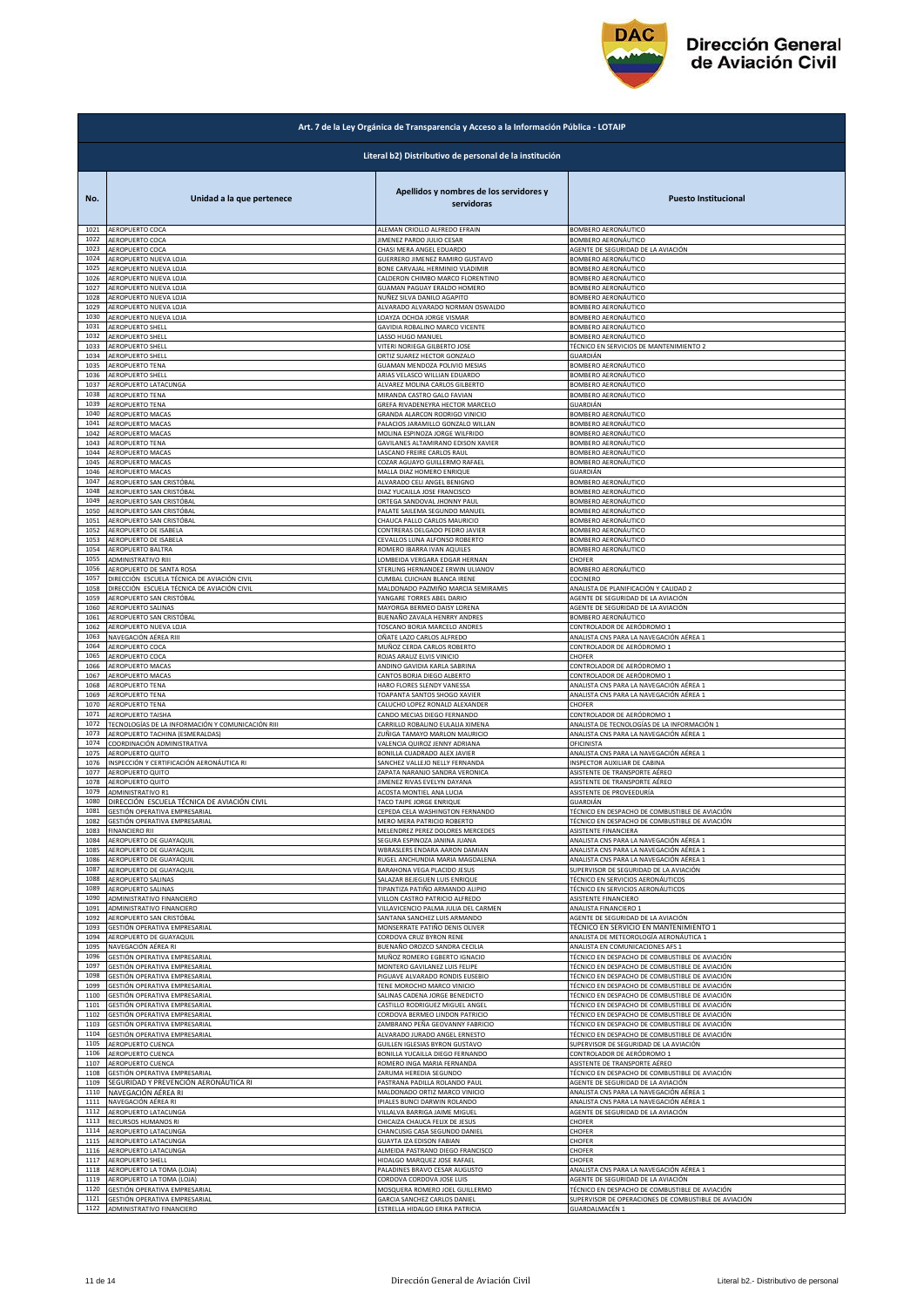

|              | Art. 7 de la Ley Orgánica de Transparencia y Acceso a la Información Pública - LOTAIP |                                                                |                                                                               |  |
|--------------|---------------------------------------------------------------------------------------|----------------------------------------------------------------|-------------------------------------------------------------------------------|--|
|              | Literal b2) Distributivo de personal de la institución                                |                                                                |                                                                               |  |
| No.          | Unidad a la que pertenece                                                             | Apellidos y nombres de los servidores y<br>servidoras          | <b>Puesto Institucional</b>                                                   |  |
| 1021         | AEROPUERTO COCA                                                                       | ALEMAN CRIOLLO ALFREDO EFRAIN                                  | BOMBERO AERONÁUTICO                                                           |  |
| 1022         | AEROPUERTO COCA                                                                       | JIMENEZ PARDO JULIO CESAR                                      | BOMBERO AERONÁUTICO                                                           |  |
| 1023         | AEROPUERTO COCA                                                                       | CHASI MERA ANGEL EDUARDO                                       | AGENTE DE SEGURIDAD DE LA AVIACIÓN                                            |  |
| 1024         | AEROPUERTO NUEVA LOJA                                                                 | GUERRERO JIMENEZ RAMIRO GUSTAVO                                | BOMBERO AERONÁUTICO                                                           |  |
| 1025         | AEROPUERTO NUEVA LOJA                                                                 | BONE CARVAJAL HERMINIO VLADIMIR                                | BOMBERO AERONÁUTICO                                                           |  |
| 1026         | AEROPUERTO NUEVA LOJA                                                                 | CALDERON CHIMBO MARCO FLORENTINO                               | BOMBERO AERONÁUTICO                                                           |  |
| 1027         | AEROPUERTO NUEVA LOJA                                                                 | GUAMAN PAGUAY ERALDO HOMERO                                    | BOMBERO AERONÁUTICO                                                           |  |
| 1028         | AEROPUERTO NUEVA LOJA                                                                 | NUÑEZ SILVA DANILO AGAPITO                                     | BOMBERO AERONÁUTICO                                                           |  |
| 1029         | AEROPUERTO NUEVA LOJA                                                                 | ALVARADO ALVARADO NORMAN OSWALDO                               | <b>SOMBERO AERONÁUTICO</b>                                                    |  |
| 1030         | AEROPUERTO NUEVA LOJA                                                                 | LOAYZA OCHOA JORGE VISMAR                                      | BOMBERO AERONÁUTICO                                                           |  |
| 1031         | AEROPUERTO SHELL                                                                      | GAVIDIA ROBALINO MARCO VICENTE                                 | BOMBERO AERONÁUTICO                                                           |  |
| 1032         | AEROPUERTO SHELL                                                                      | LASSO HUGO MANUEL                                              | BOMBERO AERONÁUTICO                                                           |  |
| 1033         | AEROPUERTO SHELL                                                                      | VITERI NORIEGA GILBERTO JOSE                                   | TÉCNICO EN SERVICIOS DE MANTENIMIENTO 2                                       |  |
| 1034         | AEROPUERTO SHELL                                                                      | ORTIZ SUAREZ HECTOR GONZALO                                    | GUARDIÁN                                                                      |  |
| 1035         | <b>AEROPUERTO TENA</b>                                                                | GUAMAN MENDOZA POLIVIO MESIAS                                  | BOMBERO AERONÁUTICO                                                           |  |
| 1036         | AEROPUERTO SHELL                                                                      | ARIAS VELASCO WILLIAN EDUARDO                                  | BOMBERO AERONÁUTICO                                                           |  |
| 1037         | AEROPUERTO LATACUNGA                                                                  | ALVAREZ MOLINA CARLOS GILBERTO                                 | BOMBERO AERONÁUTICO                                                           |  |
| 1038         | <b>AEROPUERTO TENA</b>                                                                | MIRANDA CASTRO GALO FAVIAN                                     | <b>3OMBERO AERONÁUTICO</b>                                                    |  |
| 1039         | AEROPUERTO TENA                                                                       | GREFA RIVADENEYRA HECTOR MARCELO                               | GUARDIÁN                                                                      |  |
| 1040         | AEROPUERTO MACAS                                                                      | GRANDA ALARCON RODRIGO VINICIO                                 | BOMBERO AERONÁUTICO                                                           |  |
| 1041         | AEROPUERTO MACAS                                                                      | PALACIOS JARAMILLO GONZALO WILLAN                              | BOMBERO AERONÁUTICO                                                           |  |
| 1042         | <b>AEROPUERTO MACAS</b>                                                               | MOLINA ESPINOZA JORGE WILFRIDO                                 | BOMBERO AERONÁUTICO                                                           |  |
| 1043         | AEROPUERTO TENA                                                                       | GAVILANES ALTAMIRANO EDISON XAVIER                             | BOMBERO AERONÁUTICO                                                           |  |
| 1044         | AEROPUERTO MACAS                                                                      | LASCANO FREIRE CARLOS RAUL                                     | BOMBERO AERONÁUTICO                                                           |  |
| 1045         | AEROPUERTO MACAS                                                                      | COZAR AGUAYO GUILLERMO RAFAEL                                  | BOMBERO AERONÁUTICO                                                           |  |
| 1046         | AEROPUERTO MACAS                                                                      | MALLA DIAZ HOMERO ENRIQUE<br>ALVARADO CELI ANGEL BENIGNO       | GUARDIÁN                                                                      |  |
| 1047         | AEROPUERTO SAN CRISTÓBAL                                                              | DIAZ YUCAILLA JOSE FRANCISCO                                   | BOMBERO AERONÁUTICO                                                           |  |
| 1048         | AEROPUERTO SAN CRISTÓBAL                                                              |                                                                | BOMBERO AERONÁUTICO                                                           |  |
| 1049         | AEROPUERTO SAN CRISTÓBAL                                                              | ORTEGA SANDOVAL JHONNY PAUL                                    | BOMBERO AERONÁUTICO                                                           |  |
| 1050         | AEROPUERTO SAN CRISTÓBAL                                                              | PALATE SAILEMA SEGUNDO MANUEL                                  | BOMBERO AERONÁUTICO                                                           |  |
| 1051         | AEROPUERTO SAN CRISTÓBAL                                                              | CHAUCA PALLO CARLOS MAURICIO                                   | BOMBERO AERONÁUTICO                                                           |  |
| 1052         | AEROPUERTO DE ISABELA                                                                 | CONTRERAS DELGADO PEDRO JAVIER                                 | BOMBERO AERONÁUTICO                                                           |  |
| 1053         | AEROPUERTO DE ISABELA                                                                 | CEVALLOS LUNA ALFONSO ROBERTO                                  | BOMBERO AERONÁUTICO                                                           |  |
| 1054         | AEROPUERTO BALTRA                                                                     | ROMERO IBARRA IVAN AQUILES                                     | BOMBERO AERONÁUTICO                                                           |  |
| 1055         | ADMINISTRATIVO RIII                                                                   | LOMBEIDA VERGARA EDGAR HERNAN                                  | CHOFER                                                                        |  |
| 1056         | AEROPUERTO DE SANTA ROSA                                                              | STERLING HERNANDEZ ERWIN ULIANOV                               | BOMBERO AERONÁUTICO                                                           |  |
| 1057         | DIRECCIÓN ESCUELA TÉCNICA DE AVIACIÓN CIVIL                                           | CUMBAL CUICHAN BLANCA IRENE                                    | COCINERO                                                                      |  |
| 1058         | DIRECCIÓN ESCUELA TÉCNICA DE AVIACIÓN CIVIL                                           | MALDONADO PAZMIÑO MARCIA SEMIRAMIS                             | ANALISTA DE PLANIFICACIÓN Y CALIDAD 2                                         |  |
| 1059         | AEROPUERTO SAN CRISTÓBAL                                                              | YANGARE TORRES ABEL DARIO                                      | AGENTE DE SEGURIDAD DE LA AVIACIÓN                                            |  |
| 1060         | AEROPUERTO SALINAS                                                                    | MAYORGA BERMEO DAISY LORENA                                    | AGENTE DE SEGURIDAD DE LA AVIACIÓN                                            |  |
| 1061         | AEROPUERTO SAN CRISTÓBAL                                                              | BUENAÑO ZAVALA HENRRY ANDRES                                   | BOMBERO AERONÁUTICO                                                           |  |
| 1062         | AEROPUERTO NUEVA LOJA                                                                 | <b>FOSCANO BORJA MARCELO ANDRES</b>                            | CONTROLADOR DE AERÓDROMO 1                                                    |  |
| 1063         | NAVEGACIÓN AÉREA RIII                                                                 | OÑATE LAZO CARLOS ALFREDO                                      | ANALISTA CNS PARA LA NAVEGACIÓN AÉREA 1                                       |  |
| 1064         | AEROPUERTO COCA                                                                       | MUÑOZ CERDA CARLOS ROBERTO                                     | CONTROLADOR DE AERÓDROMO 1                                                    |  |
| 1065         | AEROPUERTO COCA                                                                       | ROJAS ARAUZ ELVIS VINICIO                                      | CHOFER                                                                        |  |
| 1066         | <b>AEROPUERTO MACAS</b>                                                               | ANDINO GAVIDIA KARLA SABRINA                                   | CONTROLADOR DE AERÓDROMO 1                                                    |  |
| 1067         | AEROPUERTO MACAS                                                                      | CANTOS BORJA DIEGO ALBERTO                                     | CONTROLADOR DE AERÓDROMO 1                                                    |  |
| 1068         | AEROPUERTO TENA                                                                       | HARO FLORES SLENDY VANESSA                                     | ANALISTA CNS PARA LA NAVEGACIÓN AÉREA 1                                       |  |
| 1069         | AEROPUERTO TENA                                                                       | TOAPANTA SANTOS SHOGO XAVIER                                   | ANALISTA CNS PARA LA NAVEGACIÓN AÉREA 1                                       |  |
| 1070         | AEROPUERTO TENA                                                                       | CALUCHO LOPEZ RONALD ALEXANDER                                 | <b>CHOFER</b>                                                                 |  |
| 1071         | <b>AEROPUERTO TAISHA</b>                                                              | CANDO MECIAS DIEGO FERNANDO                                    | CONTROLADOR DE AERÓDROMO 1                                                    |  |
| 1072         | TECNOLOGÍAS DE LA INFORMACIÓN Y COMUNICACIÓN RIII                                     | CARRILLO ROBALINO EULALIA XIMENA                               | ANALISTA DE TECNOLOGÍAS DE LA INFORMACIÓN 1                                   |  |
| 1073         | AEROPUERTO TACHINA (ESMERALDAS)                                                       | ZUÑIGA TAMAYO MARLON MAURICIO                                  | ANALISTA CNS PARA LA NAVEGACIÓN AÉREA 1                                       |  |
| 1074         | COORDINACIÓN ADMINISTRATIVA                                                           | VALENCIA QUIROZ JENNY ADRIANA                                  | OFICINISTA                                                                    |  |
| 1075         | AEROPUERTO QUITO                                                                      | BONILLA CUADRADO ALEX JAVIER                                   | ANALISTA CNS PARA LA NAVEGACIÓN AÉREA 1                                       |  |
| 1076         | INSPECCIÓN Y CERTIFICACIÓN AERONÁUTICA RI                                             | SANCHEZ VALLEJO NELLY FERNANDA                                 | INSPECTOR AUXILIAR DE CABINA                                                  |  |
| 1077         | AEROPUERTO QUITO                                                                      | ZAPATA NARANJO SANDRA VERONICA                                 | ASISTENTE DE TRANSPORTE AÉREO                                                 |  |
| 1078         | AEROPUERTO QUITO                                                                      | JIMENEZ RIVAS EVELYN DAYANA                                    | ASISTENTE DE TRANSPORTE AÉREO                                                 |  |
| 1079         | ADMINISTRATIVO R1                                                                     | <b>ACOSTA MONTIEL ANA LUCIA</b>                                | ASISTENTE DE PROVEEDURÍA                                                      |  |
| 1080         | DIRECCIÓN ESCUELA TÉCNICA DE AVIACIÓN CIVIL                                           | TACO TAIPE JORGE ENRIQUE                                       | GUARDIÁN                                                                      |  |
| 1081         | GESTIÓN OPERATIVA EMPRESARIAL                                                         | CEPEDA CELA WASHINGTON FERNANDO                                | FECNICO EN DESPACHO DE COMBUSTIBLE DE AVIACION                                |  |
| 1082         | GESTIÓN OPERATIVA EMPRESARIAL                                                         | MERO MERA PATRICIO ROBERTO<br>MELENDREZ PEREZ DOLORES MERCEDES | TÉCNICO EN DESPACHO DE COMBUSTIBLE DE AVIACIÓN                                |  |
| 1083         | <b>FINANCIERO RII</b>                                                                 | SEGURA ESPINOZA JANINA JUANA                                   | ASISTENTE FINANCIERA                                                          |  |
| 1084         | AEROPUERTO DE GUAYAQUIL                                                               |                                                                | ANALISTA CNS PARA LA NAVEGACIÓN AÉREA 1                                       |  |
| 1085         | AEROPUERTO DE GUAYAQUIL                                                               | WBRASLERS ENDARA AARON DAMIAN                                  | ANALISTA CNS PARA LA NAVEGACIÓN AÉREA 1                                       |  |
| 1086         | AEROPUERTO DE GUAYAQUIL                                                               | RUGEL ANCHUNDIA MARIA MAGDALENA                                | ANALISTA CNS PARA LA NAVEGACIÓN AÉREA 1                                       |  |
| 1087         | AEROPUERTO DE GUAYAQUIL                                                               | BARAHONA VEGA PLACIDO JESUS                                    | SUPERVISOR DE SEGURIDAD DE LA AVIACIÓN                                        |  |
| 1088         | AEROPUERTO SALINAS                                                                    | SALAZAR BEJEGUEN LUIS ENRIQUE                                  | TÉCNICO EN SERVICIOS AERONÁUTICOS                                             |  |
| 1089         | AEROPUERTO SALINAS                                                                    | TIPANTIZA PATIÑO ARMANDO ALIPIO                                | TÉCNICO EN SERVICIOS AERONÁUTICOS                                             |  |
| 1090         | ADMINISTRATIVO FINANCIERO                                                             | VILLON CASTRO PATRICIO ALFREDO                                 | ASISTENTE FINANCIERO                                                          |  |
| 1091         | ADMINISTRATIVO FINANCIERO                                                             | VILLAVICENCIO PALMA JULIA DEL CARMEN                           | ANALISTA FINANCIERO 1                                                         |  |
| 1092         | AEROPUERTO SAN CRISTÓBAL                                                              | SANTANA SANCHEZ LUIS ARMANDO                                   | AGENTE DE SEGURIDAD DE LA AVIACIÓN                                            |  |
| 1093         | GESTIÓN OPERATIVA EMPRESARIAL                                                         | MONSERRATE PATIÑO DENIS OLIVER                                 | TÉCNICO EN SERVICIO EN MANTENIMIENTO 1                                        |  |
| 1094         | AEROPUERTO DE GUAYAQUIL                                                               | CORDOVA CRUZ BYRON RENE                                        | ANALISTA DE METEOROLOGÍA AERONÁUTICA 1                                        |  |
| 1095         | NAVEGACIÓN AÉREA RI                                                                   | BUENAÑO OROZCO SANDRA CECILIA                                  | ANALISTA EN COMUNICACIONES AFS 1                                              |  |
| 1096         | GESTIÓN OPERATIVA EMPRESARIAL                                                         | MUÑOZ ROMERO EGBERTO IGNACIO                                   | TÉCNICO EN DESPACHO DE COMBUSTIBLE DE AVIACIÓN                                |  |
| 1097         | GESTIÓN OPERATIVA EMPRESARIAL                                                         | MONTERO GAVILANEZ LUIS FELIPE                                  | TÉCNICO EN DESPACHO DE COMBUSTIBLE DE AVIACIÓN                                |  |
| 1098         | GESTIÓN OPERATIVA EMPRESARIAL                                                         | PIGUAVE ALVARADO RONDIS EUSEBIO                                | TÉCNICO EN DESPACHO DE COMBUSTIBLE DE AVIACIÓN                                |  |
| 1099         | GESTIÓN OPERATIVA EMPRESARIAL                                                         | TENE MOROCHO MARCO VINICIO                                     | FÉCNICO EN DESPACHO DE COMBUSTIBLE DE AVIACIÓN                                |  |
| 1100         | GESTIÓN OPERATIVA EMPRESARIAL                                                         | SALINAS CADENA JORGE BENEDICTO                                 | TÉCNICO EN DESPACHO DE COMBUSTIBLE DE AVIACIÓN                                |  |
| 1101         | GESTIÓN OPERATIVA EMPRESARIAL                                                         | CASTILLO RODRIGUEZ MIGUEL ANGEL                                | TÉCNICO EN DESPACHO DE COMBUSTIBLE DE AVIACIÓN                                |  |
| 1102         | GESTIÓN OPERATIVA EMPRESARIAL                                                         | CORDOVA BERMEO LINDON PATRICIO                                 | TÉCNICO EN DESPACHO DE COMBUSTIBLE DE AVIACIÓN                                |  |
| 1103         | GESTIÓN OPERATIVA EMPRESARIAL                                                         | ZAMBRANO PEÑA GEOVANNY FABRICIO                                | ÉCNICO EN DESPACHO DE COMBUSTIBLE DE AVIACIÓN                                 |  |
| 1104         | GESTIÓN OPERATIVA EMPRESARIAL                                                         | ALVARADO JURADO ANGEL ERNESTO                                  | FÉCNICO EN DESPACHO DE COMBUSTIBLE DE AVIACIÓN                                |  |
| 1105         | AEROPUERTO CUENCA                                                                     | GUILLEN IGLESIAS BYRON GUSTAVO                                 | SUPERVISOR DE SEGURIDAD DE LA AVIACIÓN                                        |  |
| 1106         | AEROPUERTO CUENCA                                                                     | BONILLA YUCAILLA DIEGO FERNANDO                                | CONTROLADOR DE AERÓDROMO 1                                                    |  |
| 1107         | AEROPUERTO CUENCA                                                                     | ROMERO INGA MARIA FERNANDA                                     | ASISTENTE DE TRANSPORTE AÉREO                                                 |  |
| 1108         | GESTIÓN OPERATIVA EMPRESARIAL                                                         | ZARUMA HEREDIA SEGUNDO                                         | TÉCNICO EN DESPACHO DE COMBUSTIBLE DE AVIACIÓN                                |  |
| 1109<br>1110 | SEGURIDAD Y PREVENCIÓN AERONÁUTICA RI                                                 | PASTRANA PADILLA ROLANDO PAUL                                  | AGENTE DE SEGURIDAD DE LA AVIACIÓN<br>ANALISTA CNS PARA LA NAVEGACIÓN AÉREA 1 |  |
| 1111         | NAVEGACIÓN AÉREA RI<br>NAVEGACIÓN AÉREA RI                                            | MALDONADO ORTIZ MARCO VINICIO<br>IPIALES BUNCI DARWIN ROLANDO  | ANALISTA CNS PARA LA NAVEGACIÓN AÉREA 1                                       |  |
| 1112         | AEROPUERTO LATACUNGA                                                                  | VILLALVA BARRIGA JAIME MIGUEL                                  | AGENTE DE SEGURIDAD DE LA AVIACIÓN                                            |  |
| 1113         | RECURSOS HUMANOS RI                                                                   | CHICAIZA CHAUCA FELIX DE JESUS                                 | CHOFER                                                                        |  |
| 1114         | AEROPUERTO LATACUNGA                                                                  | CHANCUSIG CASA SEGUNDO DANIEI                                  | CHOFER                                                                        |  |
| 1115         | AEROPUERTO LATACUNGA                                                                  | GUAYTA IZA EDISON FABIAN                                       | CHOFER                                                                        |  |
| 1116         | AEROPUERTO LATACUNGA                                                                  | ALMEIDA PASTRANO DIEGO FRANCISCO                               | CHOFER                                                                        |  |
| 1117         | AEROPUERTO SHELL                                                                      | HIDALGO MARQUEZ JOSE RAFAEL                                    | CHOFER                                                                        |  |
| 1118         | AEROPUERTO LA TOMA (LOJA)                                                             | PALADINES BRAVO CESAR AUGUSTO                                  | ANALISTA CNS PARA LA NAVEGACIÓN AÉREA 1                                       |  |
| 1119         | AEROPUERTO LA TOMA (LOJA)                                                             |                                                                | AGENTE DE SEGURIDAD DE LA AVIACIÓN                                            |  |
| 1120         | GESTIÓN OPERATIVA EMPRESARIAL                                                         | CORDOVA CORDOVA JOSE LUIS<br>MOSQUERA ROMERO JOEL GUILLERMO    | TÉCNICO EN DESPACHO DE COMBUSTIBLE DE AVIACIÓN                                |  |
| 1121         | GESTIÓN OPERATIVA EMPRESARIAL                                                         | GARCIA SANCHEZ CARLOS DANIEL                                   | SUPERVISOR DE OPERACIONES DE COMBUSTIBLE DE AVIACIÓN                          |  |
| 1122         | ADMINISTRATIVO FINANCIERO                                                             | ESTRELLA HIDALGO ERIKA PATRICIA                                | GUARDALMACÉN 1                                                                |  |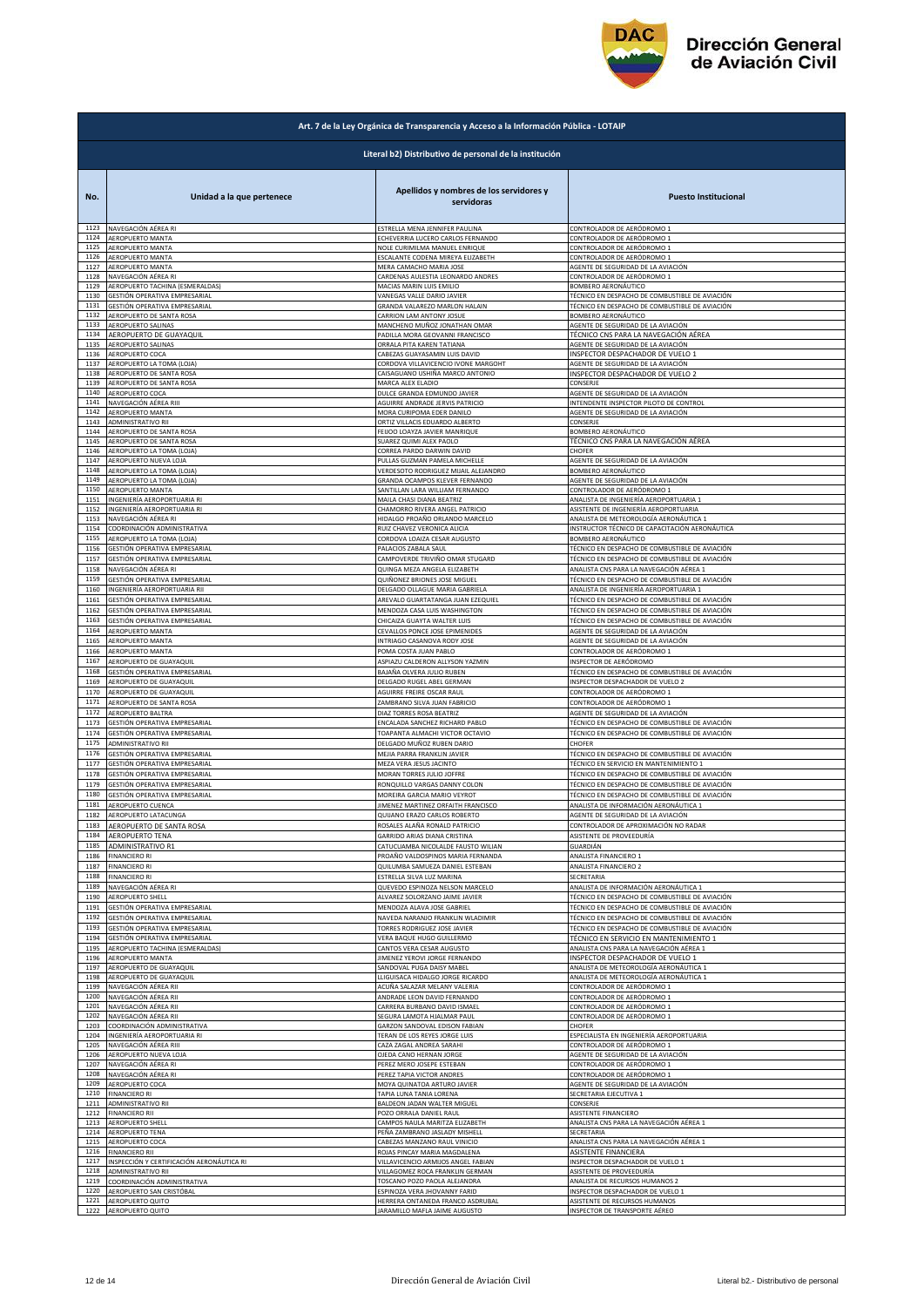

|              | Art. 7 de la Ley Orgánica de Transparencia y Acceso a la Información Pública - LOTAIP |                                                              |                                                                  |  |
|--------------|---------------------------------------------------------------------------------------|--------------------------------------------------------------|------------------------------------------------------------------|--|
|              | Literal b2) Distributivo de personal de la institución                                |                                                              |                                                                  |  |
| No.          | Unidad a la que pertenece                                                             | Apellidos y nombres de los servidores y<br>servidoras        | <b>Puesto Institucional</b>                                      |  |
| 1123         | NAVEGACIÓN AÉREA RI                                                                   | ESTRELLA MENA JENNIFER PAULINA                               | CONTROLADOR DE AERÓDROMO 1                                       |  |
| 1124         | AEROPUERTO MANTA                                                                      | ECHEVERRIA LUCERO CARLOS FERNANDO                            | CONTROLADOR DE AERÓDROMO 1                                       |  |
| 1125         | AEROPUERTO MANTA                                                                      | NOLE CURIMILMA MANUEL ENRIQUE                                | CONTROLADOR DE AERÓDROMO 1                                       |  |
| 1126         | AEROPUERTO MANTA                                                                      | ESCALANTE CODENA MIREYA ELIZABETH                            | CONTROLADOR DE AERÓDROMO 1                                       |  |
| 1127         | AEROPUERTO MANTA                                                                      | MERA CAMACHO MARIA JOSE                                      | AGENTE DE SEGURIDAD DE LA AVIACIÓN                               |  |
| 1128         | NAVEGACIÓN AÉREA RI                                                                   | CARDENAS AULESTIA LEONARDO ANDRES                            | CONTROLADOR DE AERÓDROMO 1                                       |  |
| 1129         | AEROPUERTO TACHINA (ESMERALDAS)                                                       | MACIAS MARIN LUIS EMILIO                                     | BOMBERO AERONÁUTICO                                              |  |
| 1130         | GESTIÓN OPERATIVA EMPRESARIAL                                                         | VANEGAS VALLE DARIO JAVIER                                   | TÉCNICO EN DESPACHO DE COMBUSTIBLE DE AVIACIÓN                   |  |
| 1131         | GESTIÓN OPERATIVA EMPRESARIAL                                                         | GRANDA VALAREZO MARLON HALAIN                                | TÉCNICO EN DESPACHO DE COMBUSTIBLE DE AVIACIÓN                   |  |
| 1132         | AEROPUERTO DE SANTA ROSA                                                              | CARRION LAM ANTONY JOSUE                                     | BOMBERO AERONÁUTICO                                              |  |
| 1133         | AEROPUERTO SALINAS                                                                    | MANCHENO MUÑOZ JONATHAN OMAR                                 | AGENTE DE SEGURIDAD DE LA AVIACIÓN                               |  |
| 1134         | AEROPUERTO DE GUAYAQUIL                                                               | PADILLA MORA GEOVANNI FRANCISCO                              | TÉCNICO CNS PARA LA NAVEGACIÓN AÉREA                             |  |
| 1135         | AEROPUERTO SALINAS                                                                    | ORRALA PITA KAREN TATIANA                                    | AGENTE DE SEGURIDAD DE LA AVIACIÓN                               |  |
| 1136         | AEROPUERTO COCA                                                                       | CABEZAS GUAYASAMIN LUIS DAVID                                | INSPECTOR DESPACHADOR DE VUELO 1                                 |  |
| 1137         | AEROPUERTO LA TOMA (LOJA)                                                             | CORDOVA VILLAVICENCIO IVONE MARGOHT                          | AGENTE DE SEGURIDAD DE LA AVIACIÓN                               |  |
| 1138         | AEROPUERTO DE SANTA ROSA                                                              | CAISAGUANO USHIÑA MARCO ANTONIO                              | INSPECTOR DESPACHADOR DE VUELO 2                                 |  |
| 1139         | AEROPUERTO DE SANTA ROSA                                                              | MARCA ALEX ELADIO                                            | CONSERJE                                                         |  |
| 1140         | AEROPUERTO COCA                                                                       | DULCE GRANDA EDMUNDO JAVIER                                  | AGENTE DE SEGURIDAD DE LA AVIACIÓN                               |  |
| 1141         | NAVEGACIÓN AÉREA RIII                                                                 | AGUIRRE ANDRADE JERVIS PATRICIO                              | INTENDENTE INSPECTOR PILOTO DE CONTROL                           |  |
| 1142         | AEROPUERTO MANTA                                                                      | MORA CURIPOMA EDER DANILO                                    | AGENTE DE SEGURIDAD DE LA AVIACIÓN                               |  |
| 1143         | ADMINISTRATIVO RII                                                                    | ORTIZ VILLACIS EDUARDO ALBERTO                               | CONSERJE                                                         |  |
| 1144         | AEROPUERTO DE SANTA ROSA                                                              | FEIJOO LOAYZA JAVIER MANRIQUE                                | BOMBERO AERONÁUTICO                                              |  |
| 1145         | AEROPUERTO DE SANTA ROSA                                                              | SUAREZ QUIMI ALEX PAOLO                                      | TÉCNICO CNS PARA LA NAVEGACIÓN AÉREA                             |  |
| 1146         | AEROPUERTO LA TOMA (LOJA)                                                             | CORREA PARDO DARWIN DAVID                                    | CHOFER                                                           |  |
| 1147         | AEROPUERTO NUEVA LOJA                                                                 | PULLAS GUZMAN PAMELA MICHELLE                                | AGENTE DE SEGURIDAD DE LA AVIACIÓN                               |  |
| 1148         | AEROPUERTO LA TOMA (LOJA)                                                             | VERDESOTO RODRIGUEZ MIJAIL ALEJANDRO                         | BOMBERO AERONÁUTICO                                              |  |
| 1149<br>1150 | AEROPUERTO LA TOMA (LOJA)                                                             | GRANDA OCAMPOS KLEVER FERNANDO                               | AGENTE DE SEGURIDAD DE LA AVIACIÓN<br>CONTROLADOR DE AERÓDROMO 1 |  |
| 1151         | AEROPUERTO MANTA<br>INGENIERÍA AEROPORTUARIA RI                                       | SANTILLAN LARA WILLIAM FERNANDO<br>MAILA CHASI DIANA BEATRIZ | ANALISTA DE INGENIERÍA AEROPORTUARIA 1                           |  |
| 1152         | INGENIERÍA AEROPORTUARIA RI                                                           | CHAMORRO RIVERA ANGEL PATRICIO                               | ASISTENTE DE INGENIERÍA AEROPORTUARIA                            |  |
| 1153         | NAVEGACIÓN AÉREA RI                                                                   | HIDALGO PROAÑO ORLANDO MARCELO                               | ANALISTA DE METEOROLOGÍA AERONÁUTICA 1                           |  |
| 1154         | COORDINACIÓN ADMINISTRATIVA                                                           | RUIZ CHAVEZ VERONICA ALICIA                                  | INSTRUCTOR TÉCNICO DE CAPACITACIÓN AERONÁUTICA                   |  |
| 1155         | AEROPUERTO LA TOMA (LOJA)                                                             | CORDOVA LOAIZA CESAR AUGUSTO                                 | BOMBERO AERONÁUTICO                                              |  |
| 1156         | GESTIÓN OPERATIVA EMPRESARIAL<br>GESTIÓN OPERATIVA EMPRESARIAL                        | PALACIOS ZABALA SAUL                                         | TÉCNICO EN DESPACHO DE COMBUSTIBLE DE AVIACIÓN                   |  |
| 1157         | NAVEGACIÓN AÉREA RI                                                                   | CAMPOVERDE TRIVIÑO OMAR STUGARD                              | TÉCNICO EN DESPACHO DE COMBUSTIBLE DE AVIACIÓN                   |  |
| 1158         |                                                                                       | QUINGA MEZA ANGELA ELIZABETH                                 | ANALISTA CNS PARA LA NAVEGACIÓN AÉREA 1                          |  |
| 1159         | GESTIÓN OPERATIVA EMPRESARIAL                                                         | QUIÑONEZ BRIONES JOSE MIGUEL                                 | TÉCNICO EN DESPACHO DE COMBUSTIBLE DE AVIACIÓN                   |  |
| 1160         | INGENIERÍA AEROPORTUARIA RII                                                          | DELGADO OLLAGUE MARIA GABRIELA                               | ANALISTA DE INGENIERÍA AEROPORTUARIA 1                           |  |
| 1161         | GESTIÓN OPERATIVA EMPRESARIAL                                                         | AREVALO GUARTATANGA JUAN EZEQUIEL                            | TÉCNICO EN DESPACHO DE COMBUSTIBLE DE AVIACIÓN                   |  |
| 1162         | GESTIÓN OPERATIVA EMPRESARIAL                                                         | MENDOZA CASA LUIS WASHINGTON                                 | TÉCNICO EN DESPACHO DE COMBUSTIBLE DE AVIACIÓN                   |  |
| 1163         | GESTIÓN OPERATIVA EMPRESARIAL                                                         | CHICAIZA GUAYTA WALTER LUIS                                  | TÉCNICO EN DESPACHO DE COMBUSTIBLE DE AVIACIÓN                   |  |
| 1164         | AEROPUERTO MANTA                                                                      | CEVALLOS PONCE JOSE EPIMENIDES                               | AGENTE DE SEGURIDAD DE LA AVIACIÓN                               |  |
| 1165         | AEROPUERTO MANTA                                                                      | INTRIAGO CASANOVA RODY JOSE                                  | AGENTE DE SEGURIDAD DE LA AVIACIÓN                               |  |
| 1166         | AEROPUERTO MANTA                                                                      | POMA COSTA JUAN PABLO                                        | CONTROLADOR DE AERÓDROMO 1                                       |  |
| 1167         | AEROPUERTO DE GUAYAQUIL                                                               | ASPIAZU CALDERON ALLYSON YAZMIN                              | NSPECTOR DE AERÓDROMO                                            |  |
| 1168         | GESTIÓN OPERATIVA EMPRESARIAL                                                         | BAJAÑA OLVERA JULIO RUBEN                                    | TÉCNICO EN DESPACHO DE COMBUSTIBLE DE AVIACIÓN                   |  |
| 1169         | AEROPUERTO DE GUAYAQUIL                                                               | DELGADO RUGEL ABEL GERMAN                                    | INSPECTOR DESPACHADOR DE VUELO 2                                 |  |
| 1170         | AEROPUERTO DE GUAYAQUIL                                                               | AGUIRRE FREIRE OSCAR RAUL                                    | CONTROLADOR DE AERÓDROMO 1                                       |  |
| 1171         | AEROPUERTO DE SANTA ROSA                                                              | ZAMBRANO SILVA JUAN FABRICIO                                 | CONTROLADOR DE AERÓDROMO 1                                       |  |
| 1172         | AEROPUERTO BALTRA                                                                     | <b>DIAZ TORRES ROSA BEATRIZ</b>                              | AGENTE DE SEGURIDAD DE LA AVIACIÓN                               |  |
| 1173         | GESTIÓN OPERATIVA EMPRESARIAL                                                         | ENCALADA SANCHEZ RICHARD PABLO                               | TÉCNICO EN DESPACHO DE COMBUSTIBLE DE AVIACIÓN                   |  |
| 1174         | GESTIÓN OPERATIVA EMPRESARIAL                                                         | TOAPANTA ALMACHI VICTOR OCTAVIO                              | TÉCNICO EN DESPACHO DE COMBUSTIBLE DE AVIACIÓN                   |  |
| 1175         | <b>ADMINISTRATIVO RII</b>                                                             | DELGADO MUÑOZ RUBEN DARIO                                    | CHOFER                                                           |  |
| 1176         | GESTIÓN OPERATIVA EMPRESARIAL                                                         | MEJIA PARRA FRANKLIN JAVIER                                  | TÉCNICO EN DESPACHO DE COMBUSTIBLE DE AVIACIÓN                   |  |
| 1177         | GESTIÓN OPERATIVA EMPRESARIAL                                                         | MEZA VERA JESUS JACINTO                                      | TÉCNICO EN SERVICIO EN MANTENIMIENTO 1                           |  |
| 1178         | GESTIÓN OPERATIVA EMPRESARIAL                                                         | MORAN TORRES JULIO JOFFRE                                    | TÉCNICO EN DESPACHO DE COMBUSTIBLE DE AVIACIÓN                   |  |
| 1179         | GESTIÓN OPERATIVA EMPRESARIAL                                                         | RONQUILLO VARGAS DANNY COLON                                 | TÉCNICO EN DESPACHO DE COMBUSTIBLE DE AVIACIÓN                   |  |
| 1180         | GESTIÓN OPERATIVA EMPRESARIAL                                                         | MOREIRA GARCIA MARIO VEYROT                                  | TÉCNICO EN DESPACHO DE COMBUSTIBLE DE AVIACIÓN                   |  |
| 1181         | AEROPUERTO CUENCA                                                                     | JIMENEZ MARTINEZ ORFAITH FRANCISCO                           | ANALISTA DE INFORMACIÓN AERONÁUTICA 1                            |  |
| 1182         | AEROPUERTO LATACUNGA                                                                  | QUIJANO ERAZO CARLOS ROBERTO                                 | AGENTE DE SEGURIDAD DE LA AVIACIÓN                               |  |
| 1183         | AEROPUERTO DE SANTA ROSA                                                              | ROSALES ALAÑA RONALD PATRICIO                                | CONTROLADOR DE APROXIMACIÓN NO RADAR                             |  |
| 1184         | <b>AEROPUERTO TENA</b>                                                                | GARRIDO ARIAS DIANA CRISTINA                                 | ASISTENTE DE PROVEEDURÍA                                         |  |
| 1185         | ADMINISTRATIVO R1                                                                     | CATUCUAMBA NICOLALDE FAUSTO WILIAN                           | GUARDIÁN                                                         |  |
| 1186         | <b>FINANCIERO RI</b>                                                                  | PROAÑO VALDOSPINOS MARIA FERNANDA                            | ANALISTA FINANCIERO 1                                            |  |
| 1187         | <b>FINANCIERO RI</b>                                                                  | QUILUMBA SAMUEZA DANIEL ESTEBAN                              | ANALISTA FINANCIERO 2                                            |  |
| 1188         | <b>FINANCIERO RI</b>                                                                  | ESTRELLA SILVA LUZ MARINA                                    | SECRETARIA                                                       |  |
| 1189         | NAVEGACIÓN AÉREA RI                                                                   | QUEVEDO ESPINOZA NELSON MARCELO                              | ANALISTA DE INFORMACIÓN AERONÁUTICA 1                            |  |
| 1190         | AEROPUERTO SHELL                                                                      | ALVAREZ SOLORZANO JAIME JAVIER                               | TÉCNICO EN DESPACHO DE COMBUSTIBLE DE AVIACIÓN                   |  |
| 1191         | GESTIÓN OPERATIVA EMPRESARIAL                                                         | MENDOZA ALAVA JOSE GABRIEL                                   | TÉCNICO EN DESPACHO DE COMBUSTIBLE DE AVIACIÓN                   |  |
| 1192         | GESTIÓN OPERATIVA EMPRESARIAL                                                         | NAVEDA NARANJO FRANKLIN WLADIMIR                             | TÉCNICO EN DESPACHO DE COMBUSTIBLE DE AVIACIÓN                   |  |
| 1193         | GESTIÓN OPERATIVA EMPRESARIAL                                                         | TORRES RODRIGUEZ JOSE JAVIER                                 | TÉCNICO EN DESPACHO DE COMBUSTIBLE DE AVIACIÓN                   |  |
| 1194         | GESTIÓN OPERATIVA EMPRESARIAL                                                         | VERA BAQUE HUGO GUILLERMO                                    | TÉCNICO EN SERVICIO EN MANTENIMIENTO 1                           |  |
| 1195         | AEROPUERTO TACHINA (ESMERALDAS)                                                       | CANTOS VERA CESAR AUGUSTO                                    | ANALISTA CNS PARA LA NAVEGACIÓN AÉREA 1                          |  |
| 1196         | AEROPUERTO MANTA                                                                      | JIMENEZ YEROVI JORGE FERNANDO                                | INSPECTOR DESPACHADOR DE VUELO 1                                 |  |
| 1197         | AEROPUERTO DE GUAYAQUIL                                                               | SANDOVAL PUGA DAISY MABEL                                    | ANALISTA DE METEOROLOGÍA AERONÁUTICA 1                           |  |
| 1198         | AEROPUERTO DE GUAYAQUIL                                                               | LLIGUISACA HIDALGO JORGE RICARDO                             | ANALISTA DE METEOROLOGÍA AERONÁUTICA 1                           |  |
| 1199         | NAVEGACIÓN AÉREA RII                                                                  | ACUÑA SALAZAR MELANY VALERIA                                 | CONTROLADOR DE AERÓDROMO 1                                       |  |
| 1200         | NAVEGACIÓN AÉREA RII                                                                  | ANDRADE LEON DAVID FERNANDO                                  | CONTROLADOR DE AERÓDROMO 1                                       |  |
| 1201         | NAVEGACIÓN AÉREA RII                                                                  | CARRERA BURBANO DAVID ISMAEL                                 | CONTROLADOR DE AERÓDROMO 1                                       |  |
| 1202         | NAVEGACIÓN AÉREA RII                                                                  | SEGURA LAMOTA HJALMAR PAUL                                   | CONTROLADOR DE AERÓDROMO 1                                       |  |
| 1203         | COORDINACIÓN ADMINISTRATIVA                                                           | GARZON SANDOVAL EDISON FABIAN                                | CHOFER                                                           |  |
| 1204         | INGENIERÍA AEROPORTUARIA RI                                                           | TERAN DE LOS REYES JORGE LUIS                                | ESPECIALISTA EN INGENIERÍA AEROPORTUARIA                         |  |
| 1205         | NAVEGACIÓN AÉREA RIII                                                                 | CAZA ZAGAL ANDREA SARAHI                                     | CONTROLADOR DE AERÓDROMO 1                                       |  |
| 1206         | AEROPUERTO NUEVA LOJA                                                                 | OJEDA CANO HERNAN JORGE                                      | AGENTE DE SEGURIDAD DE LA AVIACIÓN                               |  |
| 1207         | NAVEGACIÓN AÉREA RI                                                                   | PEREZ MERO JOSEPE ESTEBAN                                    | CONTROLADOR DE AERÓDROMO 1                                       |  |
| 1208         | NAVEGACIÓN AÉREA RI                                                                   | PEREZ TAPIA VICTOR ANDRES                                    | CONTROLADOR DE AERÓDROMO 1                                       |  |
| 1209         | AEROPUERTO COCA                                                                       | MOYA QUINATOA ARTURO JAVIER                                  | AGENTE DE SEGURIDAD DE LA AVIACIÓN                               |  |
| 1210         | <b>FINANCIERO RI</b>                                                                  | TAPIA LUNA TANIA LORENA                                      | SECRETARIA EJECUTIVA 1                                           |  |
| 1211         | ADMINISTRATIVO RII                                                                    | BALDEON JADAN WALTER MIGUEL                                  | CONSERJE                                                         |  |
| 1212         | <b>FINANCIERO RII</b>                                                                 | POZO ORRALA DANIEL RAUL                                      | ASISTENTE FINANCIERO                                             |  |
| 1213         | <b>AEROPUERTO SHELL</b>                                                               | CAMPOS NAULA MARITZA ELIZABETH                               | ANALISTA CNS PARA LA NAVEGACIÓN AÉREA 1                          |  |
| 1214         | AEROPUERTO TENA                                                                       | PEÑA ZAMBRANO JASLADY MISHELL                                | SECRETARIA                                                       |  |
| 1215         | AEROPUERTO COCA                                                                       | CABEZAS MANZANO RAUL VINICIO                                 | ANALISTA CNS PARA LA NAVEGACIÓN AÉREA 1                          |  |
| 1216         | FINANCIERO RII                                                                        | ROJAS PINCAY MARIA MAGDALENA                                 | ASISTENTE FINANCIERA                                             |  |
| 1217         | INSPECCIÓN Y CERTIFICACIÓN AERONÁUTICA RI                                             | VILLAVICENCIO ARMIJOS ANGEL FABIAN                           | INSPECTOR DESPACHADOR DE VUELO 1                                 |  |
| 1218         | ADMINISTRATIVO RII                                                                    | VILLAGOMEZ ROCA FRANKLIN GERMAN                              | ASISTENTE DE PROVEEDURÍA                                         |  |
| 1219         | COORDINACIÓN ADMINISTRATIVA                                                           | TOSCANO POZO PAOLA ALEJANDRA                                 | ANALISTA DE RECURSOS HUMANOS 2                                   |  |
| 1220         | AEROPUERTO SAN CRISTÓBAL                                                              | ESPINOZA VERA JHOVANNY FARID                                 | INSPECTOR DESPACHADOR DE VUELO 1                                 |  |
| 1221         | AEROPUERTO QUITO                                                                      | HERRERA ONTANEDA FRANCO ASDRUBAL                             | ASISTENTE DE RECURSOS HUMANOS                                    |  |
| 1222         | AEROPUERTO QUITO                                                                      | JARAMILLO MAFLA JAIME AUGUSTO                                | INSPECTOR DE TRANSPORTE AÉREO                                    |  |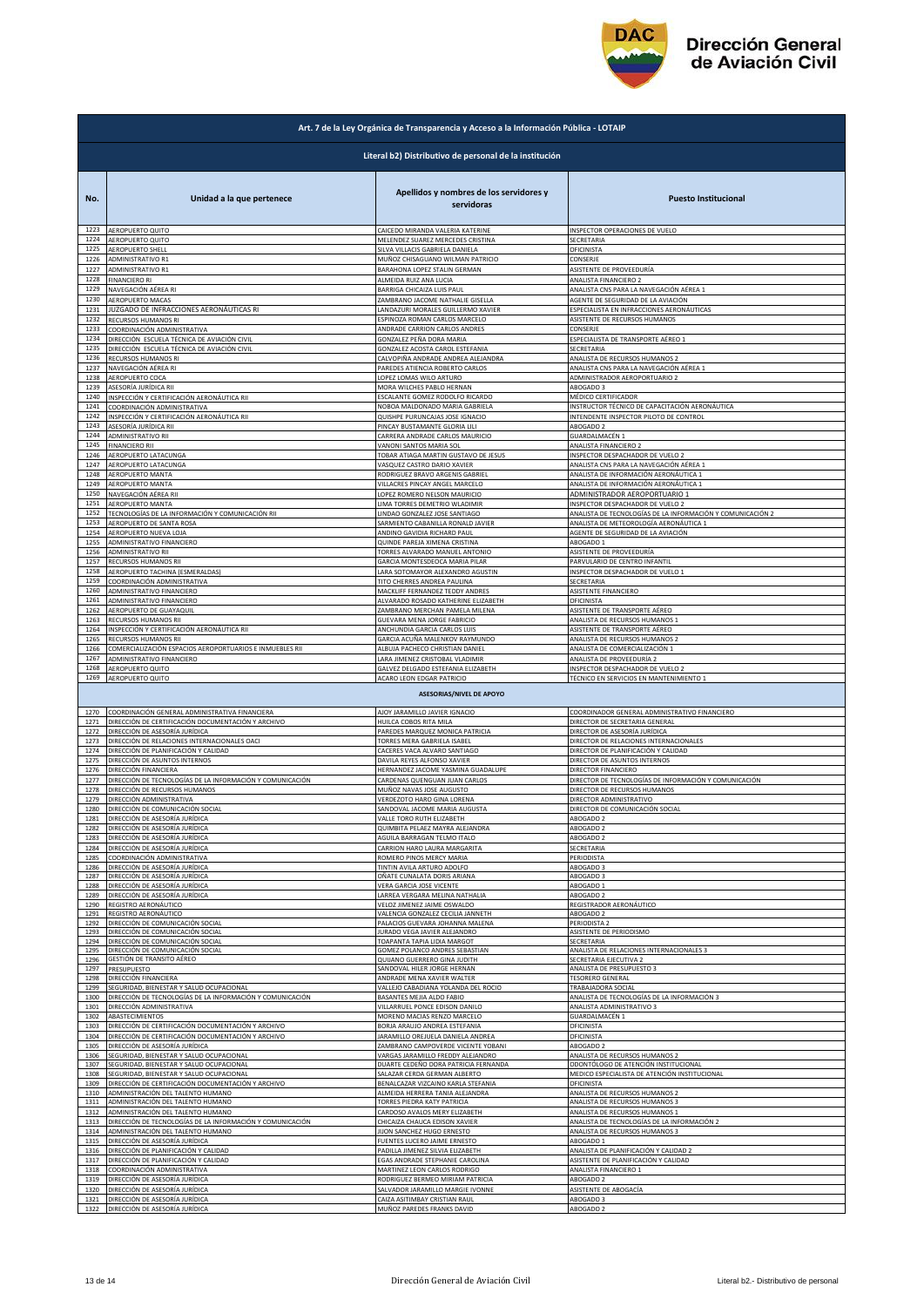

| Art. 7 de la Ley Orgánica de Transparencia y Acceso a la Información Pública - LOTAIP |                                                             |                                                                      |                                                                       |  |  |  |
|---------------------------------------------------------------------------------------|-------------------------------------------------------------|----------------------------------------------------------------------|-----------------------------------------------------------------------|--|--|--|
| Literal b2) Distributivo de personal de la institución                                |                                                             |                                                                      |                                                                       |  |  |  |
| No.                                                                                   | Unidad a la que pertenece                                   | Apellidos y nombres de los servidores y<br>servidoras                | <b>Puesto Institucional</b>                                           |  |  |  |
| 1223                                                                                  | AEROPUERTO QUITO                                            | CAICEDO MIRANDA VALERIA KATERINE                                     | INSPECTOR OPERACIONES DE VUELO                                        |  |  |  |
| 1224                                                                                  | AEROPUERTO QUITO                                            | MELENDEZ SUAREZ MERCEDES CRISTINA                                    | SECRETARIA                                                            |  |  |  |
| 1225                                                                                  | <b>AEROPUERTO SHELL</b>                                     | SILVA VILLACIS GABRIELA DANIELA                                      | OFICINISTA                                                            |  |  |  |
| 1226                                                                                  | ADMINISTRATIVO R1                                           | MUÑOZ CHISAGUANO WILMAN PATRICIO                                     | CONSERJE                                                              |  |  |  |
| 1227                                                                                  | ADMINISTRATIVO R1                                           | BARAHONA LOPEZ STALIN GERMAN                                         | ASISTENTE DE PROVEEDURÍA                                              |  |  |  |
| 1228                                                                                  | FINANCIERO RI                                               | ALMEIDA RUIZ ANA LUCIA                                               | ANALISTA FINANCIERO 2                                                 |  |  |  |
| 1229                                                                                  | NAVEGACIÓN AÉREA RI                                         | BARRIGA CHICAIZA LUIS PAUL                                           | ANALISTA CNS PARA LA NAVEGACIÓN AÉREA 1                               |  |  |  |
| 1230                                                                                  | AEROPUERTO MACAS<br>JUZGADO DE INFRACCIONES AERONÁUTICAS RI | ZAMBRANO JACOME NATHALIE GISELLA                                     | AGENTE DE SEGURIDAD DE LA AVIACIÓN                                    |  |  |  |
| 1231                                                                                  | RECURSOS HUMANOS RI                                         | LANDAZURI MORALES GUILLERMO XAVIER                                   | ESPECIALISTA EN INFRACCIONES AERONÁUTICAS                             |  |  |  |
| 1232                                                                                  |                                                             | ESPINOZA ROMAN CARLOS MARCELO                                        | ASISTENTE DE RECURSOS HUMANOS                                         |  |  |  |
| 1233                                                                                  | COORDINACIÓN ADMINISTRATIVA                                 | ANDRADE CARRION CARLOS ANDRES                                        | CONSERJE                                                              |  |  |  |
| 1234                                                                                  | DIRECCIÓN ESCUELA TÉCNICA DE AVIACIÓN CIVIL                 | GONZALEZ PEÑA DORA MARIA                                             | ESPECIALISTA DE TRANSPORTE AÉREO 1                                    |  |  |  |
| 1235                                                                                  | DIRECCIÓN ESCUELA TÉCNICA DE AVIACIÓN CIVIL                 | GONZALEZ ACOSTA CAROL ESTEFANIA                                      | SECRETARIA                                                            |  |  |  |
| 1236                                                                                  | RECURSOS HUMANOS RI                                         | CALVOPIÑA ANDRADE ANDREA ALEJANDRA                                   | ANALISTA DE RECURSOS HUMANOS 2                                        |  |  |  |
| 1237                                                                                  | NAVEGACIÓN AÉREA RI                                         | PAREDES ATIENCIA ROBERTO CARLOS                                      | ANALISTA CNS PARA LA NAVEGACIÓN AÉREA 1                               |  |  |  |
| 1238                                                                                  | AEROPUERTO COCA                                             | LOPEZ LOMAS WILO ARTURO                                              | ADMINISTRADOR AEROPORTUARIO 2                                         |  |  |  |
| 1239                                                                                  | ASESORÍA JURÍDICA RII                                       | MORA WILCHES PABLO HERNAN                                            | ABOGADO 3                                                             |  |  |  |
| 1240                                                                                  | INSPECCIÓN Y CERTIFICACIÓN AERONÁUTICA RII                  | ESCALANTE GOMEZ RODOLFO RICARDO                                      | MÉDICO CERTIFICADOR<br>INSTRUCTOR TÉCNICO DE CAPACITACIÓN AERONÁUTICA |  |  |  |
| 1241                                                                                  | COORDINACIÓN ADMINISTRATIVA                                 | NOBOA MALDONADO MARIA GABRIELA                                       | INTENDENTE INSPECTOR PILOTO DE CONTROL                                |  |  |  |
| 1242                                                                                  | INSPECCIÓN Y CERTIFICACIÓN AERONÁUTICA RII                  | QUISHPE PURUNCAJAS JOSE IGNACIO                                      |                                                                       |  |  |  |
| 1243                                                                                  | ASESORÍA JURÍDICA RII                                       | PINCAY BUSTAMANTE GLORIA LILI                                        | ABOGADO 2                                                             |  |  |  |
| 1244                                                                                  | ADMINISTRATIVO RII                                          | CARRERA ANDRADE CARLOS MAURICIO                                      | GUARDALMACÉN 1                                                        |  |  |  |
| 1245<br>1246                                                                          | <b>FINANCIERO RII</b>                                       | VANONI SANTOS MARIA SOL                                              | ANALISTA FINANCIERO 2                                                 |  |  |  |
| 1247                                                                                  | AEROPUERTO LATACUNGA                                        | TOBAR ATIAGA MARTIN GUSTAVO DE JESUS                                 | NSPECTOR DESPACHADOR DE VUELO 2                                       |  |  |  |
|                                                                                       | AEROPUERTO LATACUNGA                                        | VASQUEZ CASTRO DARIO XAVIER                                          | ANALISTA CNS PARA LA NAVEGACIÓN AÉREA 1                               |  |  |  |
| 1248                                                                                  | AEROPUERTO MANTA                                            | RODRIGUEZ BRAVO ARGENIS GABRIEL                                      | ANALISTA DE INFORMACIÓN AERONÁUTICA 1                                 |  |  |  |
| 1249                                                                                  | AEROPUERTO MANTA                                            | VILLACRES PINCAY ANGEL MARCELO                                       | ANALISTA DE INFORMACIÓN AERONÁUTICA 1                                 |  |  |  |
| 1250                                                                                  | NAVEGACIÓN AÉREA RII                                        | LOPEZ ROMERO NELSON MAURICIO                                         | ADMINISTRADOR AEROPORTUARIO 1                                         |  |  |  |
| 1251                                                                                  | AEROPUERTO MANTA                                            | LIMA TORRES DEMETRIO WLADIMIR                                        | NSPECTOR DESPACHADOR DE VUELO 2                                       |  |  |  |
| 1252                                                                                  | TECNOLOGÍAS DE LA INFORMACIÓN Y COMUNICACIÓN RII            | LINDAO GONZALEZ JOSE SANTIAGO                                        | ANALISTA DE TECNOLOGÍAS DE LA INFORMACIÓN Y COMUNICACIÓN 2            |  |  |  |
| 1253                                                                                  | AEROPUERTO DE SANTA ROSA                                    | SARMIENTO CABANILLA RONALD JAVIER                                    | ANALISTA DE METEOROLOGÍA AERONÁUTICA 1                                |  |  |  |
| 1254                                                                                  | AEROPUERTO NUEVA LOJA                                       | ANDINO GAVIDIA RICHARD PAUL                                          | AGENTE DE SEGURIDAD DE LA AVIACIÓN                                    |  |  |  |
| 1255                                                                                  | ADMINISTRATIVO FINANCIERO                                   | QUINDE PAREJA XIMENA CRISTINA                                        | ABOGADO 1                                                             |  |  |  |
| 1256                                                                                  | ADMINISTRATIVO RII                                          | TORRES ALVARADO MANUEL ANTONIO                                       | ASISTENTE DE PROVEEDURÍA                                              |  |  |  |
| 1257                                                                                  | RECURSOS HUMANOS RII                                        | GARCIA MONTESDEOCA MARIA PILAR                                       | PARVULARIO DE CENTRO INFANTI                                          |  |  |  |
| 1258                                                                                  | AEROPUERTO TACHINA (ESMERALDAS)                             | LARA SOTOMAYOR ALEXANDRO AGUSTIN                                     | NSPECTOR DESPACHADOR DE VUELO 1                                       |  |  |  |
| 1259                                                                                  | <u>COORDINACIÓN ADMINISTRATIVA</u>                          | TITO CHERRES ANDREA PAULINA                                          | SECRETARIA                                                            |  |  |  |
| 1260                                                                                  | ADMINISTRATIVO FINANCIERO                                   | MACKLIFF FERNANDEZ TEDDY ANDRES                                      | ASISTENTE FINANCIERO                                                  |  |  |  |
|                                                                                       | ADMINISTRATIVO FINANCIERO                                   | ALVARADO ROSADO KATHERINE ELIZABETH                                  | OFICINISTA                                                            |  |  |  |
| 1261<br>1262                                                                          | AEROPUERTO DE GUAYAQUIL                                     | ZAMBRANO MERCHAN PAMELA MILENA                                       | ASISTENTE DE TRANSPORTE AÉREO                                         |  |  |  |
| 1263                                                                                  | RECURSOS HUMANOS RII                                        | GUEVARA MENA JORGE FABRICIO                                          | ANALISTA DE RECURSOS HUMANOS 1                                        |  |  |  |
| 1264                                                                                  | NSPECCIÓN Y CERTIFICACIÓN AERONÁUTICA RII                   | ANCHUNDIA GARCIA CARLOS LUIS                                         | ASISTENTE DE TRANSPORTE AÉREO                                         |  |  |  |
| 1265                                                                                  | RECURSOS HUMANOS RII                                        | GARCIA ACUÑA MALENKOV RAYMUNDO                                       | ANALISTA DE RECURSOS HUMANOS 2                                        |  |  |  |
| 1266                                                                                  | COMERCIALIZACIÓN ESPACIOS AEROPORTUARIOS E INMUEBLES RII    | ALBUJA PACHECO CHRISTIAN DANIEL                                      | ANALISTA DE COMERCIALIZACIÓN 1                                        |  |  |  |
| 1267                                                                                  | ADMINISTRATIVO FINANCIERO                                   | LARA JIMENEZ CRISTOBAL VLADIMIR                                      | ANALISTA DE PROVEEDURÍA 2                                             |  |  |  |
| 1268                                                                                  | AEROPUERTO QUITO                                            | GALVEZ DELGADO ESTEFANIA ELIZABETH                                   | NSPECTOR DESPACHADOR DE VUELO 2                                       |  |  |  |
| 1269                                                                                  | AEROPUERTO QUITO                                            | ACARO LEON EDGAR PATRICIO                                            | TÉCNICO EN SERVICIOS EN MANTENIMIENTO 1                               |  |  |  |
|                                                                                       |                                                             | <b>ASESORIAS/NIVEL DE APOYO</b>                                      |                                                                       |  |  |  |
|                                                                                       |                                                             |                                                                      |                                                                       |  |  |  |
| 1270                                                                                  | COORDINACIÓN GENERAL ADMINISTRATIVA FINANCIERA              | AJOY JARAMILLO JAVIER IGNACIO                                        | COORDINADOR GENERAL ADMINISTRATIVO FINANCIERO                         |  |  |  |
| 1271                                                                                  | DIRECCIÓN DE CERTIFICACIÓN DOCUMENTACIÓN Y ARCHIVO          | HUILCA COBOS RITA MILA                                               | DIRECTOR DE SECRETARIA GENERAL                                        |  |  |  |
| 1272                                                                                  | DIRECCIÓN DE ASESORÍA JURÍDICA                              | PAREDES MARQUEZ MONICA PATRICIA                                      | DIRECTOR DE ASESORÍA JURÍDICA                                         |  |  |  |
| 1273                                                                                  | DIRECCIÓN DE RELACIONES INTERNACIONALES OACI                | TORRES MERA GABRIELA ISABEL                                          | DIRECTOR DE RELACIONES INTERNACIONALES                                |  |  |  |
| 1274                                                                                  | DIRECCIÓN DE PLANIFICACIÓN Y CALIDAD                        |                                                                      | DIRECTOR DE PLANIFICACIÓN Y CALIDAD                                   |  |  |  |
| 1275                                                                                  | DIRECCIÓN DE ASUNTOS INTERNOS                               | CACERES VACA ALVARO SANTIAGO<br>DAVILA REYES ALFONSO XAVIER          | DIRECTOR DE ASUNTOS INTERNOS                                          |  |  |  |
| 1276                                                                                  | DIRECCIÓN FINANCIERA                                        | HERNANDEZ JACOME YASMINA GUADALUPE                                   | DIRECTOR FINANCIERO                                                   |  |  |  |
| 1277                                                                                  | DIRECCIÓN DE TECNOLOGÍAS DE LA INFORMACIÓN Y COMUNICACIÓN   | CARDENAS QUENGUAN JUAN CARLOS                                        | DIRECTOR DE TECNOLOGÍAS DE INFORMACIÓN Y COMUNICACIÓN                 |  |  |  |
| 1278                                                                                  | DIRECCIÓN DE RECURSOS HUMANOS                               | MUÑOZ NAVAS JOSE AUGUSTO                                             | DIRECTOR DE RECURSOS HUMANOS<br>DIRECTOR ADMINISTRATIVO               |  |  |  |
| 1279                                                                                  | DIRECCIÓN ADMINISTRATIVA                                    | VERDEZOTO HARO GINA LORENA                                           | NRECTOR DE COMUNICACIÓN SOCIA                                         |  |  |  |
| 1280                                                                                  | <b>NRECCIÓN DE COMUNICACIÓN</b>                             | SANDOVAL JACOME MARIA ALIGUSTA                                       |                                                                       |  |  |  |
| 1281                                                                                  | DIRECCIÓN DE ASESORÍA JURÍDICA                              | VALLE TORO RUTH ELIZABETH                                            | ABOGADO 2                                                             |  |  |  |
| 1282                                                                                  | DIRECCIÓN DE ASESORÍA JURÍDICA                              | QUIMBITA PELAEZ MAYRA ALEJANDRA                                      | ABOGADO 2                                                             |  |  |  |
| 1283                                                                                  | DIRECCIÓN DE ASESORÍA JURÍDICA                              | AGUILA BARRAGAN TELMO ITALO                                          | ABOGADO 2                                                             |  |  |  |
| 1284                                                                                  | DIRECCIÓN DE ASESORÍA JURÍDICA                              | CARRION HARO LAURA MARGARITA                                         | SECRETARIA                                                            |  |  |  |
| 1285                                                                                  | COORDINACIÓN ADMINISTRATIVA                                 | ROMERO PINOS MERCY MARIA                                             | PERIODISTA                                                            |  |  |  |
| 1286                                                                                  | DIRECCIÓN DE ASESORÍA JURÍDICA                              | TINTIN AVILA ARTURO ADOLFO                                           | ABOGADO 3                                                             |  |  |  |
| 1287                                                                                  | DIRECCIÓN DE ASESORÍA JURÍDICA                              | OÑATE CUNALATA DORIS ARIANA                                          | ABOGADO 3                                                             |  |  |  |
| 1288                                                                                  | DIRECCIÓN DE ASESORÍA JURÍDICA                              | VERA GARCIA JOSE VICENTE                                             | ABOGADO 1                                                             |  |  |  |
| 1289                                                                                  | DIRECCIÓN DE ASESORÍA JURÍDICA                              | LARREA VERGARA MELINA NATHALIA                                       | ABOGADO 2                                                             |  |  |  |
| 1290                                                                                  | REGISTRO AERONÁUTICO                                        | VELOZ JIMENEZ JAIME OSWALDO                                          | REGISTRADOR AERONÁUTICO                                               |  |  |  |
| 1291                                                                                  | REGISTRO AERONÁUTICO                                        |                                                                      | ABOGADO 2                                                             |  |  |  |
| 1292                                                                                  | DIRECCIÓN DE COMUNICACIÓN SOCIAL                            | VALENCIA GONZALEZ CECILIA JANNETH<br>PALACIOS GUEVARA JOHANNA MALENA | PERIODISTA 2                                                          |  |  |  |
| 1293                                                                                  | DIRECCIÓN DE COMUNICACIÓN SOCIAL                            | JURADO VEGA JAVIER ALEJANDRO                                         | ASISTENTE DE PERIODISMO                                               |  |  |  |
| 1294                                                                                  | DIRECCIÓN DE COMUNICACIÓN SOCIAL                            | <b>TOAPANTA TAPIA LIDIA MARGOT</b>                                   | ECRETARIA                                                             |  |  |  |
| 1295                                                                                  | DIRECCIÓN DE COMUNICACIÓN SOCIAL                            | GOMEZ POLANCO ANDRES SEBASTIAN                                       | ANALISTA DE RELACIONES INTERNACIONALES 3                              |  |  |  |
| 1296                                                                                  | SESTIÓN DE TRANSITO AÉREO                                   | QUIJANO GUERRERO GINA JUDITH                                         | SECRETARIA EJECUTIVA 2                                                |  |  |  |
| 1297                                                                                  | RESUPUESTO                                                  | SANDOVAL HILER JORGE HERNAN                                          | ANALISTA DE PRESUPUESTO 3                                             |  |  |  |
| 1298                                                                                  | DIRECCIÓN FINANCIERA                                        | ANDRADE MENA XAVIER WALTER                                           | <b><i>ESORERO GENERAL</i></b>                                         |  |  |  |
| 1299                                                                                  | EGURIDAD, BIENESTAR Y SALUD OCUPACIONAL                     | VALLEJO CABADIANA YOLANDA DEL ROCIO                                  | <b>TRABAJADORA SOCIAL</b>                                             |  |  |  |
| 1300                                                                                  | DIRECCIÓN DE TECNOLOGÍAS DE LA INFORMACIÓN Y COMUNICACIÓN   | BASANTES MEJIA ALDO FABIO                                            | ANALISTA DE TECNOLOGÍAS DE LA INFORMACIÓN 3                           |  |  |  |
| 1301                                                                                  | DIRECCIÓN ADMINISTRATIVA                                    | VILLARRUEL PONCE EDISON DANILO                                       | ANALISTA ADMINISTRATIVO 3                                             |  |  |  |
| 1302                                                                                  | ABASTECIMIENTOS                                             | MORENO MACIAS RENZO MARCELO                                          | GUARDALMACÉN 1                                                        |  |  |  |
| 1303                                                                                  | DIRECCIÓN DE CERTIFICACIÓN DOCUMENTACIÓN Y ARCHIVO          | BORJA ARAUJO ANDREA ESTEFANIA                                        | DFICINISTA                                                            |  |  |  |
| 1304                                                                                  | DIRECCIÓN DE CERTIFICACIÓN DOCUMENTACIÓN Y ARCHIVO          | JARAMILLO OREJUELA DANIELA ANDREA                                    | OFICINISTA                                                            |  |  |  |
| 1305                                                                                  | DIRECCIÓN DE ASESORÍA JURÍDICA                              | ZAMBRANO CAMPOVERDE VICENTE YOBANI                                   | <b>ABOGADO 2</b>                                                      |  |  |  |
| 1306                                                                                  | SEGURIDAD, BIENESTAR Y SALUD OCUPACIONAL                    | VARGAS JARAMILLO FREDDY ALEJANDRO                                    | ANALISTA DE RECURSOS HUMANOS 2                                        |  |  |  |
| 1307                                                                                  | SEGURIDAD, BIENESTAR Y SALUD OCUPACIONAL                    | DUARTE CEDEÑO DORA PATRICIA FERNANDA                                 | DDONTÓLOGO DE ATENCIÓN INSTITUCIONAL                                  |  |  |  |
| 1308                                                                                  | SEGURIDAD, BIENESTAR Y SALUD OCUPACIONAL                    | SALAZAR CERDA GERMAN ALBERTO                                         | MEDICO ESPECIALISTA DE ATENCIÓN INSTITUCIONAL                         |  |  |  |
| 1309                                                                                  | DIRECCIÓN DE CERTIFICACIÓN DOCUMENTACIÓN Y ARCHIVO          | BENALCAZAR VIZCAINO KARLA STEFANIA                                   | OFICINISTA                                                            |  |  |  |
| 1310                                                                                  | ADMINISTRACIÓN DEL TALENTO HUMANO                           | ALMEIDA HERRERA TANIA ALEJANDRA                                      | ANALISTA DE RECURSOS HUMANOS 2                                        |  |  |  |
| 1311                                                                                  | ADMINISTRACIÓN DEL TALENTO HUMANO                           | TORRES PIEDRA KATY PATRICIA                                          | ANALISTA DE RECURSOS HUMANOS 3                                        |  |  |  |
| 1312                                                                                  | ADMINISTRACIÓN DEL TALENTO HUMANO                           | CARDOSO AVALOS MERY ELIZABETH                                        | ANALISTA DE RECURSOS HUMANOS 1                                        |  |  |  |
| 1313                                                                                  | DIRECCIÓN DE TECNOLOGÍAS DE LA INFORMACIÓN Y COMUNICACIÓN   | CHICAIZA CHAUCA EDISON XAVIER                                        | ANALISTA DE TECNOLOGÍAS DE LA INFORMACIÓN 2                           |  |  |  |
| 1314                                                                                  | ADMINISTRACIÓN DEL TALENTO HUMANO                           | JIJON SANCHEZ HUGO ERNESTO                                           | ANALISTA DE RECURSOS HUMANOS 3                                        |  |  |  |
| 1315                                                                                  | DIRECCIÓN DE ASESORÍA JURÍDICA                              | FUENTES LUCERO JAIME ERNESTO                                         | ABOGADO 1                                                             |  |  |  |
| 1316                                                                                  | DIRECCIÓN DE PLANIFICACIÓN Y CALIDAD                        | PADILLA JIMENEZ SILVIA ELIZABETH                                     | ANALISTA DE PLANIFICACIÓN Y CALIDAD 2                                 |  |  |  |
| 1317                                                                                  | DIRECCIÓN DE PLANIFICACIÓN Y CALIDAD                        | EGAS ANDRADE STEPHANIE CAROLINA                                      | ASISTENTE DE PLANIFICACIÓN Y CALIDAD                                  |  |  |  |
| 1318                                                                                  | COORDINACIÓN ADMINISTRATIVA                                 | MARTINEZ LEON CARLOS RODRIGO                                         | ANALISTA FINANCIERO 1                                                 |  |  |  |
| 1319                                                                                  | DIRECCIÓN DE ASESORÍA JURÍDICA                              | RODRIGUEZ BERMEO MIRIAM PATRICIA                                     | ABOGADO 2                                                             |  |  |  |
| 1320                                                                                  | DIRECCIÓN DE ASESORÍA JURÍDICA                              | SALVADOR JARAMILLO MARGIE IVONNE                                     | ASISTENTE DE ABOGACÍA                                                 |  |  |  |